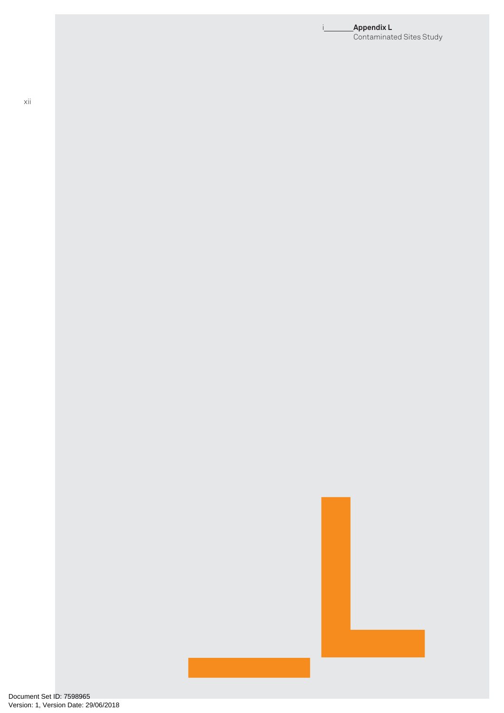#### i **Appendix L** Contaminated Sites Study

**\_L**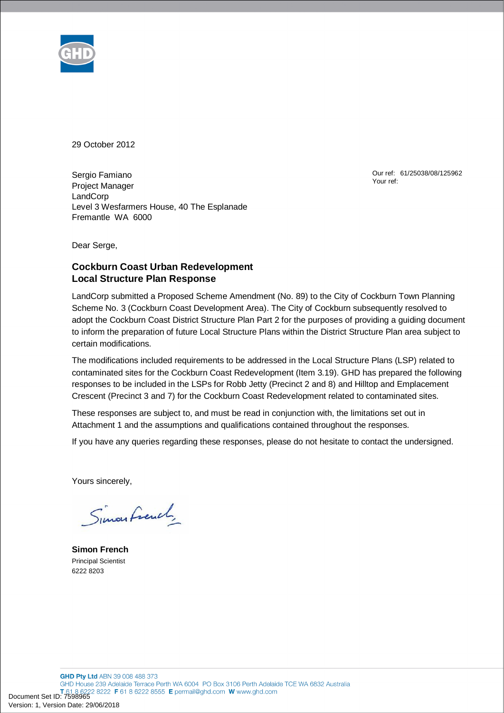

29 October 2012

Sergio Famiano Project Manager **LandCorp** Level 3 Wesfarmers House, 40 The Esplanade Fremantle WA 6000

Our ref: 61/25038/08/125962 Your ref:

Dear Serge,

## **Cockburn Coast Urban Redevelopment Local Structure Plan Response**

LandCorp submitted a Proposed Scheme Amendment (No. 89) to the City of Cockburn Town Planning Scheme No. 3 (Cockburn Coast Development Area). The City of Cockburn subsequently resolved to adopt the Cockburn Coast District Structure Plan Part 2 for the purposes of providing a guiding document to inform the preparation of future Local Structure Plans within the District Structure Plan area subject to certain modifications.

The modifications included requirements to be addressed in the Local Structure Plans (LSP) related to contaminated sites for the Cockburn Coast Redevelopment (Item 3.19). GHD has prepared the following responses to be included in the LSPs for Robb Jetty (Precinct 2 and 8) and Hilltop and Emplacement Crescent (Precinct 3 and 7) for the Cockburn Coast Redevelopment related to contaminated sites.

These responses are subject to, and must be read in conjunction with, the limitations set out in Attachment 1 and the assumptions and qualifications contained throughout the responses.

If you have any queries regarding these responses, please do not hesitate to contact the undersigned.

Yours sincerely,

Simon French

**Simon French**  Principal Scientist 6222 8203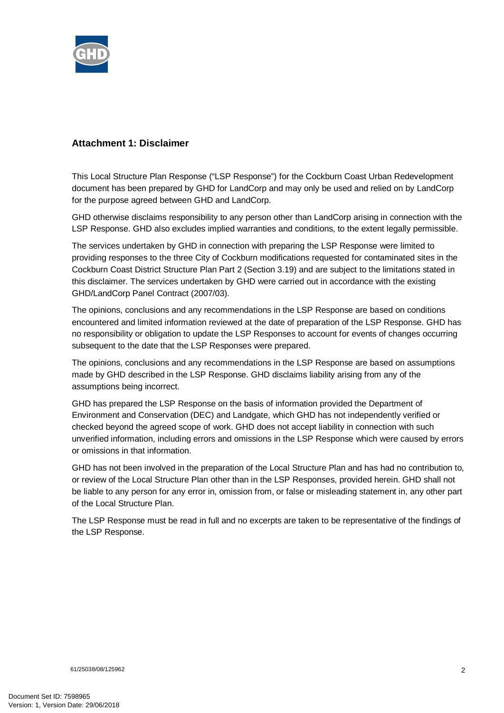

# **Attachment 1: Disclaimer**

This Local Structure Plan Response ("LSP Response") for the Cockburn Coast Urban Redevelopment document has been prepared by GHD for LandCorp and may only be used and relied on by LandCorp for the purpose agreed between GHD and LandCorp.

GHD otherwise disclaims responsibility to any person other than LandCorp arising in connection with the LSP Response. GHD also excludes implied warranties and conditions, to the extent legally permissible.

The services undertaken by GHD in connection with preparing the LSP Response were limited to providing responses to the three City of Cockburn modifications requested for contaminated sites in the Cockburn Coast District Structure Plan Part 2 (Section 3.19) and are subject to the limitations stated in this disclaimer. The services undertaken by GHD were carried out in accordance with the existing GHD/LandCorp Panel Contract (2007/03).

The opinions, conclusions and any recommendations in the LSP Response are based on conditions encountered and limited information reviewed at the date of preparation of the LSP Response. GHD has no responsibility or obligation to update the LSP Responses to account for events of changes occurring subsequent to the date that the LSP Responses were prepared.

The opinions, conclusions and any recommendations in the LSP Response are based on assumptions made by GHD described in the LSP Response. GHD disclaims liability arising from any of the assumptions being incorrect.

GHD has prepared the LSP Response on the basis of information provided the Department of Environment and Conservation (DEC) and Landgate, which GHD has not independently verified or checked beyond the agreed scope of work. GHD does not accept liability in connection with such unverified information, including errors and omissions in the LSP Response which were caused by errors or omissions in that information.

GHD has not been involved in the preparation of the Local Structure Plan and has had no contribution to, or review of the Local Structure Plan other than in the LSP Responses, provided herein. GHD shall not be liable to any person for any error in, omission from, or false or misleading statement in, any other part of the Local Structure Plan.

The LSP Response must be read in full and no excerpts are taken to be representative of the findings of the LSP Response.

61/25038/08/125962 2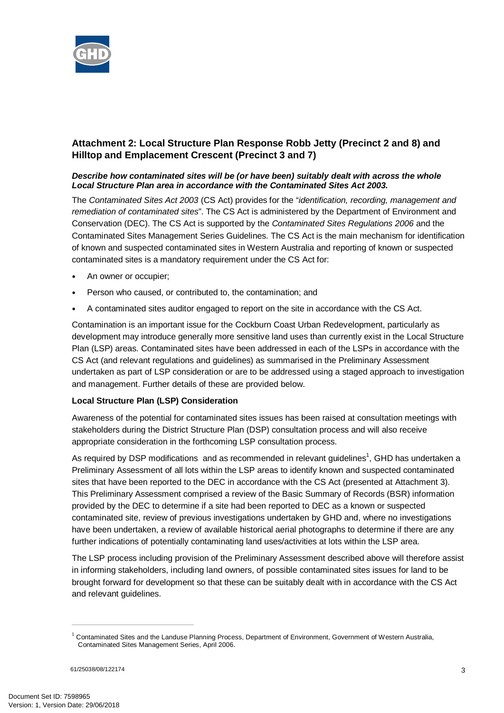

# **Attachment 2: Local Structure Plan Response Robb Jetty (Precinct 2 and 8) and Hilltop and Emplacement Crescent (Precinct 3 and 7)**

### *Describe how contaminated sites will be (or have been) suitably dealt with across the whole Local Structure Plan area in accordance with the Contaminated Sites Act 2003.*

The *Contaminated Sites Act 2003* (CS Act) provides for the "*identification, recording, management and remediation of contaminated sites*". The CS Act is administered by the Department of Environment and Conservation (DEC). The CS Act is supported by the *Contaminated Sites Regulations 2006* and the Contaminated Sites Management Series Guidelines. The CS Act is the main mechanism for identification of known and suspected contaminated sites in Western Australia and reporting of known or suspected contaminated sites is a mandatory requirement under the CS Act for:

- An owner or occupier;
- Person who caused, or contributed to, the contamination; and
- A contaminated sites auditor engaged to report on the site in accordance with the CS Act.

Contamination is an important issue for the Cockburn Coast Urban Redevelopment, particularly as development may introduce generally more sensitive land uses than currently exist in the Local Structure Plan (LSP) areas. Contaminated sites have been addressed in each of the LSPs in accordance with the CS Act (and relevant regulations and guidelines) as summarised in the Preliminary Assessment undertaken as part of LSP consideration or are to be addressed using a staged approach to investigation and management. Further details of these are provided below.

## **Local Structure Plan (LSP) Consideration**

Awareness of the potential for contaminated sites issues has been raised at consultation meetings with stakeholders during the District Structure Plan (DSP) consultation process and will also receive appropriate consideration in the forthcoming LSP consultation process.

As required by DSP modifications and as recommended in relevant guidelines<sup>1</sup>, GHD has undertaken a Preliminary Assessment of all lots within the LSP areas to identify known and suspected contaminated sites that have been reported to the DEC in accordance with the CS Act (presented at Attachment 3). This Preliminary Assessment comprised a review of the Basic Summary of Records (BSR) information provided by the DEC to determine if a site had been reported to DEC as a known or suspected contaminated site, review of previous investigations undertaken by GHD and, where no investigations have been undertaken, a review of available historical aerial photographs to determine if there are any further indications of potentially contaminating land uses/activities at lots within the LSP area.

The LSP process including provision of the Preliminary Assessment described above will therefore assist in informing stakeholders, including land owners, of possible contaminated sites issues for land to be brought forward for development so that these can be suitably dealt with in accordance with the CS Act and relevant guidelines.

<sup>&</sup>lt;sup>1</sup> Contaminated Sites and the Landuse Planning Process, Department of Environment, Government of Western Australia, Contaminated Sites Management Series, April 2006.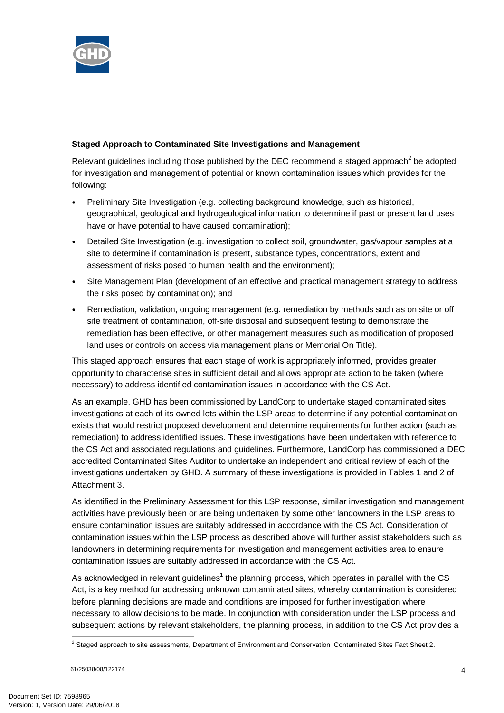

## **Staged Approach to Contaminated Site Investigations and Management**

Relevant guidelines including those published by the DEC recommend a staged approach<sup>2</sup> be adopted for investigation and management of potential or known contamination issues which provides for the following:

- Preliminary Site Investigation (e.g. collecting background knowledge, such as historical, geographical, geological and hydrogeological information to determine if past or present land uses have or have potential to have caused contamination);
- Detailed Site Investigation (e.g. investigation to collect soil, groundwater, gas/vapour samples at a site to determine if contamination is present, substance types, concentrations, extent and assessment of risks posed to human health and the environment);
- Site Management Plan (development of an effective and practical management strategy to address the risks posed by contamination); and
- Remediation, validation, ongoing management (e.g. remediation by methods such as on site or off site treatment of contamination, off-site disposal and subsequent testing to demonstrate the remediation has been effective, or other management measures such as modification of proposed land uses or controls on access via management plans or Memorial On Title).

This staged approach ensures that each stage of work is appropriately informed, provides greater opportunity to characterise sites in sufficient detail and allows appropriate action to be taken (where necessary) to address identified contamination issues in accordance with the CS Act.

As an example, GHD has been commissioned by LandCorp to undertake staged contaminated sites investigations at each of its owned lots within the LSP areas to determine if any potential contamination exists that would restrict proposed development and determine requirements for further action (such as remediation) to address identified issues. These investigations have been undertaken with reference to the CS Act and associated regulations and guidelines. Furthermore, LandCorp has commissioned a DEC accredited Contaminated Sites Auditor to undertake an independent and critical review of each of the investigations undertaken by GHD. A summary of these investigations is provided in Tables 1 and 2 of Attachment 3.

As identified in the Preliminary Assessment for this LSP response, similar investigation and management activities have previously been or are being undertaken by some other landowners in the LSP areas to ensure contamination issues are suitably addressed in accordance with the CS Act. Consideration of contamination issues within the LSP process as described above will further assist stakeholders such as landowners in determining requirements for investigation and management activities area to ensure contamination issues are suitably addressed in accordance with the CS Act.

As acknowledged in relevant guidelines<sup>1</sup> the planning process, which operates in parallel with the CS Act, is a key method for addressing unknown contaminated sites, whereby contamination is considered before planning decisions are made and conditions are imposed for further investigation where necessary to allow decisions to be made. In conjunction with consideration under the LSP process and subsequent actions by relevant stakeholders, the planning process, in addition to the CS Act provides a

 <sup>2</sup> Staged approach to site assessments, Department of Environment and Conservation Contaminated Sites Fact Sheet 2.

<sup>61/25038/08/122174</sup> 4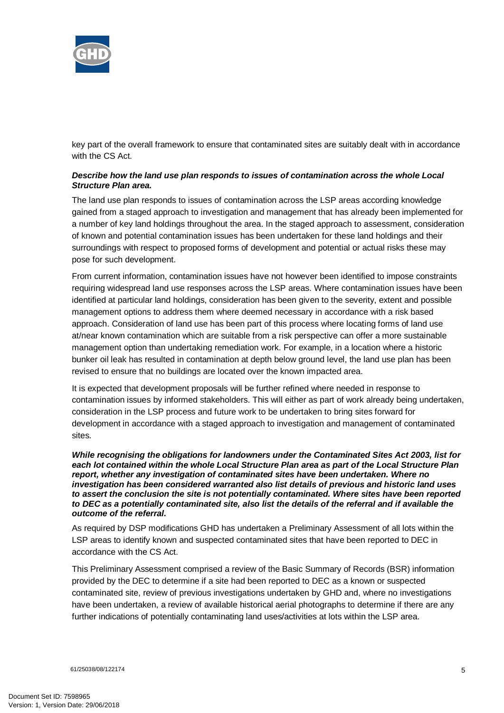

key part of the overall framework to ensure that contaminated sites are suitably dealt with in accordance with the CS Act.

### *Describe how the land use plan responds to issues of contamination across the whole Local Structure Plan area.*

The land use plan responds to issues of contamination across the LSP areas according knowledge gained from a staged approach to investigation and management that has already been implemented for a number of key land holdings throughout the area. In the staged approach to assessment, consideration of known and potential contamination issues has been undertaken for these land holdings and their surroundings with respect to proposed forms of development and potential or actual risks these may pose for such development.

From current information, contamination issues have not however been identified to impose constraints requiring widespread land use responses across the LSP areas. Where contamination issues have been identified at particular land holdings, consideration has been given to the severity, extent and possible management options to address them where deemed necessary in accordance with a risk based approach. Consideration of land use has been part of this process where locating forms of land use at/near known contamination which are suitable from a risk perspective can offer a more sustainable management option than undertaking remediation work. For example, in a location where a historic bunker oil leak has resulted in contamination at depth below ground level, the land use plan has been revised to ensure that no buildings are located over the known impacted area.

It is expected that development proposals will be further refined where needed in response to contamination issues by informed stakeholders. This will either as part of work already being undertaken, consideration in the LSP process and future work to be undertaken to bring sites forward for development in accordance with a staged approach to investigation and management of contaminated sites.

*While recognising the obligations for landowners under the Contaminated Sites Act 2003, list for each lot contained within the whole Local Structure Plan area as part of the Local Structure Plan report, whether any investigation of contaminated sites have been undertaken. Where no investigation has been considered warranted also list details of previous and historic land uses to assert the conclusion the site is not potentially contaminated. Where sites have been reported to DEC as a potentially contaminated site, also list the details of the referral and if available the outcome of the referral.* 

As required by DSP modifications GHD has undertaken a Preliminary Assessment of all lots within the LSP areas to identify known and suspected contaminated sites that have been reported to DEC in accordance with the CS Act.

This Preliminary Assessment comprised a review of the Basic Summary of Records (BSR) information provided by the DEC to determine if a site had been reported to DEC as a known or suspected contaminated site, review of previous investigations undertaken by GHD and, where no investigations have been undertaken, a review of available historical aerial photographs to determine if there are any further indications of potentially contaminating land uses/activities at lots within the LSP area.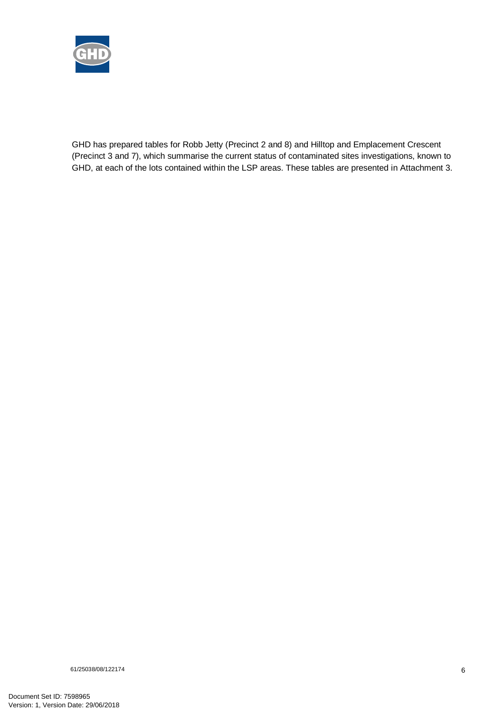

GHD has prepared tables for Robb Jetty (Precinct 2 and 8) and Hilltop and Emplacement Crescent (Precinct 3 and 7), which summarise the current status of contaminated sites investigations, known to GHD, at each of the lots contained within the LSP areas. These tables are presented in Attachment 3.

61/25038/08/122174 6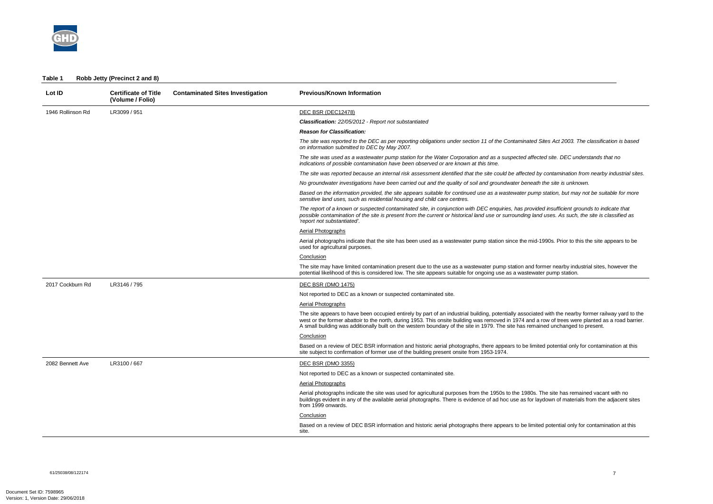

| Table 1 | Robb Jetty (Precinct 2 and 8) |  |
|---------|-------------------------------|--|
|---------|-------------------------------|--|

| Lot ID            | <b>Certificate of Title</b><br>(Volume / Folio) | <b>Contaminated Sites Investigation</b> | <b>Previous/Known Information</b>                                                                                                                                                                                                                                                                                                                                                                                                              |
|-------------------|-------------------------------------------------|-----------------------------------------|------------------------------------------------------------------------------------------------------------------------------------------------------------------------------------------------------------------------------------------------------------------------------------------------------------------------------------------------------------------------------------------------------------------------------------------------|
| 1946 Rollinson Rd | LR3099 / 951                                    |                                         | DEC BSR (DEC12478)                                                                                                                                                                                                                                                                                                                                                                                                                             |
|                   |                                                 |                                         | <b>Classification:</b> 22/05/2012 - Report not substantiated                                                                                                                                                                                                                                                                                                                                                                                   |
|                   |                                                 |                                         | <b>Reason for Classification:</b>                                                                                                                                                                                                                                                                                                                                                                                                              |
|                   |                                                 |                                         | The site was reported to the DEC as per reporting obligations under section 11 of the Contaminated Sites Act 2003. The classification is based<br>on information submitted to DEC by May 2007.                                                                                                                                                                                                                                                 |
|                   |                                                 |                                         | The site was used as a wastewater pump station for the Water Corporation and as a suspected affected site. DEC understands that no<br>indications of possible contamination have been observed or are known at this time.                                                                                                                                                                                                                      |
|                   |                                                 |                                         | The site was reported because an internal risk assessment identified that the site could be affected by contamination from nearby industrial sites.                                                                                                                                                                                                                                                                                            |
|                   |                                                 |                                         | No groundwater investigations have been carried out and the quality of soil and groundwater beneath the site is unknown.                                                                                                                                                                                                                                                                                                                       |
|                   |                                                 |                                         | Based on the information provided, the site appears suitable for continued use as a wastewater pump station, but may not be suitable for more<br>sensitive land uses, such as residential housing and child care centres.                                                                                                                                                                                                                      |
|                   |                                                 |                                         | The report of a known or suspected contaminated site, in conjunction with DEC enquiries, has provided insufficient grounds to indicate that<br>possible contamination of the site is present from the current or historical land use or surrounding land uses. As such, the site is classified as<br>'report not substantiated'.                                                                                                               |
|                   |                                                 |                                         | <b>Aerial Photographs</b>                                                                                                                                                                                                                                                                                                                                                                                                                      |
|                   |                                                 |                                         | Aerial photographs indicate that the site has been used as a wastewater pump station since the mid-1990s. Prior to this the site appears to be<br>used for agricultural purposes.                                                                                                                                                                                                                                                              |
|                   |                                                 |                                         | Conclusion                                                                                                                                                                                                                                                                                                                                                                                                                                     |
|                   |                                                 |                                         | The site may have limited contamination present due to the use as a wastewater pump station and former nearby industrial sites, however the<br>potential likelihood of this is considered low. The site appears suitable for ongoing use as a wastewater pump station.                                                                                                                                                                         |
| 2017 Cockburn Rd  | LR3146 / 795                                    |                                         | DEC BSR (DMO 1475)                                                                                                                                                                                                                                                                                                                                                                                                                             |
|                   |                                                 |                                         | Not reported to DEC as a known or suspected contaminated site.                                                                                                                                                                                                                                                                                                                                                                                 |
|                   |                                                 |                                         | Aerial Photographs                                                                                                                                                                                                                                                                                                                                                                                                                             |
|                   |                                                 |                                         | The site appears to have been occupied entirely by part of an industrial building, potentially associated with the nearby former railway yard to the<br>west or the former abattoir to the north, during 1953. This onsite building was removed in 1974 and a row of trees were planted as a road barrier.<br>A small building was additionally built on the western boundary of the site in 1979. The site has remained unchanged to present. |
|                   |                                                 |                                         | Conclusion                                                                                                                                                                                                                                                                                                                                                                                                                                     |
|                   |                                                 |                                         | Based on a review of DEC BSR information and historic aerial photographs, there appears to be limited potential only for contamination at this<br>site subject to confirmation of former use of the building present onsite from 1953-1974.                                                                                                                                                                                                    |
| 2082 Bennett Ave  | LR3100 / 667                                    |                                         | <b>DEC BSR (DMO 3355)</b>                                                                                                                                                                                                                                                                                                                                                                                                                      |
|                   |                                                 |                                         | Not reported to DEC as a known or suspected contaminated site.                                                                                                                                                                                                                                                                                                                                                                                 |
|                   |                                                 |                                         | <b>Aerial Photographs</b>                                                                                                                                                                                                                                                                                                                                                                                                                      |
|                   |                                                 |                                         | Aerial photographs indicate the site was used for agricultural purposes from the 1950s to the 1980s. The site has remained vacant with no<br>buildings evident in any of the available aerial photographs. There is evidence of ad hoc use as for laydown of materials from the adjacent sites<br>from 1999 onwards.                                                                                                                           |
|                   |                                                 |                                         | Conclusion                                                                                                                                                                                                                                                                                                                                                                                                                                     |
|                   |                                                 |                                         | Based on a review of DEC BSR information and historic aerial photographs there appears to be limited potential only for contamination at this<br>site.                                                                                                                                                                                                                                                                                         |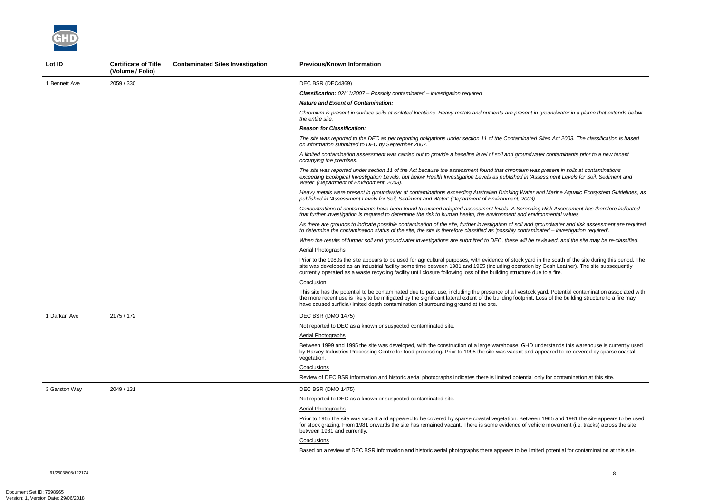61/25038/08/122174 8

*Chromium is present in surface soils at isolated locations. Heavy metals and nutrients are present in groundwater in a plume that extends below* 

*The site was reported to the DEC as per reporting obligations under section 11 of the Contaminated Sites Act 2003. The classification is based* 

*A limited contamination assessment was carried out to provide a baseline level of soil and groundwater contaminants prior to a new tenant* 

*Risk Assessment has therefore indicated that further investigation is required to determine the risk to human health, the environment and environmental values.* 

*The site was reported under section 11 of the Act because the assessment found that chromium was present in soils at contaminations exceeding Ecological Investigation Levels, but below Health Investigation Levels as published in 'Assessment Levels for Soil, Sediment and* 

*Heavy metals were present in groundwater at contaminations exceeding Australian Drinking Water and Marine Aquatic Ecosystem Guidelines, as* 

*As there are grounds to indicate possible contamination of the site, further investigation of soil and groundwater and risk assessment are required to determine the contamination status of the site, the site is therefore classified as 'possibly contaminated – investigation required'.* 



| Lot ID        | <b>Certificate of Title</b><br>(Volume / Folio) | <b>Contaminated Sites Investigation</b> | <b>Previous/Known Information</b>                                                                                                                                                                                                                                                                                                                            |
|---------------|-------------------------------------------------|-----------------------------------------|--------------------------------------------------------------------------------------------------------------------------------------------------------------------------------------------------------------------------------------------------------------------------------------------------------------------------------------------------------------|
| 1 Bennett Ave | 2059 / 330                                      |                                         | DEC BSR (DEC4369)                                                                                                                                                                                                                                                                                                                                            |
|               |                                                 |                                         | <b>Classification:</b> 02/11/2007 - Possibly contaminated - investigation required                                                                                                                                                                                                                                                                           |
|               |                                                 |                                         | <b>Nature and Extent of Contamination:</b>                                                                                                                                                                                                                                                                                                                   |
|               |                                                 |                                         | Chromium is present in surface soils at isolated locations. Heavy metals and nutrients are present in groundwa<br>the entire site.                                                                                                                                                                                                                           |
|               |                                                 |                                         | <b>Reason for Classification:</b>                                                                                                                                                                                                                                                                                                                            |
|               |                                                 |                                         | The site was reported to the DEC as per reporting obligations under section 11 of the Contaminated Sites Act 2<br>on information submitted to DEC by September 2007.                                                                                                                                                                                         |
|               |                                                 |                                         | A limited contamination assessment was carried out to provide a baseline level of soil and groundwater contan<br>occupying the premises.                                                                                                                                                                                                                     |
|               |                                                 |                                         | The site was reported under section 11 of the Act because the assessment found that chromium was present in<br>exceeding Ecological Investigation Levels, but below Health Investigation Levels as published in 'Assessment i<br>Water' (Department of Environment, 2003).                                                                                   |
|               |                                                 |                                         | Heavy metals were present in groundwater at contaminations exceeding Australian Drinking Water and Marine<br>published in 'Assessment Levels for Soil, Sediment and Water' (Department of Environment, 2003).                                                                                                                                                |
|               |                                                 |                                         | Concentrations of contaminants have been found to exceed adopted assessment levels. A Screening Risk Ass<br>that further investigation is required to determine the risk to human health, the environment and environmental                                                                                                                                  |
|               |                                                 |                                         | As there are grounds to indicate possible contamination of the site, further investigation of soil and groundwate<br>to determine the contamination status of the site, the site is therefore classified as 'possibly contaminated - inv                                                                                                                     |
|               |                                                 |                                         | When the results of further soil and groundwater investigations are submitted to DEC, these will be reviewed, a                                                                                                                                                                                                                                              |
|               |                                                 |                                         | <b>Aerial Photographs</b>                                                                                                                                                                                                                                                                                                                                    |
|               |                                                 |                                         | Prior to the 1980s the site appears to be used for agricultural purposes, with evidence of stock yard in the soutl<br>site was developed as an industrial facility some time between 1981 and 1995 (including operation by Gosh Le<br>currently operated as a waste recycling facility until closure following loss of the building structure due to a fire. |
|               |                                                 |                                         | Conclusion                                                                                                                                                                                                                                                                                                                                                   |
|               |                                                 |                                         | This site has the potential to be contaminated due to past use, including the presence of a livestock yard. Poter<br>the more recent use is likely to be mitigated by the significant lateral extent of the building footprint. Loss of the<br>have caused surficial/limited depth contamination of surrounding ground at the site.                          |
| 1 Darkan Ave  | 2175 / 172                                      |                                         | DEC BSR (DMO 1475)                                                                                                                                                                                                                                                                                                                                           |
|               |                                                 |                                         | Not reported to DEC as a known or suspected contaminated site.                                                                                                                                                                                                                                                                                               |
|               |                                                 |                                         | Aerial Photographs                                                                                                                                                                                                                                                                                                                                           |
|               |                                                 |                                         | Between 1999 and 1995 the site was developed, with the construction of a large warehouse. GHD understands<br>by Harvey Industries Processing Centre for food processing. Prior to 1995 the site was vacant and appeared to<br>vegetation.                                                                                                                    |
|               |                                                 |                                         | Conclusions                                                                                                                                                                                                                                                                                                                                                  |
|               |                                                 |                                         | Review of DEC BSR information and historic aerial photographs indicates there is limited potential only for cont                                                                                                                                                                                                                                             |
| 3 Garston Way | 2049 / 131                                      |                                         | <b>DEC BSR (DMO 1475)</b>                                                                                                                                                                                                                                                                                                                                    |
|               |                                                 |                                         | Not reported to DEC as a known or suspected contaminated site.                                                                                                                                                                                                                                                                                               |
|               |                                                 |                                         | Aerial Photographs                                                                                                                                                                                                                                                                                                                                           |
|               |                                                 |                                         | Prior to 1965 the site was vacant and appeared to be covered by sparse coastal vegetation. Between 1965 and<br>for stock grazing. From 1981 onwards the site has remained vacant. There is some evidence of vehicle movem<br>between 1981 and currently.                                                                                                     |
|               |                                                 |                                         | Conclusions                                                                                                                                                                                                                                                                                                                                                  |
|               |                                                 |                                         | Based on a review of DEC BSR information and historic aerial photographs there appears to be limited potentia                                                                                                                                                                                                                                                |

*When the results of further soil and groundwater investigations are submitted to DEC, these will be reviewed, and the site may be re-classified.* 

the south of the site during this period. The Gosh Leather). The site subsequently it o a fire.

ard. Potential contamination associated with bss of the building structure to a fire may

derstands this warehouse is currently used peared to be covered by sparse coastal

ly for contamination at this site.

1965 and 1981 the site appears to be used le movement (i.e. tracks) across the site

d potential for contamination at this site.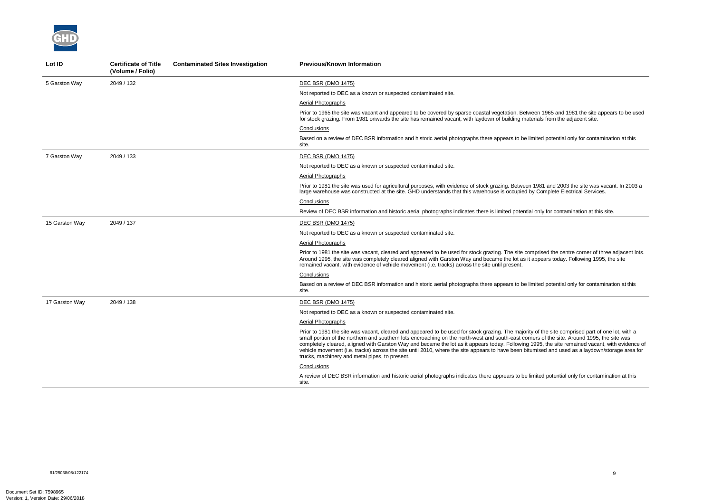

| Lot ID         | <b>Certificate of Title</b><br>(Volume / Folio) | <b>Contaminated Sites Investigation</b> | <b>Previous/Known Information</b>                                                                                                                                                                                                                                                                                                                                                                                                                                                |
|----------------|-------------------------------------------------|-----------------------------------------|----------------------------------------------------------------------------------------------------------------------------------------------------------------------------------------------------------------------------------------------------------------------------------------------------------------------------------------------------------------------------------------------------------------------------------------------------------------------------------|
| 5 Garston Way  | 2049 / 132                                      |                                         | <b>DEC BSR (DMO 1475)</b>                                                                                                                                                                                                                                                                                                                                                                                                                                                        |
|                |                                                 |                                         | Not reported to DEC as a known or suspected contaminated site.                                                                                                                                                                                                                                                                                                                                                                                                                   |
|                |                                                 |                                         | Aerial Photographs                                                                                                                                                                                                                                                                                                                                                                                                                                                               |
|                |                                                 |                                         | Prior to 1965 the site was vacant and appeared to be covered by sparse coastal vegetation. Between<br>for stock grazing. From 1981 onwards the site has remained vacant, with laydown of building material                                                                                                                                                                                                                                                                       |
|                |                                                 |                                         | Conclusions                                                                                                                                                                                                                                                                                                                                                                                                                                                                      |
|                |                                                 |                                         | Based on a review of DEC BSR information and historic aerial photographs there appears to be limite<br>site.                                                                                                                                                                                                                                                                                                                                                                     |
| 7 Garston Way  | 2049 / 133                                      |                                         | DEC BSR (DMO 1475)                                                                                                                                                                                                                                                                                                                                                                                                                                                               |
|                |                                                 |                                         | Not reported to DEC as a known or suspected contaminated site.                                                                                                                                                                                                                                                                                                                                                                                                                   |
|                |                                                 |                                         | Aerial Photographs                                                                                                                                                                                                                                                                                                                                                                                                                                                               |
|                |                                                 |                                         | Prior to 1981 the site was used for agricultural purposes, with evidence of stock grazing. Between 198<br>large warehouse was constructed at the site. GHD understands that this warehouse is occupied by Co                                                                                                                                                                                                                                                                     |
|                |                                                 |                                         | Conclusions                                                                                                                                                                                                                                                                                                                                                                                                                                                                      |
|                |                                                 |                                         | Review of DEC BSR information and historic aerial photographs indicates there is limited potential on                                                                                                                                                                                                                                                                                                                                                                            |
| 15 Garston Way | 2049 / 137                                      |                                         | <b>DEC BSR (DMO 1475)</b>                                                                                                                                                                                                                                                                                                                                                                                                                                                        |
|                |                                                 |                                         | Not reported to DEC as a known or suspected contaminated site.                                                                                                                                                                                                                                                                                                                                                                                                                   |
|                |                                                 |                                         | Aerial Photographs                                                                                                                                                                                                                                                                                                                                                                                                                                                               |
|                |                                                 |                                         | Prior to 1981 the site was vacant, cleared and appeared to be used for stock grazing. The site compri-<br>Around 1995, the site was completely cleared aligned with Garston Way and became the lot as it appe<br>remained vacant, with evidence of vehicle movement (i.e. tracks) across the site until present.                                                                                                                                                                 |
|                |                                                 |                                         | Conclusions                                                                                                                                                                                                                                                                                                                                                                                                                                                                      |
|                |                                                 |                                         | Based on a review of DEC BSR information and historic aerial photographs there appears to be limite<br>site.                                                                                                                                                                                                                                                                                                                                                                     |
| 17 Garston Way | 2049 / 138                                      |                                         | <b>DEC BSR (DMO 1475)</b>                                                                                                                                                                                                                                                                                                                                                                                                                                                        |
|                |                                                 |                                         | Not reported to DEC as a known or suspected contaminated site.                                                                                                                                                                                                                                                                                                                                                                                                                   |
|                |                                                 |                                         | <b>Aerial Photographs</b>                                                                                                                                                                                                                                                                                                                                                                                                                                                        |
|                |                                                 |                                         | Prior to 1981 the site was vacant, cleared and appeared to be used for stock grazing. The majority of<br>small portion of the northern and southern lots encroaching on the north-west and south-east corners<br>completely cleared, aligned with Garston Way and became the lot as it appears today. Following 1995<br>vehicle movement (i.e. tracks) across the site until 2010, where the site appears to have been bitumis<br>trucks, machinery and metal pipes, to present. |
|                |                                                 |                                         | Conclusions                                                                                                                                                                                                                                                                                                                                                                                                                                                                      |
|                |                                                 |                                         | A review of DEC BSR information and historic aerial photographs indicates there apprears to be limite<br>site.                                                                                                                                                                                                                                                                                                                                                                   |

nd 1965 and 1981 the site appears to be used als from the adjacent site.

ed potential only for contamination at this

P81 and 2003 the site was vacant. In 2003 a large was complete Electrical Services.

Iy for contamination at this site.

ised the centre corner of three adjacent lots. bears today. Following 1995, the site

ed potential only for contamination at this

f the site comprised part of one lot, with a s of the site. Around 1995, the site was 15, the site remained vacant, with evidence of vehicle movements the site where the site of the site of the site of the site and used as a laydown/storage area for

ed potential only for contamination at this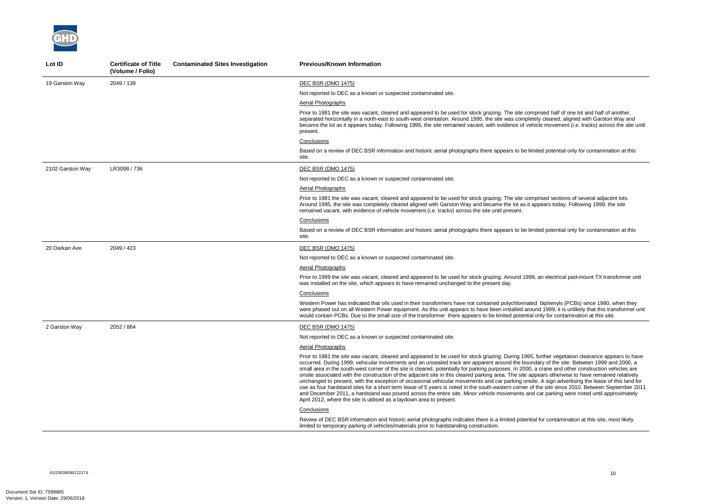

| Lot ID           | <b>Certificate of Title</b><br>(Volume / Folio) | <b>Contaminated Sites Investigation</b> | <b>Previous/Known Information</b>                                                                                                                                                                                                                                                                                                                                                                                                                                                                                                                                                                                                                                                                                                                                                                                                     |
|------------------|-------------------------------------------------|-----------------------------------------|---------------------------------------------------------------------------------------------------------------------------------------------------------------------------------------------------------------------------------------------------------------------------------------------------------------------------------------------------------------------------------------------------------------------------------------------------------------------------------------------------------------------------------------------------------------------------------------------------------------------------------------------------------------------------------------------------------------------------------------------------------------------------------------------------------------------------------------|
| 19 Garston Way   | 2049 / 139                                      |                                         | <b>DEC BSR (DMO 1475)</b>                                                                                                                                                                                                                                                                                                                                                                                                                                                                                                                                                                                                                                                                                                                                                                                                             |
|                  |                                                 |                                         | Not reported to DEC as a known or suspected contaminated site.                                                                                                                                                                                                                                                                                                                                                                                                                                                                                                                                                                                                                                                                                                                                                                        |
|                  |                                                 |                                         | Aerial Photographs                                                                                                                                                                                                                                                                                                                                                                                                                                                                                                                                                                                                                                                                                                                                                                                                                    |
|                  |                                                 |                                         | Prior to 1981 the site was vacant, cleared and appeared to be used for stock grazing. The site compris<br>separated horizontally in a north-east to south-west orientation. Around 1995, the site was completely<br>became the lot as it appears today. Following 1995, the site remained vacant, with evidence of vehicle<br>present.                                                                                                                                                                                                                                                                                                                                                                                                                                                                                                |
|                  |                                                 |                                         | Conclusions                                                                                                                                                                                                                                                                                                                                                                                                                                                                                                                                                                                                                                                                                                                                                                                                                           |
|                  |                                                 |                                         | Based on a review of DEC BSR information and historic aerial photographs there appears to be limite<br>site.                                                                                                                                                                                                                                                                                                                                                                                                                                                                                                                                                                                                                                                                                                                          |
| 2102 Garston Way | LR3098 / 736                                    |                                         | <b>DEC BSR (DMO 1475)</b>                                                                                                                                                                                                                                                                                                                                                                                                                                                                                                                                                                                                                                                                                                                                                                                                             |
|                  |                                                 |                                         | Not reported to DEC as a known or suspected contaminated site.                                                                                                                                                                                                                                                                                                                                                                                                                                                                                                                                                                                                                                                                                                                                                                        |
|                  |                                                 |                                         | Aerial Photographs                                                                                                                                                                                                                                                                                                                                                                                                                                                                                                                                                                                                                                                                                                                                                                                                                    |
|                  |                                                 |                                         | Prior to 1981 the site was vacant, cleared and appeared to be used for stock grazing. The site compris<br>Around 1995, the site was completely cleared aligned with Garston Way and became the lot as it appe<br>remained vacant, with evidence of vehicle movement (i.e. tracks) across the site until present.                                                                                                                                                                                                                                                                                                                                                                                                                                                                                                                      |
|                  |                                                 |                                         | Conclusions                                                                                                                                                                                                                                                                                                                                                                                                                                                                                                                                                                                                                                                                                                                                                                                                                           |
|                  |                                                 |                                         | Based on a review of DEC BSR information and historic aerial photographs there appears to be limite<br>site.                                                                                                                                                                                                                                                                                                                                                                                                                                                                                                                                                                                                                                                                                                                          |
| 20 Darkan Ave    | 2049 / 423                                      |                                         | DEC BSR (DMO 1475)                                                                                                                                                                                                                                                                                                                                                                                                                                                                                                                                                                                                                                                                                                                                                                                                                    |
|                  |                                                 |                                         | Not reported to DEC as a known or suspected contaminated site.                                                                                                                                                                                                                                                                                                                                                                                                                                                                                                                                                                                                                                                                                                                                                                        |
|                  |                                                 |                                         | Aerial Photographs                                                                                                                                                                                                                                                                                                                                                                                                                                                                                                                                                                                                                                                                                                                                                                                                                    |
|                  |                                                 |                                         | Prior to 1999 the site was vacant, cleared and appeared to be used for stock grazing. Around 1999, ar<br>was installed on the site, which appears to have remained unchanged to the present day.                                                                                                                                                                                                                                                                                                                                                                                                                                                                                                                                                                                                                                      |
|                  |                                                 |                                         | <b>Conclusions</b>                                                                                                                                                                                                                                                                                                                                                                                                                                                                                                                                                                                                                                                                                                                                                                                                                    |
|                  |                                                 |                                         | Western Power has indicated that oils used in their transformers have not contained polychlorinated k<br>were phased out on all Western Power equipment. As this unit appears to have been installed around<br>would contain PCBs. Due to the small size of the transformer there appears to be limited potential on                                                                                                                                                                                                                                                                                                                                                                                                                                                                                                                  |
| 2 Garston Way    | 2052 / 864                                      |                                         | <b>DEC BSR (DMO 1475)</b>                                                                                                                                                                                                                                                                                                                                                                                                                                                                                                                                                                                                                                                                                                                                                                                                             |
|                  |                                                 |                                         | Not reported to DEC as a known or suspected contaminated site.                                                                                                                                                                                                                                                                                                                                                                                                                                                                                                                                                                                                                                                                                                                                                                        |
|                  |                                                 |                                         | <b>Aerial Photographs</b>                                                                                                                                                                                                                                                                                                                                                                                                                                                                                                                                                                                                                                                                                                                                                                                                             |
|                  |                                                 |                                         | Prior to 1981 the site was vacant, cleared and appeared to be used for stock grazing. During 1995, fur-<br>occurred. During 1999, vehicular movements and an unsealed track are apparent around the boundar<br>small area in the south-west corner of the site is cleared, potentially for parking purposes. In 2000, a c<br>onsite associated with the construction of the adjacent site in this cleared parking area. The site appea<br>unchanged to present, with the exception of occasional vehicular movements and car parking onsite.<br>use as four hardstand sites for a short term lease of 5 years is noted in the south-eastern corner of the<br>and December 2011, a hardstand was poured across the entire site. Minor vehicle movements and ca<br>April 2012, where the site is utilised as a laydown area to present. |
|                  |                                                 |                                         | Conclusions                                                                                                                                                                                                                                                                                                                                                                                                                                                                                                                                                                                                                                                                                                                                                                                                                           |
|                  |                                                 |                                         | Review of DEC BSR information and historic aerial photographs indicates there is a limited potential for<br>limited to temporary parking of vehicles/materials prior to hardstanding construction.                                                                                                                                                                                                                                                                                                                                                                                                                                                                                                                                                                                                                                    |

sed half of one lot and half of another, deared, aligned with Garston Way and  $\overline{e}$  movement (i.e. tracks) across the site until

ed potential only for contamination at this

sed sections of several adjacent lots. ears today. Following 1999, the site

d potential only for contamination at this

n electrical pad-mount TX transformer unit

biphenyls (PCBs) since 1980, when they 1999, it is unlikely that this transformer unit ly for contamination at this site.

rther vegetation clearance appears to have ry of the site. Between 1999 and 2000, a  $\frac{1}{2}$  rane and other construction vehicles are ars otherwise to have remained relatively A sign advertising the lease of this land for e site since 2010. Between September 2011 ar parking were noted until approximately

or contamination at this site, most likely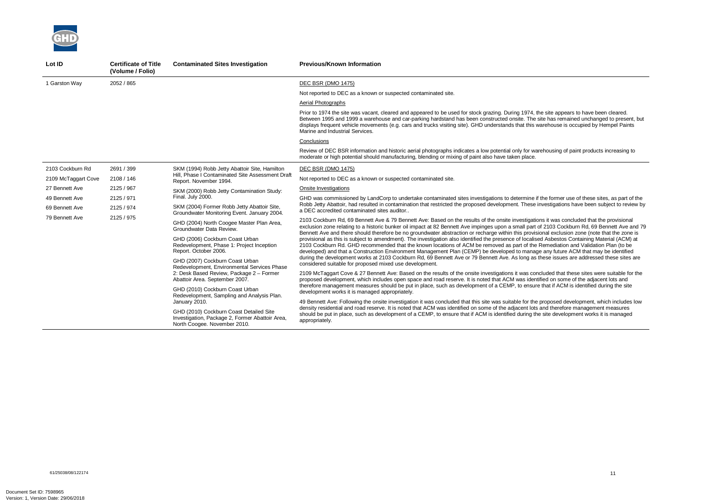the former use of these sites, as part of the Robb Jetty Abattoir, had resulted in contamination that restricted the proposed development. These investigations have been subject to review by

ns it was concluded that the provisional f 2103 Cockburn Rd, 69 Bennett Ave and 79 Benzo dischment Ave groundwater abstraction or received the strategies or  $\frac{1}{2}$ ed Asbestos Containing Material (ACM) at Remediation and Validation Plan (to be any future ACM that may be identified hese issues are addressed these sites are

cluded that these sites were suitable for the ified on some of the adjacent lots and that if ACM is identified during the site

proposed development, which includes low and therefore management measures site development works it is managed



| Lot ID              | <b>Certificate of Title</b><br>(Volume / Folio) | <b>Contaminated Sites Investigation</b>                                                                                    | <b>Previous/Known Information</b>                                                                                                                                                                                                                                                                                                                       |
|---------------------|-------------------------------------------------|----------------------------------------------------------------------------------------------------------------------------|---------------------------------------------------------------------------------------------------------------------------------------------------------------------------------------------------------------------------------------------------------------------------------------------------------------------------------------------------------|
| 1 Garston Way       | 2052 / 865                                      |                                                                                                                            | DEC BSR (DMO 1475)                                                                                                                                                                                                                                                                                                                                      |
|                     |                                                 |                                                                                                                            | Not reported to DEC as a known or suspected contaminated site.                                                                                                                                                                                                                                                                                          |
|                     |                                                 |                                                                                                                            | Aerial Photographs                                                                                                                                                                                                                                                                                                                                      |
|                     |                                                 |                                                                                                                            | Prior to 1974 the site was vacant, cleared and appeared to be used for stock grazing. During 1974, the<br>Between 1995 and 1999 a warehouse and car-parking hardstand has been constructed onsite. The si<br>displays frequent vehicle movements (e.g. cars and trucks visiting site). GHD understands that this way<br>Marine and Industrial Services. |
|                     |                                                 |                                                                                                                            | Conclusions                                                                                                                                                                                                                                                                                                                                             |
|                     |                                                 |                                                                                                                            | Review of DEC BSR information and historic aerial photographs indicates a low potential only for ware<br>moderate or high potential should manufacturing, blending or mixing of paint also have taken place.                                                                                                                                            |
| 2103 Cockburn Rd    | 2691 / 399                                      | SKM (1994) Robb Jetty Abattoir Site, Hamilton                                                                              | <b>DEC BSR (DMO 1475)</b>                                                                                                                                                                                                                                                                                                                               |
| 2109 McTaggart Cove | 2108 / 146                                      | Hill, Phase I Contaminated Site Assessment Draft<br>Report. November 1994.                                                 | Not reported to DEC as a known or suspected contaminated site.                                                                                                                                                                                                                                                                                          |
| 27 Bennett Ave      | 2125 / 967                                      | SKM (2000) Robb Jetty Contamination Study:                                                                                 | Onsite Investigations                                                                                                                                                                                                                                                                                                                                   |
| 49 Bennett Ave      | 2125 / 971                                      | Final. July 2000.                                                                                                          | GHD was commissioned by LandCorp to undertake contaminated sites investigations to determine if t<br>Robb Jetty Abattoir, had resulted in contamination that restricted the proposed development. These in<br>a DEC accredited contaminated sites auditor                                                                                               |
| 69 Bennett Ave      | 2125 / 974                                      | SKM (2004) Former Robb Jetty Abattoir Site,<br>Groundwater Monitoring Event. January 2004.                                 |                                                                                                                                                                                                                                                                                                                                                         |
| 79 Bennett Ave      | 2125 / 975                                      | GHD (2004) North Coogee Master Plan Area,<br>Groundwater Data Review.                                                      | 2103 Cockburn Rd, 69 Bennett Ave & 79 Bennett Ave: Based on the results of the onsite investigatior<br>exclusion zone relating to a historic bunker oil impact at 82 Bennett Ave impinges upon a small part of<br>Bennett Ave and there should therefore be no groundwater abstraction or recharge within this provision                                |
|                     |                                                 | GHD (2006) Cockburn Coast Urban<br>Redevelopment, Phase 1: Project Inception<br>Report. October 2006.                      | provisional as this is subject to amendment). The investigation also identified the presence of localise<br>2103 Cockburn Rd. GHD recommended that the known locations of ACM be removed as part of the F<br>developed) and that a Construction Environment Management Plan (CEMP) be developed to manage                                               |
|                     |                                                 | GHD (2007) Cockburn Coast Urban<br>Redevelopment, Environmental Services Phase                                             | during the development works at 2103 Cockburn Rd, 69 Bennett Ave or 79 Bennett Ave. As long as th<br>considered suitable for proposed mixed use development.                                                                                                                                                                                            |
|                     |                                                 | 2: Desk Based Review, Package 2 - Former<br>Abattoir Area. September 2007.                                                 | 2109 McTaggart Cove & 27 Bennett Ave: Based on the results of the onsite investigations it was conc<br>proposed development, which includes open space and road reserve. It is noted that ACM was identif                                                                                                                                               |
|                     |                                                 | GHD (2010) Cockburn Coast Urban<br>Redevelopment, Sampling and Analysis Plan.                                              | therefore management measures should be put in place, such as development of a CEMP, to ensure<br>development works it is managed appropriately.                                                                                                                                                                                                        |
|                     | January 2010.                                   |                                                                                                                            | 49 Bennett Ave: Following the onsite investigation it was concluded that this site was suitable for the p                                                                                                                                                                                                                                               |
|                     |                                                 | GHD (2010) Cockburn Coast Detailed Site<br>Investigation, Package 2, Former Abattoir Area,<br>North Coogee. November 2010. | density residential and road reserve. It is noted that ACM was identified on some of the adjacent lots a<br>should be put in place, such as development of a CEMP, to ensure that if ACM is identified during the<br>appropriately.                                                                                                                     |

he site appears to have been cleared. site has remained unchanged to present, but varehouse is occupied by Hempel Paints

rehousing of paint products increasing to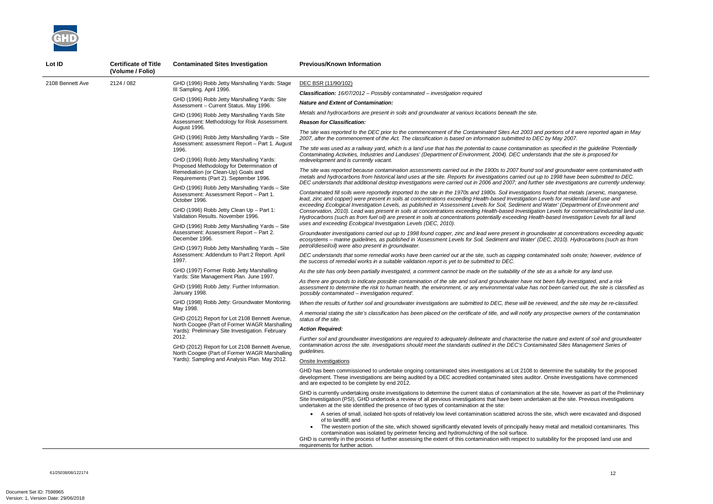*The site was reported to the DEC prior to the commencement of the Contaminated Sites Act 2003 and portions of it were reported again in May 2007, after the commencement of the Act. The classification is based on information submitted to DEC by May 2007.* 

*The site was used as a railway yard, which is a land use that has the potential to cause contamination as specified in the guideline 'Potentially Contaminating Activities, Industries and Landuses' (Department of Environment, 2004). DEC understands that the site is proposed for* 

*The site was reported because contamination assessments carried out in the 1900s to 2007 found soil and groundwater were contaminated with metals and hydrocarbons from historical land uses at the site. Reports for investigations carried out up to 1998 have been submitted to DEC. DEC understands that additional desktop investigations were carried out in 2006 and 2007; and further site investigations are currently underway.* 

*Contaminated fill soils were reportedly imported to the site in the 1970s and 1980s. Soil investigations found that metals (arsenic, manganese, lead, zinc and copper) were present in soils at concentrations exceeding Health-based Investigation Levels for residential land use and exceeding Ecological Investigation Levels, as published in 'Assessment Levels for Soil, Sediment and Water' (Department of Environment and Conservation, 2010). Lead was present in soils at concentrations exceeding Health-based Investigation Levels for commercial/industrial land use. Hydrocarbons (such as from fuel oil) are present in soils at concentrations potentially exceeding Health-based Investigation Levels for all land* 



| Lot ID           | <b>Certificate of Title</b><br>(Volume / Folio) | <b>Contaminated Sites Investigation</b>                                                                                                                                                                                                                                                                                                                                                                                                                                               | <b>Previous/Known Information</b>                                                                                                                                                                                                                                                                                                                                                                                                                                        |
|------------------|-------------------------------------------------|---------------------------------------------------------------------------------------------------------------------------------------------------------------------------------------------------------------------------------------------------------------------------------------------------------------------------------------------------------------------------------------------------------------------------------------------------------------------------------------|--------------------------------------------------------------------------------------------------------------------------------------------------------------------------------------------------------------------------------------------------------------------------------------------------------------------------------------------------------------------------------------------------------------------------------------------------------------------------|
| 2108 Bennett Ave | 2124 / 082                                      | GHD (1996) Robb Jetty Marshalling Yards: Stage                                                                                                                                                                                                                                                                                                                                                                                                                                        | DEC BSR (11/90/102)                                                                                                                                                                                                                                                                                                                                                                                                                                                      |
|                  |                                                 | III Sampling. April 1996.                                                                                                                                                                                                                                                                                                                                                                                                                                                             | <b>Classification:</b> 16/07/2012 - Possibly contaminated - investigation required                                                                                                                                                                                                                                                                                                                                                                                       |
|                  |                                                 | GHD (1996) Robb Jetty Marshalling Yards: Site<br>Assessment - Current Status. May 1996.                                                                                                                                                                                                                                                                                                                                                                                               | <b>Nature and Extent of Contamination:</b>                                                                                                                                                                                                                                                                                                                                                                                                                               |
|                  |                                                 | GHD (1996) Robb Jetty Marshalling Yards Site                                                                                                                                                                                                                                                                                                                                                                                                                                          | Metals and hydrocarbons are present in soils and groundwater at various locations beneath the site.                                                                                                                                                                                                                                                                                                                                                                      |
|                  |                                                 | Assessment: Methodology for Risk Assessment.<br>August 1996.<br>GHD (1996) Robb Jetty Marshalling Yards - Site<br>Assessment: assessment Report - Part 1. August                                                                                                                                                                                                                                                                                                                      | <b>Reason for Classification:</b>                                                                                                                                                                                                                                                                                                                                                                                                                                        |
|                  |                                                 |                                                                                                                                                                                                                                                                                                                                                                                                                                                                                       | The site was reported to the DEC prior to the commencement of the Contaminated Sites Act 2003 and<br>2007, after the commencement of the Act. The classification is based on information submitted to DEC                                                                                                                                                                                                                                                                |
|                  |                                                 | 1996.<br>GHD (1996) Robb Jetty Marshalling Yards:                                                                                                                                                                                                                                                                                                                                                                                                                                     | The site was used as a railway yard, which is a land use that has the potential to cause contamination<br>Contaminating Activities, Industries and Landuses' (Department of Environment, 2004). DEC understa<br>redevelopment and is currently vacant.                                                                                                                                                                                                                   |
|                  |                                                 | Proposed Methodology for Determination of<br>Remediation (or Clean-Up) Goals and<br>Requirements (Part 2). September 1996.                                                                                                                                                                                                                                                                                                                                                            | The site was reported because contamination assessments carried out in the 1900s to 2007 found soi.<br>metals and hydrocarbons from historical land uses at the site. Reports for investigations carried out up                                                                                                                                                                                                                                                          |
|                  |                                                 | GHD (1996) Robb Jetty Marshalling Yards - Site<br>Assessment: Assessment Report - Part 1.<br>October 1996.                                                                                                                                                                                                                                                                                                                                                                            | DEC understands that additional desktop investigations were carried out in 2006 and 2007; and furthe<br>Contaminated fill soils were reportedly imported to the site in the 1970s and 1980s. Soil investigations<br>lead, zinc and copper) were present in soils at concentrations exceeding Health-based Investigation Lo                                                                                                                                               |
|                  |                                                 | GHD (1996) Robb Jetty Clean Up - Part 1:<br>Validation Results. November 1996.                                                                                                                                                                                                                                                                                                                                                                                                        | exceeding Ecological Investigation Levels, as published in 'Assessment Levels for Soil, Sediment and<br>Conservation, 2010). Lead was present in soils at concentrations exceeding Health-based Investigatio<br>Hydrocarbons (such as from fuel oil) are present in soils at concentrations potentially exceeding Health                                                                                                                                                 |
|                  | December 1996.                                  | GHD (1996) Robb Jetty Marshalling Yards - Site<br>Assessment: Assessment Report - Part 2.                                                                                                                                                                                                                                                                                                                                                                                             | uses and exceeding Ecological Investigation Levels (DEC, 2010).<br>Groundwater investigations carried out up to 1998 found copper, zinc and lead were present in ground<br>ecosystems - marine guidelines, as published in 'Assessment Levels for Soil, Sediment and Water' (D                                                                                                                                                                                           |
|                  |                                                 | GHD (1997) Robb Jetty Marshalling Yards - Site                                                                                                                                                                                                                                                                                                                                                                                                                                        | petrol/diesel/oil) were also present in groundwater.                                                                                                                                                                                                                                                                                                                                                                                                                     |
|                  |                                                 | Assessment: Addendum to Part 2 Report. April<br>1997.                                                                                                                                                                                                                                                                                                                                                                                                                                 | DEC understands that some remedial works have been carried out at the site, such as capping contan<br>the success of remedial works in a suitable validation report is yet to be submitted to DEC.                                                                                                                                                                                                                                                                       |
|                  |                                                 | GHD (1997) Former Robb Jetty Marshalling<br>Yards: Site Management Plan. June 1997.<br>GHD (1998) Robb Jetty: Further Information.<br>January 1998.<br>GHD (1998) Robb Jetty: Groundwater Monitoring.<br>May 1998.<br>GHD (2012) Report for Lot 2108 Bennett Avenue,<br>North Coogee (Part of Former WAGR Marshalling<br>Yards): Preliminary Site Investigation. February<br>2012.<br>GHD (2012) Report for Lot 2108 Bennett Avenue,<br>North Coogee (Part of Former WAGR Marshalling | As the site has only been partially investigated, a comment cannot be made on the suitability of the site                                                                                                                                                                                                                                                                                                                                                                |
|                  |                                                 |                                                                                                                                                                                                                                                                                                                                                                                                                                                                                       | As there are grounds to indicate possible contamination of the site and soil and groundwater have not<br>assessment to determine the risk to human health, the environment, or any environmental value has n<br>'possibly contaminated - investigation required'.                                                                                                                                                                                                        |
|                  |                                                 |                                                                                                                                                                                                                                                                                                                                                                                                                                                                                       | When the results of further soil and groundwater investigations are submitted to DEC, these will be rev                                                                                                                                                                                                                                                                                                                                                                  |
|                  |                                                 |                                                                                                                                                                                                                                                                                                                                                                                                                                                                                       | A memorial stating the site's classification has been placed on the certificate of title, and will notify any<br>status of the site.                                                                                                                                                                                                                                                                                                                                     |
|                  |                                                 |                                                                                                                                                                                                                                                                                                                                                                                                                                                                                       | <b>Action Required:</b>                                                                                                                                                                                                                                                                                                                                                                                                                                                  |
|                  |                                                 |                                                                                                                                                                                                                                                                                                                                                                                                                                                                                       | Further soil and groundwater investigations are required to adequately delineate and characterise the<br>contamination across the site. Investigations should meet the standards outlined in the DEC's Contam<br>guidelines.                                                                                                                                                                                                                                             |
|                  |                                                 | Yards): Sampling and Analysis Plan. May 2012.                                                                                                                                                                                                                                                                                                                                                                                                                                         | Onsite Investigations                                                                                                                                                                                                                                                                                                                                                                                                                                                    |
|                  |                                                 |                                                                                                                                                                                                                                                                                                                                                                                                                                                                                       | GHD has been commissioned to undertake ongoing contaminated sites investigations at Lot 2108 to d<br>development. These investigations are being audited by a DEC accredited contaminated sites auditor.<br>and are expected to be complete by end 2012.                                                                                                                                                                                                                 |
|                  |                                                 |                                                                                                                                                                                                                                                                                                                                                                                                                                                                                       | GHD is currently undertaking onsite investigations to determine the current status of contamination at t<br>Site Investigation (PSI), GHD undertook a review of all previous investigations that have been undertal<br>undertaken at the site identified the presence of two types of contamination at the site:                                                                                                                                                         |
|                  |                                                 |                                                                                                                                                                                                                                                                                                                                                                                                                                                                                       | • A series of small, isolated hot-spots of relatively low level contamination scattered across the<br>of to landfill; and<br>The western portion of the site, which showed significantly elevated levels of principally heavy<br>contamination was isolated by perimeter fencing and hydromulching of the soil surface.<br>GHD is currently in the process of further assessing the extent of this contamination with respect to sui<br>requirements for further action. |

*Groundwater investigations carried out up to 1998 found copper, zinc and lead were present in groundwater at concentrations exceeding aquatic ecosystems – marine guidelines, as published in 'Assessment Levels for Soil, Sediment and Water' (DEC, 2010). Hydrocarbons (such as from* 

*DEC understands that some remedial works have been carried out at the site, such as capping contaminated soils onsite; however, evidence of* 

*As the site has only been partially investigated, a comment cannot be made on the suitability of the site as a whole for any land use.* 

*As there are grounds to indicate possible contamination of the site and soil and groundwater have not been fully investigated, and a risk assessment to determine the risk to human health, the environment, or any environmental value has not been carried out, the site is classified as* 

*When the results of further soil and groundwater investigations are submitted to DEC, these will be reviewed, and the site may be re-classified.* 

*A memorial stating the site's classification has been placed on the certificate of title, and will notify any prospective owners of the contamination* 

*Further soil and groundwater investigations are required to adequately delineate and characterise the nature and extent of soil and groundwater contamination across the site. Investigations should meet the standards outlined in the DEC's Contaminated Sites Management Series of* 

determine the suitability for the proposed . Onsite investigations have commenced

the site, however as part of the Preliminary aken at the site. Previous investigations in

site, which were excavated and disposed

y metal and metalloid contaminants. This

iitability for the proposed land use and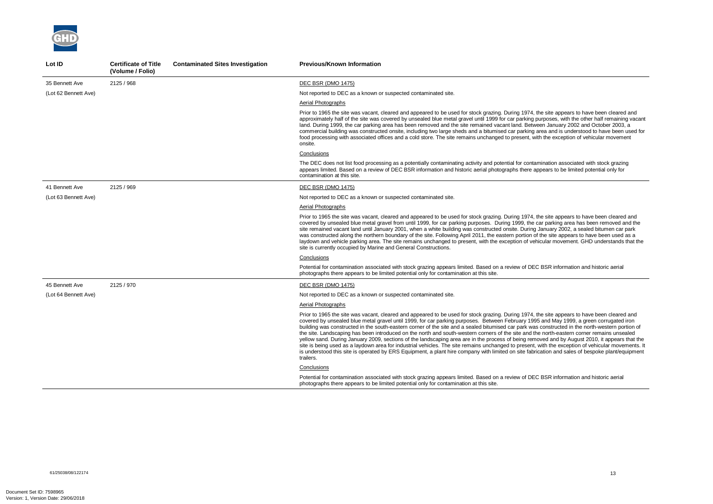

| Lot ID               | <b>Certificate of Title</b><br>(Volume / Folio) | <b>Contaminated Sites Investigation</b> | <b>Previous/Known Information</b>                                                                                                                                                                                                                                                                                                                                                                                                                                                                                                                                                                                                                                                                                                                                                                                                                                                                                                                                                                                                                                  |
|----------------------|-------------------------------------------------|-----------------------------------------|--------------------------------------------------------------------------------------------------------------------------------------------------------------------------------------------------------------------------------------------------------------------------------------------------------------------------------------------------------------------------------------------------------------------------------------------------------------------------------------------------------------------------------------------------------------------------------------------------------------------------------------------------------------------------------------------------------------------------------------------------------------------------------------------------------------------------------------------------------------------------------------------------------------------------------------------------------------------------------------------------------------------------------------------------------------------|
| 35 Bennett Ave       | 2125 / 968                                      |                                         | <b>DEC BSR (DMO 1475)</b>                                                                                                                                                                                                                                                                                                                                                                                                                                                                                                                                                                                                                                                                                                                                                                                                                                                                                                                                                                                                                                          |
| (Lot 62 Bennett Ave) |                                                 |                                         | Not reported to DEC as a known or suspected contaminated site.                                                                                                                                                                                                                                                                                                                                                                                                                                                                                                                                                                                                                                                                                                                                                                                                                                                                                                                                                                                                     |
|                      |                                                 |                                         | Aerial Photographs                                                                                                                                                                                                                                                                                                                                                                                                                                                                                                                                                                                                                                                                                                                                                                                                                                                                                                                                                                                                                                                 |
|                      |                                                 |                                         | Prior to 1965 the site was vacant, cleared and appeared to be used for stock grazing. During 1974, the site appears to have been cleared and<br>approximately half of the site was covered by unsealed blue metal gravel until 1999 for car parking purposes, with the other half remaining vacant<br>land. During 1999, the car parking area has been removed and the site remained vacant land. Between January 2002 and October 2003, a<br>commercial building was constructed onsite, including two large sheds and a bitumised car parking area and is understood to have been used for<br>food processing with associated offices and a cold store. The site remains unchanged to present, with the exception of vehicular movement<br>onsite.                                                                                                                                                                                                                                                                                                               |
|                      |                                                 |                                         | Conclusions                                                                                                                                                                                                                                                                                                                                                                                                                                                                                                                                                                                                                                                                                                                                                                                                                                                                                                                                                                                                                                                        |
|                      |                                                 |                                         | The DEC does not list food processing as a potentially contaminating activity and potential for contamination associated with stock grazing<br>appears limited. Based on a review of DEC BSR information and historic aerial photographs there appears to be limited potential only for<br>contamination at this site.                                                                                                                                                                                                                                                                                                                                                                                                                                                                                                                                                                                                                                                                                                                                             |
| 41 Bennett Ave       | 2125 / 969                                      |                                         | DEC BSR (DMO 1475)                                                                                                                                                                                                                                                                                                                                                                                                                                                                                                                                                                                                                                                                                                                                                                                                                                                                                                                                                                                                                                                 |
| (Lot 63 Bennett Ave) |                                                 |                                         | Not reported to DEC as a known or suspected contaminated site.                                                                                                                                                                                                                                                                                                                                                                                                                                                                                                                                                                                                                                                                                                                                                                                                                                                                                                                                                                                                     |
|                      |                                                 |                                         | <b>Aerial Photographs</b>                                                                                                                                                                                                                                                                                                                                                                                                                                                                                                                                                                                                                                                                                                                                                                                                                                                                                                                                                                                                                                          |
|                      |                                                 |                                         | Prior to 1965 the site was vacant, cleared and appeared to be used for stock grazing. During 1974, the site appears to have been cleared and<br>covered by unsealed blue metal gravel from until 1999, for car parking purposes. During 1999, the car parking area has been removed and the<br>site remained vacant land until January 2001, when a white building was constructed onsite. During January 2002, a sealed bitumen car park<br>was constructed along the northern boundary of the site. Following April 2011, the eastern portion of the site appears to have been used as a<br>laydown and vehicle parking area. The site remains unchanged to present, with the exception of vehicular movement. GHD understands that the<br>site is currently occupied by Marine and General Constructions.                                                                                                                                                                                                                                                       |
|                      |                                                 |                                         | Conclusions                                                                                                                                                                                                                                                                                                                                                                                                                                                                                                                                                                                                                                                                                                                                                                                                                                                                                                                                                                                                                                                        |
|                      |                                                 |                                         | Potential for contamination associated with stock grazing appears limited. Based on a review of DEC BSR information and historic aerial<br>photographs there appears to be limited potential only for contamination at this site.                                                                                                                                                                                                                                                                                                                                                                                                                                                                                                                                                                                                                                                                                                                                                                                                                                  |
| 45 Bennett Ave       | 2125 / 970                                      |                                         | <b>DEC BSR (DMO 1475)</b>                                                                                                                                                                                                                                                                                                                                                                                                                                                                                                                                                                                                                                                                                                                                                                                                                                                                                                                                                                                                                                          |
| (Lot 64 Bennett Ave) |                                                 |                                         | Not reported to DEC as a known or suspected contaminated site.                                                                                                                                                                                                                                                                                                                                                                                                                                                                                                                                                                                                                                                                                                                                                                                                                                                                                                                                                                                                     |
|                      |                                                 |                                         | <b>Aerial Photographs</b>                                                                                                                                                                                                                                                                                                                                                                                                                                                                                                                                                                                                                                                                                                                                                                                                                                                                                                                                                                                                                                          |
|                      |                                                 |                                         | Prior to 1965 the site was vacant, cleared and appeared to be used for stock grazing. During 1974, the site appears to have been cleared and<br>covered by unsealed blue metal gravel until 1999, for car parking purposes. Between February 1995 and May 1999, a green corrugated iron<br>building was constructed in the south-eastern corner of the site and a sealed bitumised car park was constructed in the north-western portion of<br>the site. Landscaping has been introduced on the north and south-western corners of the site and the north-eastern corner remains unsealed<br>yellow sand. During January 2009, sections of the landscaping area are in the process of being removed and by August 2010, it appears that the<br>site is being used as a laydown area for industrial vehicles. The site remains unchanged to present, with the exception of vehicular movements. It<br>is understood this site is operated by ERS Equipment, a plant hire company with limited on site fabrication and sales of bespoke plant/equipment<br>trailers. |
|                      |                                                 |                                         | Conclusions                                                                                                                                                                                                                                                                                                                                                                                                                                                                                                                                                                                                                                                                                                                                                                                                                                                                                                                                                                                                                                                        |
|                      |                                                 |                                         | Potential for contamination associated with stock grazing appears limited. Based on a review of DEC BSR information and historic aerial<br>photographs there appears to be limited potential only for contamination at this site.                                                                                                                                                                                                                                                                                                                                                                                                                                                                                                                                                                                                                                                                                                                                                                                                                                  |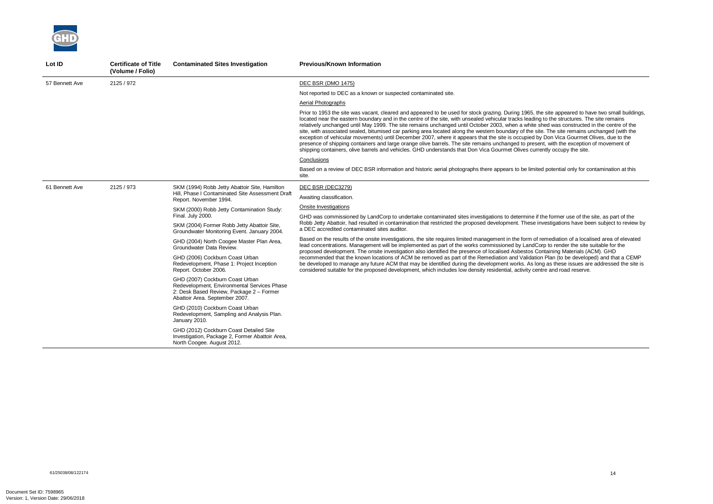

| Lot ID         | <b>Certificate of Title</b><br>(Volume / Folio) | <b>Contaminated Sites Investigation</b>                                                                                                                      | <b>Previous/Known Information</b>                                                                                                                                                                                                                                                                                                                                                                                                                                                                                                                                                                                                                                                                                                                                                                                                                                                                                                                                                                                |
|----------------|-------------------------------------------------|--------------------------------------------------------------------------------------------------------------------------------------------------------------|------------------------------------------------------------------------------------------------------------------------------------------------------------------------------------------------------------------------------------------------------------------------------------------------------------------------------------------------------------------------------------------------------------------------------------------------------------------------------------------------------------------------------------------------------------------------------------------------------------------------------------------------------------------------------------------------------------------------------------------------------------------------------------------------------------------------------------------------------------------------------------------------------------------------------------------------------------------------------------------------------------------|
| 57 Bennett Ave | 2125 / 972                                      |                                                                                                                                                              | <b>DEC BSR (DMO 1475)</b>                                                                                                                                                                                                                                                                                                                                                                                                                                                                                                                                                                                                                                                                                                                                                                                                                                                                                                                                                                                        |
|                |                                                 |                                                                                                                                                              | Not reported to DEC as a known or suspected contaminated site.                                                                                                                                                                                                                                                                                                                                                                                                                                                                                                                                                                                                                                                                                                                                                                                                                                                                                                                                                   |
|                |                                                 |                                                                                                                                                              | Aerial Photographs                                                                                                                                                                                                                                                                                                                                                                                                                                                                                                                                                                                                                                                                                                                                                                                                                                                                                                                                                                                               |
|                |                                                 |                                                                                                                                                              | Prior to 1953 the site was vacant, cleared and appeared to be used for stock grazing. During 1965, the site appeared to have two small buildir<br>located near the eastern boundary and in the centre of the site, with unsealed vehicular tracks leading to the structures. The site remains<br>relatively unchanged until May 1999. The site remains unchanged until October 2003, when a white shed was constructed in the centre of the<br>site, with associated sealed, bitumised car parking area located along the western boundary of the site. The site remains unchanged (with the<br>exception of vehicular movements) until December 2007, where it appears that the site is occupied by Don Vica Gourmet Olives, due to the<br>presence of shipping containers and large orange olive barrels. The site remains unchanged to present, with the exception of movement of<br>shipping containers, olive barrels and vehicles. GHD understands that Don Vica Gourmet Olives currently occupy the site. |
|                |                                                 |                                                                                                                                                              | Conclusions                                                                                                                                                                                                                                                                                                                                                                                                                                                                                                                                                                                                                                                                                                                                                                                                                                                                                                                                                                                                      |
|                |                                                 |                                                                                                                                                              | Based on a review of DEC BSR information and historic aerial photographs there appears to be limited potential only for contamination at this<br>site.                                                                                                                                                                                                                                                                                                                                                                                                                                                                                                                                                                                                                                                                                                                                                                                                                                                           |
| 61 Bennett Ave | 2125 / 973                                      | SKM (1994) Robb Jetty Abattoir Site, Hamilton<br>Hill, Phase I Contaminated Site Assessment Draft<br>Report. November 1994.                                  | DEC BSR (DEC3279)                                                                                                                                                                                                                                                                                                                                                                                                                                                                                                                                                                                                                                                                                                                                                                                                                                                                                                                                                                                                |
|                |                                                 |                                                                                                                                                              | Awaiting classification.                                                                                                                                                                                                                                                                                                                                                                                                                                                                                                                                                                                                                                                                                                                                                                                                                                                                                                                                                                                         |
|                |                                                 | SKM (2000) Robb Jetty Contamination Study:                                                                                                                   | Onsite Investigations                                                                                                                                                                                                                                                                                                                                                                                                                                                                                                                                                                                                                                                                                                                                                                                                                                                                                                                                                                                            |
|                |                                                 | Final. July 2000.                                                                                                                                            | GHD was commissioned by LandCorp to undertake contaminated sites investigations to determine if the former use of the site, as part of the                                                                                                                                                                                                                                                                                                                                                                                                                                                                                                                                                                                                                                                                                                                                                                                                                                                                       |
|                |                                                 | SKM (2004) Former Robb Jetty Abattoir Site,<br>Groundwater Monitoring Event. January 2004.                                                                   | Robb Jetty Abattoir, had resulted in contamination that restricted the proposed development. These investigations have been subject to review<br>a DEC accredited contaminated sites auditor.                                                                                                                                                                                                                                                                                                                                                                                                                                                                                                                                                                                                                                                                                                                                                                                                                    |
|                |                                                 | GHD (2004) North Coogee Master Plan Area,<br>Groundwater Data Review.                                                                                        | Based on the results of the onsite investigations, the site requires limited management in the form of remediation of a localised area of elevate<br>lead concentrations. Management will be implemented as part of the works commissioned by LandCorp to render the site suitable for the<br>proposed development. The onsite investigation also identified the presence of localised Asbestos Containing Materials (ACM). GHD                                                                                                                                                                                                                                                                                                                                                                                                                                                                                                                                                                                  |
|                |                                                 | GHD (2006) Cockburn Coast Urban<br>Redevelopment, Phase 1: Project Inception<br>Report. October 2006.                                                        | recommended that the known locations of ACM be removed as part of the Remediation and Validation Plan (to be developed) and that a CEM<br>be developed to manage any future ACM that may be identified during the development works. As long as these issues are addressed the site<br>considered suitable for the proposed development, which includes low density residential, activity centre and road reserve.                                                                                                                                                                                                                                                                                                                                                                                                                                                                                                                                                                                               |
|                |                                                 | GHD (2007) Cockburn Coast Urban<br>Redevelopment, Environmental Services Phase<br>2: Desk Based Review, Package 2 - Former<br>Abattoir Area. September 2007. |                                                                                                                                                                                                                                                                                                                                                                                                                                                                                                                                                                                                                                                                                                                                                                                                                                                                                                                                                                                                                  |
|                |                                                 | GHD (2010) Cockburn Coast Urban<br>Redevelopment, Sampling and Analysis Plan.<br>January 2010.                                                               |                                                                                                                                                                                                                                                                                                                                                                                                                                                                                                                                                                                                                                                                                                                                                                                                                                                                                                                                                                                                                  |
|                |                                                 | GHD (2012) Cockburn Coast Detailed Site<br>Investigation, Package 2, Former Abattoir Area,<br>North Coogee. August 2012.                                     |                                                                                                                                                                                                                                                                                                                                                                                                                                                                                                                                                                                                                                                                                                                                                                                                                                                                                                                                                                                                                  |

e site appeared to have two small buildings, to the structures. The site remains relatively unchanged unchanged unchanged unchanged until  $\frac{1}{2}$  and  $\frac{1}{2}$  which is negatively beginned was constructed in the centre of the presence orange in the shipping containers and the site remains unchanged to present of  $n$ ently occupy the site.

the former use of the site, as part of the Robb Jetty Abattoir, had responsive that restricted the proposed investigations have been subject to review by

emediation of a localised area of elevated n Plan (to be developed) and that a CEMP  $n$ g as these issues are addressed the site is consideration include the proposed development, which is and road reserve.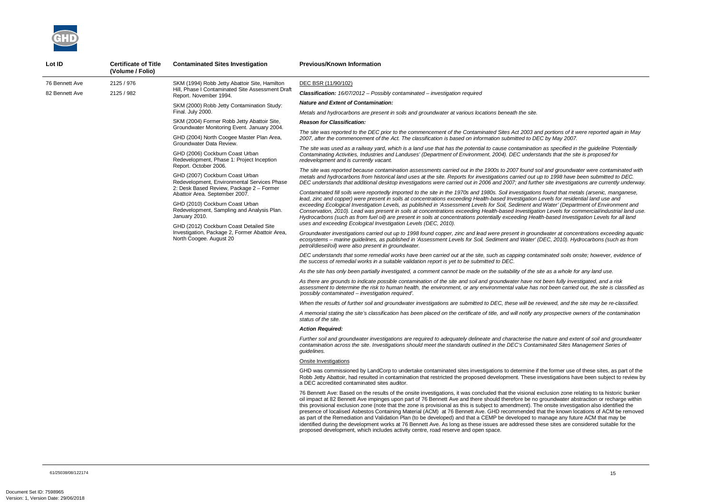*The site was reported to the DEC prior to the commencement of the Contaminated Sites Act 2003 and portions of it were reported again in May 2007, after the commencement of the Act. The classification is based on information submitted to DEC by May 2007.* 

*The site was used as a railway yard, which is a land use that has the potential to cause contamination as specified in the guideline 'Potentially Contaminating Activities, Industries and Landuses' (Department of Environment, 2004). DEC understands that the site is proposed for* 

*The site was reported because contamination assessments carried out in the 1900s to 2007 found soil and groundwater were contaminated with metals and hydrocarbons from historical land uses at the site. Reports for investigations carried out up to 1998 have been submitted to DEC. DEC understands that additional desktop investigations were carried out in 2006 and 2007; and further site investigations are currently underway.* 

*Contaminated fill soils were reportedly imported to the site in the 1970s and 1980s. Soil investigations found that metals (arsenic, manganese, lead, zinc and copper) were present in soils at concentrations exceeding Health-based Investigation Levels for residential land use and exceeding Ecological Investigation Levels, as published in 'Assessment Levels for Soil, Sediment and Water' (Department of Environment and Conservation, 2010). Lead was present in soils at concentrations exceeding Health-based Investigation Levels for commercial/industrial land use. Hydrocarbons (such as from fuel oil) are present in soils at concentrations potentially exceeding Health-based Investigation Levels for all land* 



| Lot ID         | <b>Certificate of Title</b><br>(Volume / Folio) | <b>Contaminated Sites Investigation</b>                                                                                                                                                                                                                                                               | <b>Previous/Known Information</b>                                                                                                                                                                                                                                                                                                                                                                                                                                                                                                                                                                                                                                                                                                    |                                                                                                                                                                                                                              |
|----------------|-------------------------------------------------|-------------------------------------------------------------------------------------------------------------------------------------------------------------------------------------------------------------------------------------------------------------------------------------------------------|--------------------------------------------------------------------------------------------------------------------------------------------------------------------------------------------------------------------------------------------------------------------------------------------------------------------------------------------------------------------------------------------------------------------------------------------------------------------------------------------------------------------------------------------------------------------------------------------------------------------------------------------------------------------------------------------------------------------------------------|------------------------------------------------------------------------------------------------------------------------------------------------------------------------------------------------------------------------------|
| 76 Bennett Ave | 2125 / 976                                      | SKM (1994) Robb Jetty Abattoir Site, Hamilton                                                                                                                                                                                                                                                         | DEC BSR (11/90/102)                                                                                                                                                                                                                                                                                                                                                                                                                                                                                                                                                                                                                                                                                                                  |                                                                                                                                                                                                                              |
| 82 Bennett Ave | 2125 / 982                                      | Hill, Phase I Contaminated Site Assessment Draft<br>Report. November 1994.                                                                                                                                                                                                                            | <b>Classification:</b> 16/07/2012 - Possibly contaminated - investigation required                                                                                                                                                                                                                                                                                                                                                                                                                                                                                                                                                                                                                                                   |                                                                                                                                                                                                                              |
|                |                                                 | SKM (2000) Robb Jetty Contamination Study:                                                                                                                                                                                                                                                            | <b>Nature and Extent of Contamination:</b>                                                                                                                                                                                                                                                                                                                                                                                                                                                                                                                                                                                                                                                                                           |                                                                                                                                                                                                                              |
|                |                                                 | Final. July 2000.                                                                                                                                                                                                                                                                                     | Metals and hydrocarbons are present in soils and groundwater at various locations beneath the site.                                                                                                                                                                                                                                                                                                                                                                                                                                                                                                                                                                                                                                  |                                                                                                                                                                                                                              |
|                |                                                 | SKM (2004) Former Robb Jetty Abattoir Site,<br>Groundwater Monitoring Event. January 2004.                                                                                                                                                                                                            | <b>Reason for Classification:</b>                                                                                                                                                                                                                                                                                                                                                                                                                                                                                                                                                                                                                                                                                                    |                                                                                                                                                                                                                              |
|                |                                                 | GHD (2004) North Coogee Master Plan Area,<br>Groundwater Data Review.                                                                                                                                                                                                                                 | The site was reported to the DEC prior to the commencement of the Contaminated Sites Act 2003 and<br>2007, after the commencement of the Act. The classification is based on information submitted to DEC                                                                                                                                                                                                                                                                                                                                                                                                                                                                                                                            |                                                                                                                                                                                                                              |
|                |                                                 | GHD (2006) Cockburn Coast Urban<br>Redevelopment, Phase 1: Project Inception<br>Report. October 2006.                                                                                                                                                                                                 | The site was used as a railway yard, which is a land use that has the potential to cause contamination<br>Contaminating Activities, Industries and Landuses' (Department of Environment, 2004). DEC understa<br>redevelopment and is currently vacant.                                                                                                                                                                                                                                                                                                                                                                                                                                                                               |                                                                                                                                                                                                                              |
|                |                                                 | GHD (2007) Cockburn Coast Urban<br>Redevelopment, Environmental Services Phase                                                                                                                                                                                                                        | The site was reported because contamination assessments carried out in the 1900s to 2007 found soi.<br>metals and hydrocarbons from historical land uses at the site. Reports for investigations carried out up<br>DEC understands that additional desktop investigations were carried out in 2006 and 2007; and furthe                                                                                                                                                                                                                                                                                                                                                                                                              |                                                                                                                                                                                                                              |
|                |                                                 | 2: Desk Based Review, Package 2 - Former<br>Abattoir Area. September 2007.<br>GHD (2010) Cockburn Coast Urban<br>Redevelopment, Sampling and Analysis Plan.<br>January 2010.<br>GHD (2012) Cockburn Coast Detailed Site<br>Investigation, Package 2, Former Abattoir Area,<br>North Coogee. August 20 | Contaminated fill soils were reportedly imported to the site in the 1970s and 1980s. Soil investigations<br>lead, zinc and copper) were present in soils at concentrations exceeding Health-based Investigation Lo<br>exceeding Ecological Investigation Levels, as published in 'Assessment Levels for Soil, Sediment and<br>Conservation, 2010). Lead was present in soils at concentrations exceeding Health-based Investigatio<br>Hydrocarbons (such as from fuel oil) are present in soils at concentrations potentially exceeding Healtl<br>uses and exceeding Ecological Investigation Levels (DEC, 2010).                                                                                                                    |                                                                                                                                                                                                                              |
|                |                                                 |                                                                                                                                                                                                                                                                                                       | Groundwater investigations carried out up to 1998 found copper, zinc and lead were present in ground<br>ecosystems - marine guidelines, as published in 'Assessment Levels for Soil, Sediment and Water' (D<br>petrol/diesel/oil) were also present in groundwater.                                                                                                                                                                                                                                                                                                                                                                                                                                                                  |                                                                                                                                                                                                                              |
|                |                                                 |                                                                                                                                                                                                                                                                                                       |                                                                                                                                                                                                                                                                                                                                                                                                                                                                                                                                                                                                                                                                                                                                      | DEC understands that some remedial works have been carried out at the site, such as capping contan<br>the success of remedial works in a suitable validation report is yet to be submitted to DEC.                           |
|                |                                                 |                                                                                                                                                                                                                                                                                                       | As the site has only been partially investigated, a comment cannot be made on the suitability of the site                                                                                                                                                                                                                                                                                                                                                                                                                                                                                                                                                                                                                            |                                                                                                                                                                                                                              |
|                |                                                 |                                                                                                                                                                                                                                                                                                       | As there are grounds to indicate possible contamination of the site and soil and groundwater have not<br>assessment to determine the risk to human health, the environment, or any environmental value has n<br>'possibly contaminated – investigation required'.                                                                                                                                                                                                                                                                                                                                                                                                                                                                    |                                                                                                                                                                                                                              |
|                |                                                 |                                                                                                                                                                                                                                                                                                       | When the results of further soil and groundwater investigations are submitted to DEC, these will be rev                                                                                                                                                                                                                                                                                                                                                                                                                                                                                                                                                                                                                              |                                                                                                                                                                                                                              |
|                |                                                 |                                                                                                                                                                                                                                                                                                       | A memorial stating the site's classification has been placed on the certificate of title, and will notify any<br>status of the site.                                                                                                                                                                                                                                                                                                                                                                                                                                                                                                                                                                                                 |                                                                                                                                                                                                                              |
|                |                                                 |                                                                                                                                                                                                                                                                                                       | <b>Action Required:</b>                                                                                                                                                                                                                                                                                                                                                                                                                                                                                                                                                                                                                                                                                                              |                                                                                                                                                                                                                              |
|                |                                                 |                                                                                                                                                                                                                                                                                                       |                                                                                                                                                                                                                                                                                                                                                                                                                                                                                                                                                                                                                                                                                                                                      | Further soil and groundwater investigations are required to adequately delineate and characterise the<br>contamination across the site. Investigations should meet the standards outlined in the DEC's Contam<br>quidelines. |
|                |                                                 |                                                                                                                                                                                                                                                                                                       | <b>Onsite Investigations</b>                                                                                                                                                                                                                                                                                                                                                                                                                                                                                                                                                                                                                                                                                                         |                                                                                                                                                                                                                              |
|                |                                                 |                                                                                                                                                                                                                                                                                                       | GHD was commissioned by LandCorp to undertake contaminated sites investigations to determine if the<br>Robb Jetty Abattoir, had resulted in contamination that restricted the proposed development. These in<br>a DEC accredited contaminated sites auditor.                                                                                                                                                                                                                                                                                                                                                                                                                                                                         |                                                                                                                                                                                                                              |
|                |                                                 |                                                                                                                                                                                                                                                                                                       | 76 Bennett Ave: Based on the results of the onsite investigations, it was concluded that the visional ex<br>oil impact at 82 Bennett Ave impinges upon part of 76 Bennett Ave and there should therefore be no g<br>this provisional exclusion zone (note that the zone is provisional as this is subject to amendment). The<br>presence of localised Asbestos Containing Material (ACM) at 76 Bennett Ave. GHD recommended that<br>as part of the Remediation and Validation Plan (to be developed) and that a CEMP be developed to m<br>identified during the development works at 76 Bennett Ave. As long as these issues are addressed the<br>proposed development, which includes activity centre, road reserve and open space. |                                                                                                                                                                                                                              |
|                |                                                 |                                                                                                                                                                                                                                                                                                       |                                                                                                                                                                                                                                                                                                                                                                                                                                                                                                                                                                                                                                                                                                                                      |                                                                                                                                                                                                                              |

*Groundwater investigations carried out up to 1998 found copper, zinc and lead were present in groundwater at concentrations exceeding aquatic ecosystems – marine guidelines, as published in 'Assessment Levels for Soil, Sediment and Water' (DEC, 2010). Hydrocarbons (such as from* 

*DEC understands that some remedial works have been carried out at the site, such as capping contaminated soils onsite; however, evidence of* 

*As the site has only been partially investigated, a comment cannot be made on the suitability of the site as a whole for any land use.* 

*As there are grounds to indicate possible contamination of the site and soil and groundwater have not been fully investigated, and a risk assessment to determine the risk to human health, the environment, or any environmental value has not been carried out, the site is classified as* 

*When the results of further soil and groundwater investigations are submitted to DEC, these will be reviewed, and the site may be re-classified.* 

*A memorial stating the site's classification has been placed on the certificate of title, and will notify any prospective owners of the contamination* 

*Further soil and groundwater investigations are required to adequately delineate and characterise the nature and extent of soil and groundwater contamination across the site. Investigations should meet the standards outlined in the DEC's Contaminated Sites Management Series of* 

he former use of these sites, as part of the vestigations have been subject to review by

 $x$ clusion zone relating to ta historic bunker groundwater abstraction or recharge within of provision also identified the zonsite investigation also identified the at the known locations of ACM be removed anage any future ACM that may be ese sites are considered suitable for the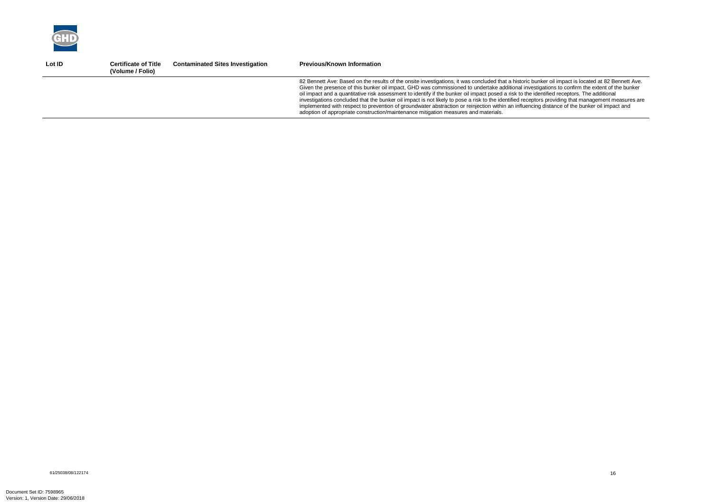

| Lot ID | <b>Certificate of Title</b><br>(Volume / Folio) | <b>Contaminated Sites Investigation</b> | <b>Previous/Known Information</b>                                                                                                                                                                                                                                                                                                                                                                                                                                                                                                                                                                                                                                                                                                                                                                                                                 |
|--------|-------------------------------------------------|-----------------------------------------|---------------------------------------------------------------------------------------------------------------------------------------------------------------------------------------------------------------------------------------------------------------------------------------------------------------------------------------------------------------------------------------------------------------------------------------------------------------------------------------------------------------------------------------------------------------------------------------------------------------------------------------------------------------------------------------------------------------------------------------------------------------------------------------------------------------------------------------------------|
|        |                                                 |                                         | 82 Bennett Ave: Based on the results of the onsite investigations, it was concluded that a historic bunker oil impact is located at 82 Bennett Ave.<br>Given the presence of this bunker oil impact, GHD was commissioned to undertake additional investigations to confirm the extent of the bunker<br>oil impact and a quantitative risk assessment to identify if the bunker oil impact posed a risk to the identified receptors. The additional<br>investigations concluded that the bunker oil impact is not likely to pose a risk to the identified receptors providing that management measures are<br>implemented with respect to prevention of groundwater abstraction or reinjection within an influencing distance of the bunker oil impact and<br>adoption of appropriate construction/maintenance mitigation measures and materials. |
|        |                                                 |                                         |                                                                                                                                                                                                                                                                                                                                                                                                                                                                                                                                                                                                                                                                                                                                                                                                                                                   |

61/25038/08/122174<br>61/25038/08/122174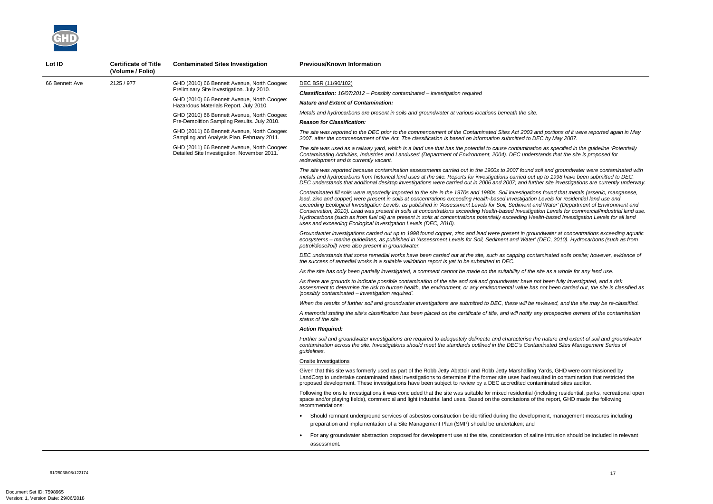*The site was reported to the DEC prior to the commencement of the Contaminated Sites Act 2003 and portions of it were reported again in May 2007, after the commencement of the Act. The classification is based on information submitted to DEC by May 2007.* 

*The site was used as a railway yard, which is a land use that has the potential to cause contamination as specified in the guideline 'Potentially Contaminating Activities, Industries and Landuses' (Department of Environment, 2004). DEC understands that the site is proposed for* 

*The site was reported because contamination assessments carried out in the 1900s to 2007 found soil and groundwater were contaminated with metals and hydrocarbons from historical land uses at the site. Reports for investigations carried out up to 1998 have been submitted to DEC. DEC understands that additional desktop investigations were carried out in 2006 and 2007; and further site investigations are currently underway.* 

*Contaminated fill soils were reportedly imported to the site in the 1970s and 1980s. Soil investigations found that metals (arsenic, manganese, lead, zinc and copper) were present in soils at concentrations exceeding Health-based Investigation Levels for residential land use and exceeding Ecological Investigation Levels, as published in 'Assessment Levels for Soil, Sediment and Water' (Department of Environment and Conservation, 2010). Lead was present in soils at concentrations exceeding Health-based Investigation Levels for commercial/industrial land use. Hydrocarbons (such as from fuel oil) are present in soils at concentrations potentially exceeding Health-based Investigation Levels for all land* 



| Lot ID         | <b>Certificate of Title</b><br>(Volume / Folio) | <b>Contaminated Sites Investigation</b>                                                    | <b>Previous/Known Information</b>                                                                                                                                                                                                                                                                                                                                                                                                                                                                                                                                                                             |
|----------------|-------------------------------------------------|--------------------------------------------------------------------------------------------|---------------------------------------------------------------------------------------------------------------------------------------------------------------------------------------------------------------------------------------------------------------------------------------------------------------------------------------------------------------------------------------------------------------------------------------------------------------------------------------------------------------------------------------------------------------------------------------------------------------|
| 66 Bennett Ave | 2125 / 977                                      | GHD (2010) 66 Bennett Avenue, North Coogee:                                                | DEC BSR (11/90/102)                                                                                                                                                                                                                                                                                                                                                                                                                                                                                                                                                                                           |
|                |                                                 | Preliminary Site Investigation. July 2010.                                                 | <b>Classification:</b> $16/07/2012$ - Possibly contaminated - investigation required                                                                                                                                                                                                                                                                                                                                                                                                                                                                                                                          |
|                |                                                 | GHD (2010) 66 Bennett Avenue, North Coogee:<br>Hazardous Materials Report. July 2010.      | <b>Nature and Extent of Contamination:</b>                                                                                                                                                                                                                                                                                                                                                                                                                                                                                                                                                                    |
|                |                                                 | GHD (2010) 66 Bennett Avenue, North Coogee:<br>Pre-Demolition Sampling Results. July 2010. | Metals and hydrocarbons are present in soils and groundwater at various locations beneath the site.<br><b>Reason for Classification:</b>                                                                                                                                                                                                                                                                                                                                                                                                                                                                      |
|                |                                                 | GHD (2011) 66 Bennett Avenue, North Coogee:<br>Sampling and Analysis Plan. February 2011.  | The site was reported to the DEC prior to the commencement of the Contaminated Sites Act 2003 an<br>2007, after the commencement of the Act. The classification is based on information submitted to DE                                                                                                                                                                                                                                                                                                                                                                                                       |
|                |                                                 | GHD (2011) 66 Bennett Avenue, North Coogee:<br>Detailed Site Investigation. November 2011. | The site was used as a railway yard, which is a land use that has the potential to cause contamination<br>Contaminating Activities, Industries and Landuses' (Department of Environment, 2004). DEC underst<br>redevelopment and is currently vacant.                                                                                                                                                                                                                                                                                                                                                         |
|                |                                                 |                                                                                            | The site was reported because contamination assessments carried out in the 1900s to 2007 found so<br>metals and hydrocarbons from historical land uses at the site. Reports for investigations carried out u<br>DEC understands that additional desktop investigations were carried out in 2006 and 2007; and furth                                                                                                                                                                                                                                                                                           |
|                |                                                 |                                                                                            | Contaminated fill soils were reportedly imported to the site in the 1970s and 1980s. Soil investigations<br>lead, zinc and copper) were present in soils at concentrations exceeding Health-based Investigation I<br>exceeding Ecological Investigation Levels, as published in 'Assessment Levels for Soil, Sediment and<br>Conservation, 2010). Lead was present in soils at concentrations exceeding Health-based Investigati<br>Hydrocarbons (such as from fuel oil) are present in soils at concentrations potentially exceeding Heal<br>uses and exceeding Ecological Investigation Levels (DEC, 2010). |
|                |                                                 |                                                                                            | Groundwater investigations carried out up to 1998 found copper, zinc and lead were present in groun<br>ecosystems - marine guidelines, as published in 'Assessment Levels for Soil, Sediment and Water' (<br>petrol/diesel/oil) were also present in groundwater.                                                                                                                                                                                                                                                                                                                                             |
|                |                                                 |                                                                                            | DEC understands that some remedial works have been carried out at the site, such as capping conta<br>the success of remedial works in a suitable validation report is yet to be submitted to DEC.                                                                                                                                                                                                                                                                                                                                                                                                             |
|                |                                                 |                                                                                            | As the site has only been partially investigated, a comment cannot be made on the suitability of the s.                                                                                                                                                                                                                                                                                                                                                                                                                                                                                                       |
|                |                                                 |                                                                                            | As there are grounds to indicate possible contamination of the site and soil and groundwater have no<br>assessment to determine the risk to human health, the environment, or any environmental value has<br>'possibly contaminated - investigation required'.                                                                                                                                                                                                                                                                                                                                                |
|                |                                                 |                                                                                            | When the results of further soil and groundwater investigations are submitted to DEC, these will be re                                                                                                                                                                                                                                                                                                                                                                                                                                                                                                        |
|                |                                                 |                                                                                            | A memorial stating the site's classification has been placed on the certificate of title, and will notify an<br>status of the site.                                                                                                                                                                                                                                                                                                                                                                                                                                                                           |
|                |                                                 |                                                                                            | <b>Action Reauired:</b>                                                                                                                                                                                                                                                                                                                                                                                                                                                                                                                                                                                       |
|                |                                                 |                                                                                            | Further soil and groundwater investigations are required to adequately delineate and characterise the<br>contamination across the site. Investigations should meet the standards outlined in the DEC's Contar<br>quidelines.                                                                                                                                                                                                                                                                                                                                                                                  |
|                |                                                 |                                                                                            | <b>Onsite Investigations</b>                                                                                                                                                                                                                                                                                                                                                                                                                                                                                                                                                                                  |
|                |                                                 |                                                                                            | Given that this site was formerly used as part of the Robb Jetty Abattoir and Robb Jetty Marshalling Y<br>LandCorp to undertake contaminated sites investigations to determine if the former site uses had resu<br>proposed development. These investigations have been subject to review by a DEC accredited conta                                                                                                                                                                                                                                                                                           |
|                |                                                 |                                                                                            | Following the onsite investigations it was concluded that the site was suitable for mixed residential (in<br>space and/or playing fields), commercial and light industrial land uses. Based on the conclusions of th<br>recommendations:                                                                                                                                                                                                                                                                                                                                                                      |
|                |                                                 |                                                                                            | Should remnant underground services of asbestos construction be identified during the developn<br>preparation and implementation of a Site Management Plan (SMP) should be undertaken; and                                                                                                                                                                                                                                                                                                                                                                                                                    |
|                |                                                 |                                                                                            | For any groundwater abstraction proposed for development use at the site, consideration of salin<br>assessment.                                                                                                                                                                                                                                                                                                                                                                                                                                                                                               |

*Groundwater investigations carried out up to 1998 found copper, zinc and lead were present in groundwater at concentrations exceeding aquatic ecosystems – marine guidelines, as published in 'Assessment Levels for Soil, Sediment and Water' (DEC, 2010). Hydrocarbons (such as from* 

*DEC understands that some remedial works have been carried out at the site, such as capping contaminated soils onsite; however, evidence of* 

*As the site has only been partially investigated, a comment cannot be made on the suitability of the site as a whole for any land use.* 

*As there are grounds to indicate possible contamination of the site and soil and groundwater have not been fully investigated, and a risk assessment to determine the risk to human health, the environment, or any environmental value has not been carried out, the site is classified as* 

*When the results of further soil and groundwater investigations are submitted to DEC, these will be reviewed, and the site may be re-classified.* 

*A memorial stating the site's classification has been placed on the certificate of title, and will notify any prospective owners of the contamination* 

*Further soil and groundwater investigations are required to adequately delineate and characterise the nature and extent of soil and groundwater contamination across the site. Investigations should meet the standards outlined in the DEC's Contaminated Sites Management Series of* 

Yards, GHD were commissioned by sulted in contamination that restricted the aminated sites auditor.

ncluding residential, parks, recreational open the report, GHD made the following

ment, management measures including

ne intrusion should be included in relevant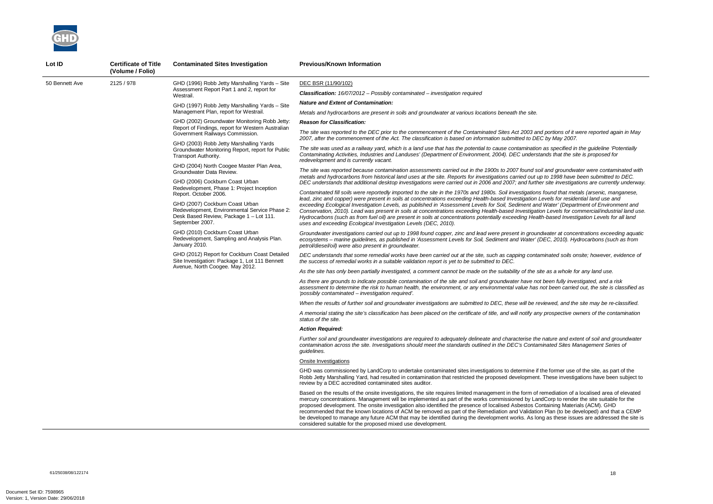*The site was reported to the DEC prior to the commencement of the Contaminated Sites Act 2003 and portions of it were reported again in May 2007, after the commencement of the Act. The classification is based on information submitted to DEC by May 2007.* 

*The site was used as a railway yard, which is a land use that has the potential to cause contamination as specified in the guideline 'Potentially Contaminating Activities, Industries and Landuses' (Department of Environment, 2004). DEC understands that the site is proposed for* 

*The site was reported because contamination assessments carried out in the 1900s to 2007 found soil and groundwater were contaminated with metals and hydrocarbons from historical land uses at the site. Reports for investigations carried out up to 1998 have been submitted to DEC. DEC understands that additional desktop investigations were carried out in 2006 and 2007; and further site investigations are currently underway.* 

*Contaminated fill soils were reportedly imported to the site in the 1970s and 1980s. Soil investigations found that metals (arsenic, manganese, lead, zinc and copper) were present in soils at concentrations exceeding Health-based Investigation Levels for residential land use and exceeding Ecological Investigation Levels, as published in 'Assessment Levels for Soil, Sediment and Water' (Department of Environment and Conservation, 2010). Lead was present in soils at concentrations exceeding Health-based Investigation Levels for commercial/industrial land use. Hydrocarbons (such as from fuel oil) are present in soils at concentrations potentially exceeding Health-based Investigation Levels for all land* 



| Lot ID         | <b>Certificate of Title</b><br>(Volume / Folio) | <b>Contaminated Sites Investigation</b>                                                                                                        | <b>Previous/Known Information</b>                                                                                                                                                                                                                                                                                                                                                                                                                                                                                                                                                               |
|----------------|-------------------------------------------------|------------------------------------------------------------------------------------------------------------------------------------------------|-------------------------------------------------------------------------------------------------------------------------------------------------------------------------------------------------------------------------------------------------------------------------------------------------------------------------------------------------------------------------------------------------------------------------------------------------------------------------------------------------------------------------------------------------------------------------------------------------|
| 50 Bennett Ave | 2125 / 978                                      | GHD (1996) Robb Jetty Marshalling Yards - Site                                                                                                 | DEC BSR (11/90/102)                                                                                                                                                                                                                                                                                                                                                                                                                                                                                                                                                                             |
|                |                                                 | Assessment Report Part 1 and 2, report for<br>Westrail.                                                                                        | <b>Classification:</b> $16/07/2012$ – Possibly contaminated – investigation required                                                                                                                                                                                                                                                                                                                                                                                                                                                                                                            |
|                |                                                 | GHD (1997) Robb Jetty Marshalling Yards - Site<br>Management Plan, report for Westrail.                                                        | <b>Nature and Extent of Contamination:</b>                                                                                                                                                                                                                                                                                                                                                                                                                                                                                                                                                      |
|                |                                                 |                                                                                                                                                | Metals and hydrocarbons are present in soils and groundwater at various locations beneath the site.                                                                                                                                                                                                                                                                                                                                                                                                                                                                                             |
|                |                                                 | GHD (2002) Groundwater Monitoring Robb Jetty:<br>Report of Findings, report for Western Australian<br>Government Railways Commission.          | <b>Reason for Classification:</b>                                                                                                                                                                                                                                                                                                                                                                                                                                                                                                                                                               |
|                |                                                 |                                                                                                                                                | The site was reported to the DEC prior to the commencement of the Contaminated Sites Act 2003 and<br>2007, after the commencement of the Act. The classification is based on information submitted to DEC                                                                                                                                                                                                                                                                                                                                                                                       |
|                |                                                 | GHD (2003) Robb Jetty Marshalling Yards<br>Groundwater Monitoring Report, report for Public<br>Transport Authority.                            | The site was used as a railway yard, which is a land use that has the potential to cause contamination<br>Contaminating Activities, Industries and Landuses' (Department of Environment, 2004). DEC understa<br>redevelopment and is currently vacant.                                                                                                                                                                                                                                                                                                                                          |
|                |                                                 | GHD (2004) North Coogee Master Plan Area,<br>Groundwater Data Review.                                                                          | The site was reported because contamination assessments carried out in the 1900s to 2007 found soi.<br>metals and hydrocarbons from historical land uses at the site. Reports for investigations carried out up                                                                                                                                                                                                                                                                                                                                                                                 |
|                |                                                 | GHD (2006) Cockburn Coast Urban                                                                                                                | DEC understands that additional desktop investigations were carried out in 2006 and 2007; and furthe                                                                                                                                                                                                                                                                                                                                                                                                                                                                                            |
|                |                                                 | Redevelopment, Phase 1: Project Inception<br>Report. October 2006.                                                                             | Contaminated fill soils were reportedly imported to the site in the 1970s and 1980s. Soil investigations<br>lead, zinc and copper) were present in soils at concentrations exceeding Health-based Investigation Le                                                                                                                                                                                                                                                                                                                                                                              |
|                |                                                 | GHD (2007) Cockburn Coast Urban<br>Redevelopment, Environmental Service Phase 2:<br>Desk Based Review, Package 1 - Lot 111.<br>September 2007. | exceeding Ecological Investigation Levels, as published in 'Assessment Levels for Soil, Sediment and<br>Conservation, 2010). Lead was present in soils at concentrations exceeding Health-based Investigatio<br>Hydrocarbons (such as from fuel oil) are present in soils at concentrations potentially exceeding Healtl<br>uses and exceeding Ecological Investigation Levels (DEC, 2010).                                                                                                                                                                                                     |
|                |                                                 | GHD (2010) Cockburn Coast Urban<br>Redevelopment, Sampling and Analysis Plan.<br>January 2010.                                                 | Groundwater investigations carried out up to 1998 found copper, zinc and lead were present in ground<br>ecosystems - marine guidelines, as published in 'Assessment Levels for Soil, Sediment and Water' (D<br>petrol/diesel/oil) were also present in groundwater.                                                                                                                                                                                                                                                                                                                             |
|                |                                                 | GHD (2012) Report for Cockburn Coast Detailed<br>Site Investigation: Package 1, Lot 111 Bennett<br>Avenue, North Coogee. May 2012.             | DEC understands that some remedial works have been carried out at the site, such as capping contan<br>the success of remedial works in a suitable validation report is yet to be submitted to DEC.                                                                                                                                                                                                                                                                                                                                                                                              |
|                |                                                 |                                                                                                                                                | As the site has only been partially investigated, a comment cannot be made on the suitability of the site                                                                                                                                                                                                                                                                                                                                                                                                                                                                                       |
|                |                                                 |                                                                                                                                                | As there are grounds to indicate possible contamination of the site and soil and groundwater have not<br>assessment to determine the risk to human health, the environment, or any environmental value has n<br>'possibly contaminated – investigation required'.                                                                                                                                                                                                                                                                                                                               |
|                |                                                 |                                                                                                                                                | When the results of further soil and groundwater investigations are submitted to DEC, these will be rev                                                                                                                                                                                                                                                                                                                                                                                                                                                                                         |
|                |                                                 |                                                                                                                                                | A memorial stating the site's classification has been placed on the certificate of title, and will notify any<br>status of the site.                                                                                                                                                                                                                                                                                                                                                                                                                                                            |
|                |                                                 |                                                                                                                                                | Action Reauired:                                                                                                                                                                                                                                                                                                                                                                                                                                                                                                                                                                                |
|                |                                                 |                                                                                                                                                | Further soil and groundwater investigations are required to adequately delineate and characterise the<br>contamination across the site. Investigations should meet the standards outlined in the DEC's Contam<br>guidelines.                                                                                                                                                                                                                                                                                                                                                                    |
|                |                                                 |                                                                                                                                                | Onsite Investigations                                                                                                                                                                                                                                                                                                                                                                                                                                                                                                                                                                           |
|                |                                                 |                                                                                                                                                | GHD was commissioned by LandCorp to undertake contaminated sites investigations to determine if the<br>Robb Jetty Marshalling Yard, had resulted in contamination that restricted the proposed development.<br>review by a DEC accredited contaminated sites auditor.                                                                                                                                                                                                                                                                                                                           |
|                |                                                 |                                                                                                                                                | Based on the results of the onsite investigations, the site requires limited management in the form of re<br>mercury concentrations. Management will be implemented as part of the works commissioned by Land<br>proposed development. The onsite investigation also identified the presence of localised Asbestos Cor<br>recommended that the known locations of ACM be removed as part of the Remediation and Validation<br>be developed to manage any future ACM that may be identified during the development works. As long<br>considered suitable for the proposed mixed use development. |

*Groundwater investigations carried out up to 1998 found copper, zinc and lead were present in groundwater at concentrations exceeding aquatic ecosystems – marine guidelines, as published in 'Assessment Levels for Soil, Sediment and Water' (DEC, 2010). Hydrocarbons (such as from* 

*DEC understands that some remedial works have been carried out at the site, such as capping contaminated soils onsite; however, evidence of* 

*As the site has only been partially investigated, a comment cannot be made on the suitability of the site as a whole for any land use.* 

*As there are grounds to indicate possible contamination of the site and soil and groundwater have not been fully investigated, and a risk assessment to determine the risk to human health, the environment, or any environmental value has not been carried out, the site is classified as* 

*When the results of further soil and groundwater investigations are submitted to DEC, these will be reviewed, and the site may be re-classified.* 

*A memorial stating the site's classification has been placed on the certificate of title, and will notify any prospective owners of the contamination* 

*Further soil and groundwater investigations are required to adequately delineate and characterise the nature and extent of soil and groundwater contamination across the site. Investigations should meet the standards outlined in the DEC's Contaminated Sites Management Series of* 

he former use of the site, as part of the These investigations have been subject to

emediation of a localised area of elevated in dCorp to render the site suitable for the **proposed development**<br>Intaining Materials (ACM). GHD Plan (to be developed) and that a CEMP g as these issues are addressed the site is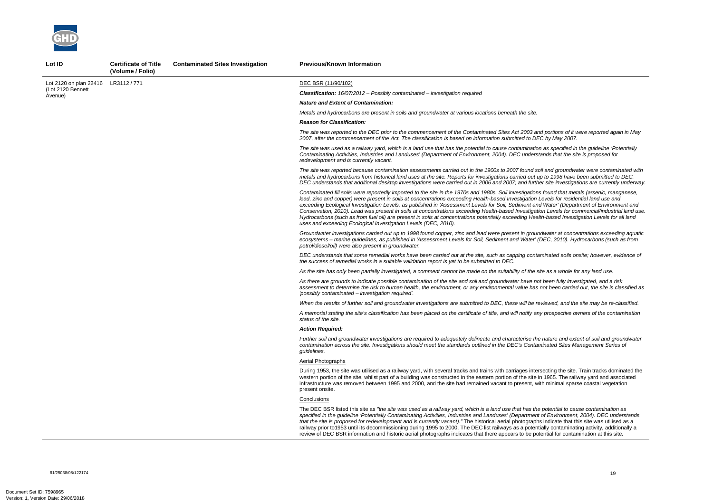

**Lot ID Certificate of Title** 

*The site was reported to the DEC prior to the commencement of the Contaminated Sites Act 2003 and portions of it were reported again in May 2007, after the commencement of the Act. The classification is based on information submitted to DEC by May 2007.* 

*The site was used as a railway yard, which is a land use that has the potential to cause contamination as specified in the guideline 'Potentially Contaminating Activities, Industries and Landuses' (Department of Environment, 2004). DEC understands that the site is proposed for* 

*The site was reported because contamination assessments carried out in the 1900s to 2007 found soil and groundwater were contaminated with metals and hydrocarbons from historical land uses at the site. Reports for investigations carried out up to 1998 have been submitted to DEC. DEC understands that additional desktop investigations were carried out in 2006 and 2007; and further site investigations are currently underway.* 

*Contaminated fill soils were reportedly imported to the site in the 1970s and 1980s. Soil investigations found that metals (arsenic, manganese, lead, zinc and copper) were present in soils at concentrations exceeding Health-based Investigation Levels for residential land use and exceeding Ecological Investigation Levels, as published in 'Assessment Levels for Soil, Sediment and Water' (Department of Environment and Conservation, 2010). Lead was present in soils at concentrations exceeding Health-based Investigation Levels for commercial/industrial land use. Hydrocarbons (such as from fuel oil) are present in soils at concentrations potentially exceeding Health-based Investigation Levels for all land* 

*nature and extent of soil and groundwater and character contamination across the site. Investigations should meet the standards outlined in the DEC's Contaminated Sites Management Series of* 

secting the site. Train tracks dominated the  $n$  1965. The railway yard and associated th minimal sparse coastal vegetation

potential to cause contamination as *specified in the guideline 'Potentially Contaminating Activities, Industries and Landuses' (Department of Environment, 2004). DEC understands i* indicate that this site was utilised as a ally contaminating activity, additionally a ential for contamination at this site.

|                              | (Volume / Folio) |                                                                                                                                                                                                                                                                                                                                                                                                                                                                                                                                                                                                                 |
|------------------------------|------------------|-----------------------------------------------------------------------------------------------------------------------------------------------------------------------------------------------------------------------------------------------------------------------------------------------------------------------------------------------------------------------------------------------------------------------------------------------------------------------------------------------------------------------------------------------------------------------------------------------------------------|
| Lot 2120 on plan 22416       | LR3112 / 771     | DEC BSR (11/90/102)                                                                                                                                                                                                                                                                                                                                                                                                                                                                                                                                                                                             |
| (Lot 2120 Bennett<br>Avenue) |                  | <b>Classification:</b> $16/07/2012$ – Possibly contaminated – investigation required                                                                                                                                                                                                                                                                                                                                                                                                                                                                                                                            |
|                              |                  | <b>Nature and Extent of Contamination:</b>                                                                                                                                                                                                                                                                                                                                                                                                                                                                                                                                                                      |
|                              |                  | Metals and hydrocarbons are present in soils and groundwater at various locations beneath the site.                                                                                                                                                                                                                                                                                                                                                                                                                                                                                                             |
|                              |                  | <b>Reason for Classification:</b>                                                                                                                                                                                                                                                                                                                                                                                                                                                                                                                                                                               |
|                              |                  | The site was reported to the DEC prior to the commencement of the Contaminated Sites Act 2003 and<br>2007, after the commencement of the Act. The classification is based on information submitted to DEC                                                                                                                                                                                                                                                                                                                                                                                                       |
|                              |                  | The site was used as a railway yard, which is a land use that has the potential to cause contamination<br>Contaminating Activities, Industries and Landuses' (Department of Environment, 2004). DEC understa<br>redevelopment and is currently vacant.                                                                                                                                                                                                                                                                                                                                                          |
|                              |                  | The site was reported because contamination assessments carried out in the 1900s to 2007 found so.<br>metals and hydrocarbons from historical land uses at the site. Reports for investigations carried out up<br>DEC understands that additional desktop investigations were carried out in 2006 and 2007; and furthe                                                                                                                                                                                                                                                                                          |
|                              |                  | Contaminated fill soils were reportedly imported to the site in the 1970s and 1980s. Soil investigations<br>lead, zinc and copper) were present in soils at concentrations exceeding Health-based Investigation L<br>exceeding Ecological Investigation Levels, as published in 'Assessment Levels for Soil, Sediment and<br>Conservation, 2010). Lead was present in soils at concentrations exceeding Health-based Investigatio<br>Hydrocarbons (such as from fuel oil) are present in soils at concentrations potentially exceeding Healt<br>uses and exceeding Ecological Investigation Levels (DEC, 2010). |
|                              |                  | Groundwater investigations carried out up to 1998 found copper, zinc and lead were present in ground<br>ecosystems - marine guidelines, as published in 'Assessment Levels for Soil, Sediment and Water' (L<br>petrol/diesel/oil) were also present in groundwater.                                                                                                                                                                                                                                                                                                                                             |
|                              |                  | DEC understands that some remedial works have been carried out at the site, such as capping contar<br>the success of remedial works in a suitable validation report is yet to be submitted to DEC.                                                                                                                                                                                                                                                                                                                                                                                                              |
|                              |                  | As the site has only been partially investigated, a comment cannot be made on the suitability of the sit                                                                                                                                                                                                                                                                                                                                                                                                                                                                                                        |
|                              |                  | As there are grounds to indicate possible contamination of the site and soil and groundwater have not<br>assessment to determine the risk to human health, the environment, or any environmental value has r<br>'possibly contaminated – investigation required'.                                                                                                                                                                                                                                                                                                                                               |
|                              |                  | When the results of further soil and groundwater investigations are submitted to DEC, these will be re                                                                                                                                                                                                                                                                                                                                                                                                                                                                                                          |
|                              |                  | A memorial stating the site's classification has been placed on the certificate of title, and will notify any<br>status of the site.                                                                                                                                                                                                                                                                                                                                                                                                                                                                            |
|                              |                  | <b>Action Required:</b>                                                                                                                                                                                                                                                                                                                                                                                                                                                                                                                                                                                         |
|                              |                  | Further soil and groundwater investigations are required to adequately delineate and characterise the<br>contamination across the site. Investigations should meet the standards outlined in the DEC's Contan<br>guidelines.                                                                                                                                                                                                                                                                                                                                                                                    |
|                              |                  | <b>Aerial Photographs</b>                                                                                                                                                                                                                                                                                                                                                                                                                                                                                                                                                                                       |
|                              |                  | During 1953, the site was utilised as a railway yard, with several tracks and trains with carriages inters<br>western portion of the site, whilst part of a building was constructed in the eastern portion of the site in<br>infrastructure was removed between 1995 and 2000, and the site had remained vacant to present, wit<br>present onsite.                                                                                                                                                                                                                                                             |
|                              |                  | <b>Conclusions</b>                                                                                                                                                                                                                                                                                                                                                                                                                                                                                                                                                                                              |
|                              |                  | The DEC BSR listed this site as "the site was used as a railway yard, which is a land use that has the<br>specified in the guideline 'Potentially Contaminating Activities, Industries and Landuses' (Department<br>that the site is proposed for redevelopment and is currently vacant)." The historical aerial photographs<br>railway prior to 1953 until its decommissioning during 1995 to 2000. The DEC list railways as a potentia<br>review of DEC BSR information and historic aerial photographs indicates that there appears to be pote                                                               |

**Contaminated Sites Investigation Previous/Known Information** 

*Groundwater investigations carried out up to 1998 found copper, zinc and lead were present in groundwater at concentrations exceeding aquatic ecosystems – marine guidelines, as published in 'Assessment Levels for Soil, Sediment and Water' (DEC, 2010). Hydrocarbons (such as from* 

*DEC understands that some remedial works have been carried out at the site, such as capping contaminated soils onsite; however, evidence of* 

*As the site has only been partially investigated, a comment cannot be made on the suitability of the site as a whole for any land use.* 

*As there are grounds to indicate possible contamination of the site and soil and groundwater have not been fully investigated, and a risk assessment to determine the risk to human health, the environment, or any environmental value has not been carried out, the site is classified as* 

*When the results of further soil and groundwater investigations are submitted to DEC, these will be reviewed, and the site may be re-classified.* 

*A memorial stating the site's classification has been placed on the certificate of title, and will notify any prospective owners of the contamination*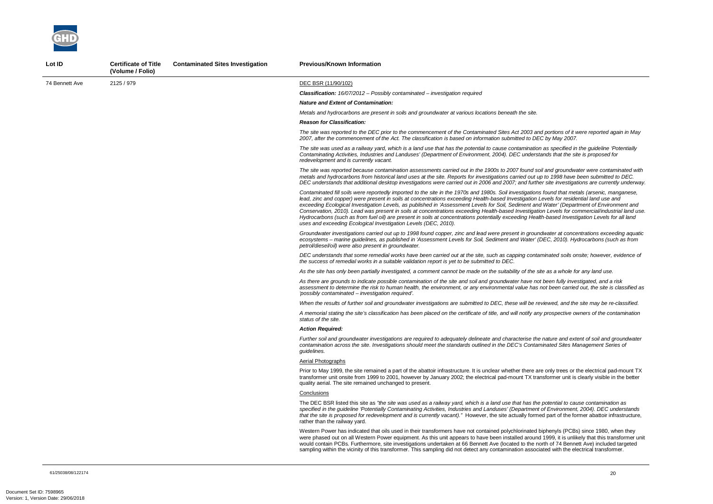*The site was reported to the DEC prior to the commencement of the Contaminated Sites Act 2003 and portions of it were reported again in May 2007, after the commencement of the Act. The classification is based on information submitted to DEC by May 2007.* 

*And groundwater were contaminated with metals and hydrocarbons from historical land uses at the site. Reports for investigations carried out up to 1998 have been submitted to DEC. DEC understands that additional desktop investigations were carried out in 2006 and 2007; and further site investigations are currently underway.* 

*The site was used as a railway yard, which is a land use that has the potential to cause contamination as specified in the guideline 'Potentially Contaminating Activities, Industries and Landuses' (Department of Environment, 2004). DEC understands that the site is proposed for* 

*Contaminated fill soils were reportedly imported to the site in the 1970s and 1980s. Soil investigations found that metals (arsenic, manganese, lead, zinc and copper) were present in soils at concentrations exceeding Health-based Investigation Levels for residential land use and exceeding Ecological Investigation Levels, as published in 'Assessment Levels for Soil, Sediment and Water' (Department of Environment and Conservation, 2010). Lead was present in soils at concentrations exceeding Health-based Investigation Levels for commercial/industrial land use. Hydrocarbons (such as from fuel oil) are present in soils at concentrations potentially exceeding Health-based Investigation Levels for all land* 

*Groundwater investigations carried out up to 1998 found copper, zinc and lead were present in groundwater at concentrations exceeding aquatic ecosystems – marine guidelines, as published in 'Assessment Levels for Soil, Sediment and Water' (DEC, 2010). Hydrocarbons (such as from* 



| Lot ID         | <b>Certificate of Title</b><br>(Volume / Folio) | <b>Contaminated Sites Investigation</b> | <b>Previous/Known Information</b>                                                                                                                                                                                                                                                                                                                                                                                                                                                                                                                                                                                  |
|----------------|-------------------------------------------------|-----------------------------------------|--------------------------------------------------------------------------------------------------------------------------------------------------------------------------------------------------------------------------------------------------------------------------------------------------------------------------------------------------------------------------------------------------------------------------------------------------------------------------------------------------------------------------------------------------------------------------------------------------------------------|
| 74 Bennett Ave | 2125 / 979                                      |                                         | DEC BSR (11/90/102)                                                                                                                                                                                                                                                                                                                                                                                                                                                                                                                                                                                                |
|                |                                                 |                                         | <b>Classification:</b> 16/07/2012 - Possibly contaminated - investigation required                                                                                                                                                                                                                                                                                                                                                                                                                                                                                                                                 |
|                |                                                 |                                         | <b>Nature and Extent of Contamination:</b>                                                                                                                                                                                                                                                                                                                                                                                                                                                                                                                                                                         |
|                |                                                 |                                         | Metals and hydrocarbons are present in soils and groundwater at various locations beneath the site.                                                                                                                                                                                                                                                                                                                                                                                                                                                                                                                |
|                |                                                 |                                         | <b>Reason for Classification:</b>                                                                                                                                                                                                                                                                                                                                                                                                                                                                                                                                                                                  |
|                |                                                 |                                         | The site was reported to the DEC prior to the commencement of the Contaminated Sites Act 2003 and<br>2007, after the commencement of the Act. The classification is based on information submitted to DEC                                                                                                                                                                                                                                                                                                                                                                                                          |
|                |                                                 |                                         | The site was used as a railway yard, which is a land use that has the potential to cause contamination<br>Contaminating Activities, Industries and Landuses' (Department of Environment, 2004). DEC understa<br>redevelopment and is currently vacant.                                                                                                                                                                                                                                                                                                                                                             |
|                |                                                 |                                         | The site was reported because contamination assessments carried out in the 1900s to 2007 found soil<br>metals and hydrocarbons from historical land uses at the site. Reports for investigations carried out up<br>DEC understands that additional desktop investigations were carried out in 2006 and 2007; and further                                                                                                                                                                                                                                                                                           |
|                |                                                 |                                         | Contaminated fill soils were reportedly imported to the site in the 1970s and 1980s. Soil investigations<br>lead, zinc and copper) were present in soils at concentrations exceeding Health-based Investigation Le<br>exceeding Ecological Investigation Levels, as published in 'Assessment Levels for Soil, Sediment and<br>Conservation, 2010). Lead was present in soils at concentrations exceeding Health-based Investigatio.<br>Hydrocarbons (such as from fuel oil) are present in soils at concentrations potentially exceeding Health<br>uses and exceeding Ecological Investigation Levels (DEC, 2010). |
|                |                                                 |                                         | Groundwater investigations carried out up to 1998 found copper, zinc and lead were present in ground<br>ecosystems - marine guidelines, as published in 'Assessment Levels for Soil, Sediment and Water' (D<br>petrol/diesel/oil) were also present in groundwater.                                                                                                                                                                                                                                                                                                                                                |
|                |                                                 |                                         | DEC understands that some remedial works have been carried out at the site, such as capping contan<br>the success of remedial works in a suitable validation report is yet to be submitted to DEC.                                                                                                                                                                                                                                                                                                                                                                                                                 |
|                |                                                 |                                         | As the site has only been partially investigated, a comment cannot be made on the suitability of the site                                                                                                                                                                                                                                                                                                                                                                                                                                                                                                          |
|                |                                                 |                                         | As there are grounds to indicate possible contamination of the site and soil and groundwater have not<br>assessment to determine the risk to human health, the environment, or any environmental value has n<br>'possibly contaminated – investigation required'.                                                                                                                                                                                                                                                                                                                                                  |
|                |                                                 |                                         | When the results of further soil and groundwater investigations are submitted to DEC, these will be rev                                                                                                                                                                                                                                                                                                                                                                                                                                                                                                            |
|                |                                                 |                                         | A memorial stating the site's classification has been placed on the certificate of title, and will notify any<br>status of the site.                                                                                                                                                                                                                                                                                                                                                                                                                                                                               |
|                |                                                 |                                         | <b>Action Required:</b>                                                                                                                                                                                                                                                                                                                                                                                                                                                                                                                                                                                            |
|                |                                                 |                                         | Further soil and groundwater investigations are required to adequately delineate and characterise the i<br>contamination across the site. Investigations should meet the standards outlined in the DEC's Contam.<br><i>guidelines.</i>                                                                                                                                                                                                                                                                                                                                                                             |
|                |                                                 |                                         | <b>Aerial Photographs</b>                                                                                                                                                                                                                                                                                                                                                                                                                                                                                                                                                                                          |
|                |                                                 |                                         | Prior to May 1999, the site remained a part of the abattoir infrastructure. It is unclear whether there are<br>transformer unit onsite from 1999 to 2001, however by January 2002; the electrical pad-mount TX trans<br>quality aerial. The site remained unchanged to present.                                                                                                                                                                                                                                                                                                                                    |
|                |                                                 |                                         | Conclusions                                                                                                                                                                                                                                                                                                                                                                                                                                                                                                                                                                                                        |
|                |                                                 |                                         | The DEC BSR listed this site as "the site was used as a railway yard, which is a land use that has the $\mu$<br>specified in the guideline 'Potentially Contaminating Activities, Industries and Landuses' (Department c<br>that the site is proposed for redevelopment and is currently vacant)." However, the site actually formed<br>rather than the railway yard.                                                                                                                                                                                                                                              |
|                |                                                 |                                         | Western Power has indicated that oils used in their transformers have not contained polychlorinated bi<br>were phased out on all Western Power equipment. As this unit appears to have been installed around<br>would contain PCBs. Furthermore, site investigations undertaken at 66 Bennett Ave (located to the nor<br>sampling within the vicinity of this transformer. This sampling did not detect any contamination associa                                                                                                                                                                                  |

*DEC understands that some remedial works have been carried out at the site, such as capping contaminated soils onsite; however, evidence of* 

*As the site has only been partially investigated, a comment cannot be made on the suitability of the site as a whole for any land use.* 

*As there are grounds to indicate possible contamination of the site and soil and groundwater have not been fully investigated, and a risk assessment to determine the risk to human health, the environment, or any environmental value has not been carried out, the site is classified as* 

*When the results of further soil and groundwater investigations are submitted to DEC, these will be reviewed, and the site may be re-classified.* 

*A memorial stating the site's classification has been placed on the certificate of title, and will notify any prospective owners of the contamination* 

*Further soil and groundwater investigations are required to adequately delineate and characterise the nature and extent of soil and groundwater contamination across the site. Investigations should meet the standards outlined in the DEC's Contaminated Sites Management Series of* 

only trees or the electrical pad-mount TX nsformer unit is clearly visible in the better

potential to cause contamination as *specified in the guideline 'Potentially Contaminating Activities, Industries and Landuses' (Department of Environment, 2004). DEC understands*  <sup>ed</sup> part of the former abattoir infrastructure,

iphenyls (PCBs) since 1980, when they 1999, it is unlikely that this transformer unit ith of 74 Bennett Ave) included targeted ated with the electrical transformer.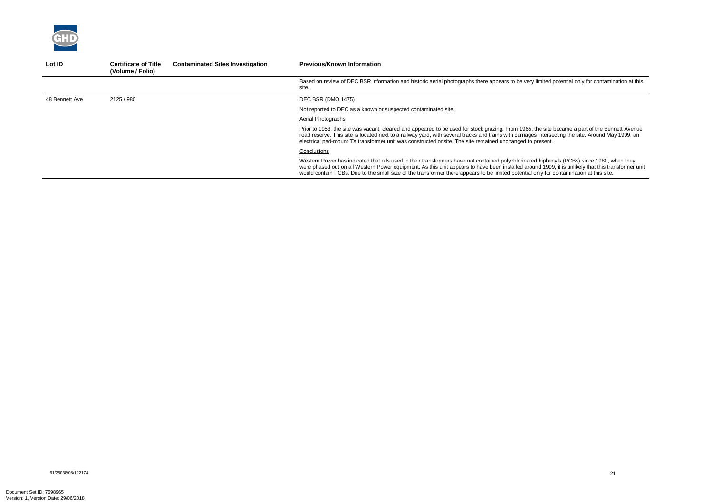

| Lot ID         | <b>Certificate of Title</b><br>(Volume / Folio) | <b>Contaminated Sites Investigation</b> | <b>Previous/Known Information</b>                                                                                                                                                                                                                                                                                                                                                                                                           |
|----------------|-------------------------------------------------|-----------------------------------------|---------------------------------------------------------------------------------------------------------------------------------------------------------------------------------------------------------------------------------------------------------------------------------------------------------------------------------------------------------------------------------------------------------------------------------------------|
|                |                                                 |                                         | Based on review of DEC BSR information and historic aerial photographs there appears to be very limited potential only for contamination at this<br>site.                                                                                                                                                                                                                                                                                   |
| 48 Bennett Ave | 2125 / 980                                      |                                         | DEC BSR (DMO 1475)                                                                                                                                                                                                                                                                                                                                                                                                                          |
|                |                                                 |                                         | Not reported to DEC as a known or suspected contaminated site.                                                                                                                                                                                                                                                                                                                                                                              |
|                |                                                 |                                         | Aerial Photographs                                                                                                                                                                                                                                                                                                                                                                                                                          |
|                |                                                 |                                         | Prior to 1953, the site was vacant, cleared and appeared to be used for stock grazing. From 1965, the site became a part of the Bennett Avenue<br>road reserve. This site is located next to a railway yard, with several tracks and trains with carriages intersecting the site. Around May 1999, an<br>electrical pad-mount TX transformer unit was constructed onsite. The site remained unchanged to present.                           |
|                |                                                 |                                         | Conclusions                                                                                                                                                                                                                                                                                                                                                                                                                                 |
|                |                                                 |                                         | Western Power has indicated that oils used in their transformers have not contained polychlorinated biphenyls (PCBs) since 1980, when they<br>were phased out on all Western Power equipment. As this unit appears to have been installed around 1999, it is unlikely that this transformer unit<br>would contain PCBs. Due to the small size of the transformer there appears to be limited potential only for contamination at this site. |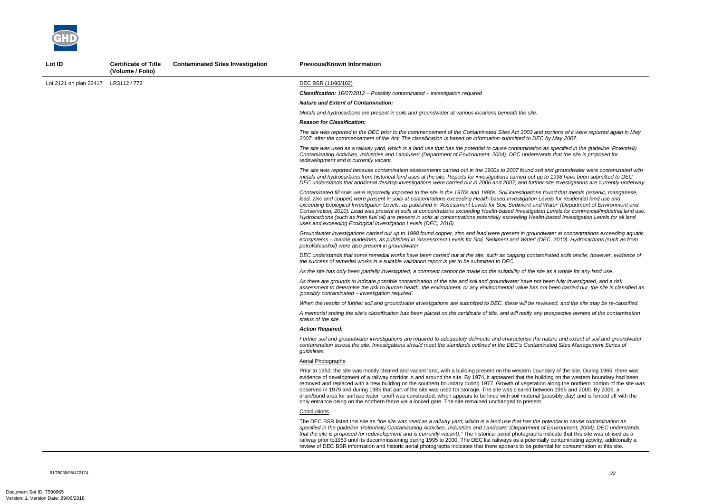*The site was reported to the DEC prior to the commencement of the Contaminated Sites Act 2003 and portions of it were reported again in May 2007, after the commencement of the Act. The classification is based on information submitted to DEC by May 2007.* 

*And groundwater were contaminated with metals and hydrocarbons from historical land uses at the site. Reports for investigations carried out up to 1998 have been submitted to DEC. DEC understands that additional desktop investigations were carried out in 2006 and 2007; and further site investigations are currently underway.* 

*The site was used as a railway yard, which is a land use that has the potential to cause contamination as specified in the guideline 'Potentially Contaminating Activities, Industries and Landuses' (Department of Environment, 2004). DEC understands that the site is proposed for* 

*Contaminated fill soils were reportedly imported to the site in the 1970s and 1980s. Soil investigations found that metals (arsenic, manganese, lead, zinc and copper) were present in soils at concentrations exceeding Health-based Investigation Levels for residential land use and Water' (Department of Environment and in Water' (Department of Environment and Conservation, 2010). Lead was present in soils at concentrations exceeding Health-based Investigation Levels for commercial/industrial land use. Hydrocarbons (such as from fuel oil) are present in soils at concentrations potentially exceeding Health-based Investigation Levels for all land* 

*Groundwater investigations carried out up to 1998 found copper, zinc and lead were present in groundwater at concentrations exceeding aquatic ecosystems – marine guidelines, as published in 'Assessment Levels for Soil, Sediment and Water' (DEC, 2010). Hydrocarbons (such as from* 

The DEC BSR listed this site as *"the site was used as a railway yard, which is a land use that has the potential to cause contamination as specified in the guideline 'Potentially Contaminating Activities, Industries and Landuses' (Department of Environment, 2004). DEC understands indicate that this site was utilised as a* ally contaminating activity, additionally a intial for contamination at this site.



| Lot ID                 | <b>Certificate of Title</b><br>(Volume / Folio) | <b>Contaminated Sites Investigation</b> | <b>Previous/Known Information</b>                                                                                                                                                                                                                                                                                                                                                                                                                                                                                                                                                                                                                        |
|------------------------|-------------------------------------------------|-----------------------------------------|----------------------------------------------------------------------------------------------------------------------------------------------------------------------------------------------------------------------------------------------------------------------------------------------------------------------------------------------------------------------------------------------------------------------------------------------------------------------------------------------------------------------------------------------------------------------------------------------------------------------------------------------------------|
| Lot 2121 on plan 22417 | LR3112 / 772                                    |                                         | DEC BSR (11/90/102)                                                                                                                                                                                                                                                                                                                                                                                                                                                                                                                                                                                                                                      |
|                        |                                                 |                                         | <b>Classification:</b> $16/07/2012$ - Possibly contaminated - investigation required                                                                                                                                                                                                                                                                                                                                                                                                                                                                                                                                                                     |
|                        |                                                 |                                         | <b>Nature and Extent of Contamination:</b>                                                                                                                                                                                                                                                                                                                                                                                                                                                                                                                                                                                                               |
|                        |                                                 |                                         | Metals and hydrocarbons are present in soils and groundwater at various locations beneath the site.                                                                                                                                                                                                                                                                                                                                                                                                                                                                                                                                                      |
|                        |                                                 |                                         | <b>Reason for Classification:</b>                                                                                                                                                                                                                                                                                                                                                                                                                                                                                                                                                                                                                        |
|                        |                                                 |                                         | The site was reported to the DEC prior to the commencement of the Contaminated Sites Act 2003 and<br>2007, after the commencement of the Act. The classification is based on information submitted to DEC                                                                                                                                                                                                                                                                                                                                                                                                                                                |
|                        |                                                 |                                         | The site was used as a railway yard, which is a land use that has the potential to cause contamination<br>Contaminating Activities, Industries and Landuses' (Department of Environment, 2004). DEC understa.<br>redevelopment and is currently vacant.                                                                                                                                                                                                                                                                                                                                                                                                  |
|                        |                                                 |                                         | The site was reported because contamination assessments carried out in the 1900s to 2007 found soil<br>metals and hydrocarbons from historical land uses at the site. Reports for investigations carried out up<br>DEC understands that additional desktop investigations were carried out in 2006 and 2007; and further                                                                                                                                                                                                                                                                                                                                 |
|                        |                                                 |                                         | Contaminated fill soils were reportedly imported to the site in the 1970s and 1980s. Soil investigations<br>lead, zinc and copper) were present in soils at concentrations exceeding Health-based Investigation Le<br>exceeding Ecological Investigation Levels, as published in 'Assessment Levels for Soil, Sediment and<br>Conservation, 2010). Lead was present in soils at concentrations exceeding Health-based Investigation<br>Hydrocarbons (such as from fuel oil) are present in soils at concentrations potentially exceeding Health<br>uses and exceeding Ecological Investigation Levels (DEC, 2010).                                       |
|                        |                                                 |                                         | Groundwater investigations carried out up to 1998 found copper, zinc and lead were present in ground<br>ecosystems - marine guidelines, as published in 'Assessment Levels for Soil, Sediment and Water' (D<br>petrol/diesel/oil) were also present in groundwater.                                                                                                                                                                                                                                                                                                                                                                                      |
|                        |                                                 |                                         | DEC understands that some remedial works have been carried out at the site, such as capping contan<br>the success of remedial works in a suitable validation report is yet to be submitted to DEC.                                                                                                                                                                                                                                                                                                                                                                                                                                                       |
|                        |                                                 |                                         | As the site has only been partially investigated, a comment cannot be made on the suitability of the site                                                                                                                                                                                                                                                                                                                                                                                                                                                                                                                                                |
|                        |                                                 |                                         | As there are grounds to indicate possible contamination of the site and soil and groundwater have not<br>assessment to determine the risk to human health, the environment, or any environmental value has n<br>'possibly contaminated – investigation required'.                                                                                                                                                                                                                                                                                                                                                                                        |
|                        |                                                 |                                         | When the results of further soil and groundwater investigations are submitted to DEC, these will be rev                                                                                                                                                                                                                                                                                                                                                                                                                                                                                                                                                  |
|                        |                                                 |                                         | A memorial stating the site's classification has been placed on the certificate of title, and will notify any<br>status of the site.                                                                                                                                                                                                                                                                                                                                                                                                                                                                                                                     |
|                        |                                                 |                                         | <b>Action Required:</b>                                                                                                                                                                                                                                                                                                                                                                                                                                                                                                                                                                                                                                  |
|                        |                                                 |                                         | Further soil and groundwater investigations are required to adequately delineate and characterise the i<br>contamination across the site. Investigations should meet the standards outlined in the DEC's Contami<br>guidelines.                                                                                                                                                                                                                                                                                                                                                                                                                          |
|                        |                                                 |                                         | <b>Aerial Photographs</b>                                                                                                                                                                                                                                                                                                                                                                                                                                                                                                                                                                                                                                |
|                        |                                                 |                                         | Prior to 1953, the site was mostly cleared and vacant land, with a building present on the western bour<br>evidence of development of a railway corridor in and around the site. By 1974, it appeared that the buil<br>removed and replaced with a new building on the southern boundary during 1977. Growth of vegetation<br>observed in 1979 and during 1985 that part of the site was used for storage. The site was cleared betw<br>drain/bund area for surface water runoff was constructed, which appears to be lined with soil material (<br>only entrance being on the northern fence via a locked gate. The site remained unchanged to present. |
|                        |                                                 |                                         | Conclusions                                                                                                                                                                                                                                                                                                                                                                                                                                                                                                                                                                                                                                              |
|                        |                                                 |                                         | The DEC BSR listed this site as "the site was used as a railway yard, which is a land use that has the $\mu$<br>specified in the guideline 'Potentially Contaminating Activities, Industries and Landuses' (Department c<br>that the site is proposed for redevelopment and is currently vacant)." The historical aerial photographs<br>railway prior to 1953 until its decommissioning during 1995 to 2000. The DEC list railways as a potentia<br>review of DEC BSR information and historic aerial photographs indicates that there appears to be pote                                                                                                |

*DEC understands that some remedial works have been carried out at the site, such as capping contaminated soils onsite; however, evidence of* 

*As the site has only been partially investigated, a comment cannot be made on the suitability of the site as a whole for any land use.* 

*As there are grounds to indicate possible contamination of the site and soil and groundwater have not been fully investigated, and a risk assessment to determine the risk to human health, the environment, or any environmental value has not been carried out, the site is classified as* 

*iewed, and the site may be re-classified.* 

*A memorial stating the site's classification has been placed on the certificate of title, and will notify any prospective owners of the contamination* 

*Further soil and groundwater investigations are required to adequately delineate and characterise the nature and extent of soil and groundwater contamination across the site. Investigations should meet the standards outlined in the DEC's Contaminated Sites Management Series of* 

ndary of the site. During 1965, there was ilding on the western boundary had been on along the northern portion of the site was  $\nu$ een 1995 and 2000. By 2006, a (possibly clay) and is fenced off with the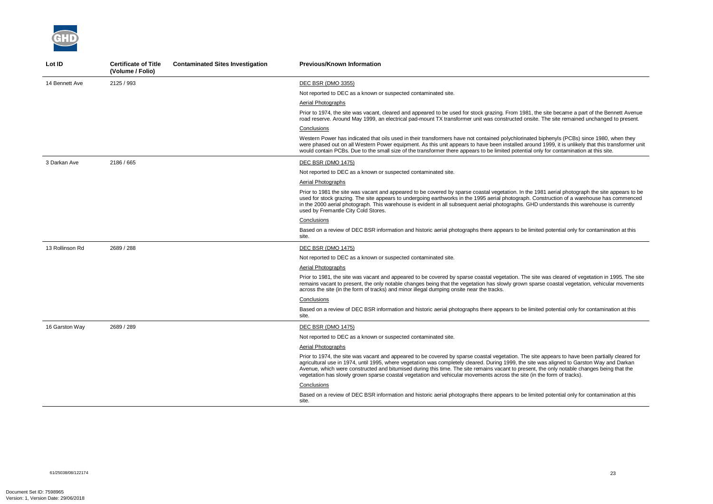

| Lot ID          | <b>Certificate of Title</b><br>(Volume / Folio) | <b>Contaminated Sites Investigation</b> | <b>Previous/Known Information</b>                                                                                                                                                                                                                                                                                                                                                                                                                                                                                                                                     |
|-----------------|-------------------------------------------------|-----------------------------------------|-----------------------------------------------------------------------------------------------------------------------------------------------------------------------------------------------------------------------------------------------------------------------------------------------------------------------------------------------------------------------------------------------------------------------------------------------------------------------------------------------------------------------------------------------------------------------|
| 14 Bennett Ave  | 2125 / 993                                      |                                         | DEC BSR (DMO 3355)                                                                                                                                                                                                                                                                                                                                                                                                                                                                                                                                                    |
|                 |                                                 |                                         | Not reported to DEC as a known or suspected contaminated site.                                                                                                                                                                                                                                                                                                                                                                                                                                                                                                        |
|                 |                                                 |                                         | Aerial Photographs                                                                                                                                                                                                                                                                                                                                                                                                                                                                                                                                                    |
|                 |                                                 |                                         | Prior to 1974, the site was vacant, cleared and appeared to be used for stock grazing. From 1981, the site became a part of the Bennett Avenue<br>road reserve. Around May 1999, an electrical pad-mount TX transformer unit was constructed onsite. The site remained unchanged to present.                                                                                                                                                                                                                                                                          |
|                 |                                                 |                                         | Conclusions                                                                                                                                                                                                                                                                                                                                                                                                                                                                                                                                                           |
|                 |                                                 |                                         | Western Power has indicated that oils used in their transformers have not contained polychlorinated biphenyls (PCBs) since 1980, when they<br>were phased out on all Western Power equipment. As this unit appears to have been installed around 1999, it is unlikely that this transformer unit<br>would contain PCBs. Due to the small size of the transformer there appears to be limited potential only for contamination at this site.                                                                                                                           |
| 3 Darkan Ave    | 2186 / 665                                      |                                         | DEC BSR (DMO 1475)                                                                                                                                                                                                                                                                                                                                                                                                                                                                                                                                                    |
|                 |                                                 |                                         | Not reported to DEC as a known or suspected contaminated site.                                                                                                                                                                                                                                                                                                                                                                                                                                                                                                        |
|                 |                                                 |                                         | <b>Aerial Photographs</b>                                                                                                                                                                                                                                                                                                                                                                                                                                                                                                                                             |
|                 |                                                 |                                         | Prior to 1981 the site was vacant and appeared to be covered by sparse coastal vegetation. In the 1981 aerial photograph the site appears to be<br>used for stock grazing. The site appears to undergoing earthworks in the 1995 aerial photograph. Construction of a warehouse has commenced<br>in the 2000 aerial photograph. This warehouse is evident in all subsequent aerial photographs. GHD understands this warehouse is currently<br>used by Fremantle City Cold Stores.                                                                                    |
|                 |                                                 |                                         | Conclusions                                                                                                                                                                                                                                                                                                                                                                                                                                                                                                                                                           |
|                 |                                                 |                                         | Based on a review of DEC BSR information and historic aerial photographs there appears to be limited potential only for contamination at this<br>site.                                                                                                                                                                                                                                                                                                                                                                                                                |
| 13 Rollinson Rd | 2689 / 288                                      |                                         | DEC BSR (DMO 1475)                                                                                                                                                                                                                                                                                                                                                                                                                                                                                                                                                    |
|                 |                                                 |                                         | Not reported to DEC as a known or suspected contaminated site.                                                                                                                                                                                                                                                                                                                                                                                                                                                                                                        |
|                 |                                                 |                                         | Aerial Photographs                                                                                                                                                                                                                                                                                                                                                                                                                                                                                                                                                    |
|                 |                                                 |                                         | Prior to 1981, the site was vacant and appeared to be covered by sparse coastal vegetation. The site was cleared of vegetation in 1995. The site<br>remains vacant to present, the only notable changes being that the vegetation has slowly grown sparse coastal vegetation, vehicular movements<br>across the site (in the form of tracks) and minor illegal dumping onsite near the tracks.                                                                                                                                                                        |
|                 |                                                 |                                         | Conclusions                                                                                                                                                                                                                                                                                                                                                                                                                                                                                                                                                           |
|                 |                                                 |                                         | Based on a review of DEC BSR information and historic aerial photographs there appears to be limited potential only for contamination at this<br>site.                                                                                                                                                                                                                                                                                                                                                                                                                |
| 16 Garston Way  | 2689 / 289                                      |                                         | <b>DEC BSR (DMO 1475)</b>                                                                                                                                                                                                                                                                                                                                                                                                                                                                                                                                             |
|                 |                                                 |                                         | Not reported to DEC as a known or suspected contaminated site.                                                                                                                                                                                                                                                                                                                                                                                                                                                                                                        |
|                 |                                                 |                                         | <b>Aerial Photographs</b>                                                                                                                                                                                                                                                                                                                                                                                                                                                                                                                                             |
|                 |                                                 |                                         | Prior to 1974, the site was vacant and appeared to be covered by sparse coastal vegetation. The site appears to have been partially cleared for<br>agricultural use in 1974, until 1995, where vegetation was completely cleared. During 1999, the site was aligned to Garston Way and Darkan<br>Avenue, which were constructed and bitumised during this time. The site remains vacant to present, the only notable changes being that the<br>vegetation has slowly grown sparse coastal vegetation and vehicular movements across the site (in the form of tracks). |
|                 |                                                 |                                         | Conclusions                                                                                                                                                                                                                                                                                                                                                                                                                                                                                                                                                           |
|                 |                                                 |                                         | Based on a review of DEC BSR information and historic aerial photographs there appears to be limited potential only for contamination at this<br>site.                                                                                                                                                                                                                                                                                                                                                                                                                |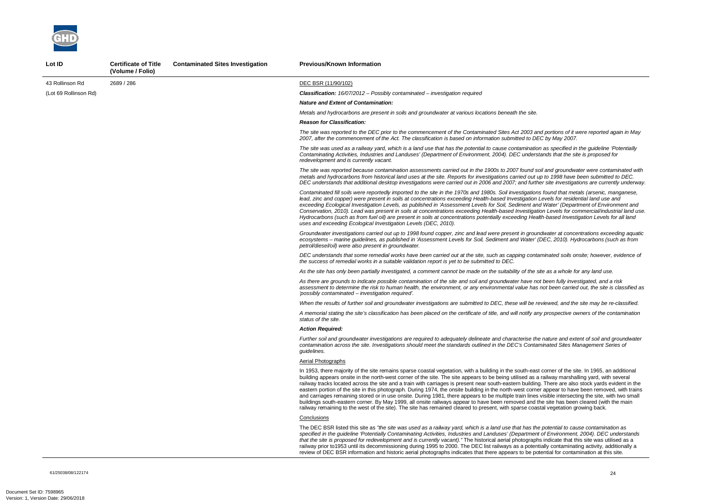*The site was reported to the DEC prior to the commencement of the Contaminated Sites Act 2003 and portions of it were reported again in May 2007, after the commencement of the Act. The classification is based on information submitted to DEC by May 2007.* 

*And groundwater were contaminated with in the 2008 found soil and groundwater were contaminated with metals and hydrocarbons from historical land uses at the site. Reports for investigations carried out up to 1998 have been submitted to DEC. DEC understands that additional desktop investigations were carried out in 2006 and 2007; and further site investigations are currently underway.* 

*The site was used as a railway yard, which is a land use that has the potential to cause contamination as specified in the guideline 'Potentially Contaminating Activities, Industries and Landuses' (Department of Environment, 2004). DEC understands that the site is proposed for* 

*Contaminated fill soils were reportedly imported to the site in the 1970s and 1980s. Soil investigations found that metals (arsenic, manganese, lead, zinc and copper) were present in soils at concentrations exceeding Health-based Investigation Levels for residential land use and Water' (Department of Environment and in Water' (Department of Environment and Conservation, 2010). Lead was present in soils at concentrations exceeding Health-based Investigation Levels for commercial/industrial land use. Hydrocarbons (such as from fuel oil) are present in soils at concentrations potentially exceeding Health-based Investigation Levels for all land* 

*Groundwater investigations carried out up to 1998 found copper, zinc and lead were present in groundwater at concentrations exceeding aquatic ecosystems – marine guidelines, as published in 'Assessment Levels for Soil, Sediment and Water' (DEC, 2010). Hydrocarbons (such as from* 

The DEC BSR listed this site as *"the site was used as a railway yard, which is a land use that has the potential to cause contamination as specified in the guideline 'Potentially Contaminating Activities, Industries and Landuses' (Department of Environment, 2004). DEC understands indicate that this site was utilised as a* ally contaminating activity, additionally a ntial for contamination at this site.



| Lot ID                | <b>Certificate of Title</b><br>(Volume / Folio) | <b>Contaminated Sites Investigation</b> | <b>Previous/Known Information</b>                                                                                                                                                                                                                                                                                                                                                                                                                                                                                                                                                                                                                                                                                                                                                    |
|-----------------------|-------------------------------------------------|-----------------------------------------|--------------------------------------------------------------------------------------------------------------------------------------------------------------------------------------------------------------------------------------------------------------------------------------------------------------------------------------------------------------------------------------------------------------------------------------------------------------------------------------------------------------------------------------------------------------------------------------------------------------------------------------------------------------------------------------------------------------------------------------------------------------------------------------|
| 43 Rollinson Rd       | 2689 / 286                                      |                                         | DEC BSR (11/90/102)                                                                                                                                                                                                                                                                                                                                                                                                                                                                                                                                                                                                                                                                                                                                                                  |
| (Lot 69 Rollinson Rd) |                                                 |                                         | <b>Classification:</b> $16/07/2012$ – Possibly contaminated – investigation required                                                                                                                                                                                                                                                                                                                                                                                                                                                                                                                                                                                                                                                                                                 |
|                       |                                                 |                                         | <b>Nature and Extent of Contamination:</b>                                                                                                                                                                                                                                                                                                                                                                                                                                                                                                                                                                                                                                                                                                                                           |
|                       |                                                 |                                         | Metals and hydrocarbons are present in soils and groundwater at various locations beneath the site.                                                                                                                                                                                                                                                                                                                                                                                                                                                                                                                                                                                                                                                                                  |
|                       |                                                 |                                         | <b>Reason for Classification:</b>                                                                                                                                                                                                                                                                                                                                                                                                                                                                                                                                                                                                                                                                                                                                                    |
|                       |                                                 |                                         | The site was reported to the DEC prior to the commencement of the Contaminated Sites Act 2003 and<br>2007, after the commencement of the Act. The classification is based on information submitted to DEC                                                                                                                                                                                                                                                                                                                                                                                                                                                                                                                                                                            |
|                       |                                                 |                                         | The site was used as a railway yard, which is a land use that has the potential to cause contamination<br>Contaminating Activities, Industries and Landuses' (Department of Environment, 2004). DEC understa.<br>redevelopment and is currently vacant.                                                                                                                                                                                                                                                                                                                                                                                                                                                                                                                              |
|                       |                                                 |                                         | The site was reported because contamination assessments carried out in the 1900s to 2007 found soil<br>metals and hydrocarbons from historical land uses at the site. Reports for investigations carried out up<br>DEC understands that additional desktop investigations were carried out in 2006 and 2007; and further                                                                                                                                                                                                                                                                                                                                                                                                                                                             |
|                       |                                                 |                                         | Contaminated fill soils were reportedly imported to the site in the 1970s and 1980s. Soil investigations<br>lead, zinc and copper) were present in soils at concentrations exceeding Health-based Investigation Le<br>exceeding Ecological Investigation Levels, as published in 'Assessment Levels for Soil, Sediment and<br>Conservation, 2010). Lead was present in soils at concentrations exceeding Health-based Investigation<br>Hydrocarbons (such as from fuel oil) are present in soils at concentrations potentially exceeding Health<br>uses and exceeding Ecological Investigation Levels (DEC, 2010).                                                                                                                                                                   |
|                       |                                                 |                                         | Groundwater investigations carried out up to 1998 found copper, zinc and lead were present in ground<br>ecosystems - marine guidelines, as published in 'Assessment Levels for Soil, Sediment and Water' (D<br>petrol/diesel/oil) were also present in groundwater.                                                                                                                                                                                                                                                                                                                                                                                                                                                                                                                  |
|                       |                                                 |                                         | DEC understands that some remedial works have been carried out at the site, such as capping contan<br>the success of remedial works in a suitable validation report is yet to be submitted to DEC.                                                                                                                                                                                                                                                                                                                                                                                                                                                                                                                                                                                   |
|                       |                                                 |                                         | As the site has only been partially investigated, a comment cannot be made on the suitability of the site                                                                                                                                                                                                                                                                                                                                                                                                                                                                                                                                                                                                                                                                            |
|                       |                                                 |                                         | As there are grounds to indicate possible contamination of the site and soil and groundwater have not<br>assessment to determine the risk to human health, the environment, or any environmental value has n<br>'possibly contaminated - investigation required'.                                                                                                                                                                                                                                                                                                                                                                                                                                                                                                                    |
|                       |                                                 |                                         | When the results of further soil and groundwater investigations are submitted to DEC, these will be rev                                                                                                                                                                                                                                                                                                                                                                                                                                                                                                                                                                                                                                                                              |
|                       |                                                 |                                         | A memorial stating the site's classification has been placed on the certificate of title, and will notify any<br>status of the site.                                                                                                                                                                                                                                                                                                                                                                                                                                                                                                                                                                                                                                                 |
|                       |                                                 |                                         | Action Reauired:                                                                                                                                                                                                                                                                                                                                                                                                                                                                                                                                                                                                                                                                                                                                                                     |
|                       |                                                 |                                         | Further soil and groundwater investigations are required to adequately delineate and characterise the r<br>contamination across the site. Investigations should meet the standards outlined in the DEC's Contami<br>guidelines.                                                                                                                                                                                                                                                                                                                                                                                                                                                                                                                                                      |
|                       |                                                 |                                         | <b>Aerial Photographs</b>                                                                                                                                                                                                                                                                                                                                                                                                                                                                                                                                                                                                                                                                                                                                                            |
|                       |                                                 |                                         | In 1953, there majority of the site remains sparse coastal vegetation, with a building in the south-east c<br>building appears onsite in the north-west corner of the site. The site appears to be being utilised as a ra<br>railway tracks located across the site and a train with carriages is present near south-eastern building.<br>eastern portion of the site in this photograph. During 1974, the onsite building in the north-west corner<br>and carriages remaining stored or in use onsite. During 1981, there appears to be multiple train lines vi<br>buildings south-eastern corner. By May 1999, all onsite railways appear to have been removed and the<br>railway remaining to the west of the site). The site has remained cleared to present, with sparse coasta |
|                       |                                                 |                                         | Conclusions                                                                                                                                                                                                                                                                                                                                                                                                                                                                                                                                                                                                                                                                                                                                                                          |
|                       |                                                 |                                         | The DEC BSR listed this site as "the site was used as a railway yard, which is a land use that has the $\mu$<br>specified in the guideline 'Potentially Contaminating Activities, Industries and Landuses' (Department c<br>that the site is proposed for redevelopment and is currently vacant)." The historical aerial photographs<br>railway prior to 1953 until its decommissioning during 1995 to 2000. The DEC list railways as a potentia<br>review of DEC BSR information and historic aerial photographs indicates that there appears to be pote                                                                                                                                                                                                                            |

*DEC understands that some remedial works have been carried out at the site, such as capping contaminated soils onsite; however, evidence of* 

*As the site has only been partially investigated, a comment cannot be made on the suitability of the site as a whole for any land use.* 

*As there are grounds to indicate possible contamination of the site and soil and groundwater have not been fully investigated, and a risk assessment to determine the risk to human health, the environment, or any environmental value has not been carried out, the site is classified as* 

*iewed, and the site may be re-classified.* 

*A memorial stating the site's classification has been placed on the certificate of title, and will notify any prospective owners of the contamination* 

*Further soil and groundwater investigations are required to adequately delineate and characterise the nature and extent of soil and groundwater contamination across the site. Investigations should meet the standards outlined in the DEC's Contaminated Sites Management Series of* 

corner of the site. In 1965, an additional ailway marshalling yard, with several There are also stock yards evident in the appear to have been removed, with trains isible intersecting the site, with two small e site has been cleared (with the main al vegetation growing back.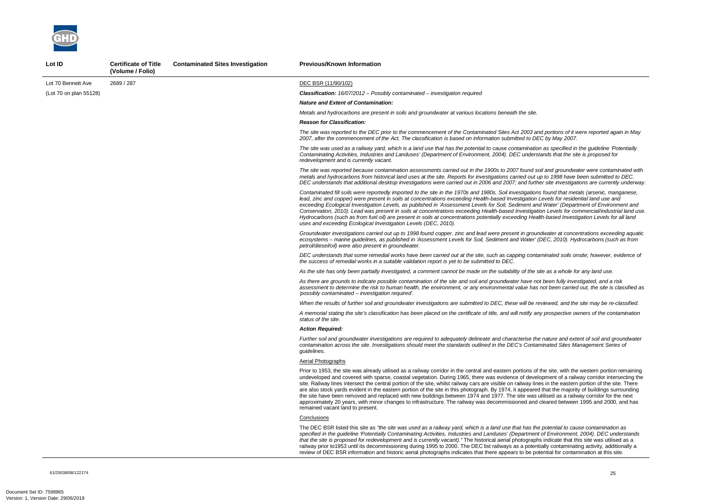61/25038/08/122174 25

*The site was reported to the DEC prior to the commencement of the Contaminated Sites Act 2003 and portions of it were reported again in May 2007, after the commencement of the Act. The classification is based on information submitted to DEC by May 2007.* 

*And groundwater were contaminated with in the 2008 found soil and groundwater were contaminated with metals and hydrocarbons from historical land uses at the site. Reports for investigations carried out up to 1998 have been submitted to DEC. DEC understands that additional desktop investigations were carried out in 2006 and 2007; and further site investigations are currently underway.* 

*The site was used as a railway yard, which is a land use that has the potential to cause contamination as specified in the guideline 'Potentially Contaminating Activities, Industries and Landuses' (Department of Environment, 2004). DEC understands that the site is proposed for* 

*Contaminated fill soils were reportedly imported to the site in the 1970s and 1980s. Soil investigations found that metals (arsenic, manganese, lead, zinc and copper) were present in soils at concentrations exceeding Health-based Investigation Levels for residential land use and Water' (Department of Environment and in Water' (Department of Environment and Conservation, 2010). Lead was present in soils at concentrations exceeding Health-based Investigation Levels for commercial/industrial land use. Hydrocarbons (such as from fuel oil) are present in soils at concentrations potentially exceeding Health-based Investigation Levels for all land* 

*Groundwater investigations carried out up to 1998 found copper, zinc and lead were present in groundwater at concentrations exceeding aquatic ecosystems – marine guidelines, as published in 'Assessment Levels for Soil, Sediment and Water' (DEC, 2010). Hydrocarbons (such as from* 

The DEC BSR listed this site as *"the site was used as a railway yard, which is a land use that has the potential to cause contamination as specified in the guideline 'Potentially Contaminating Activities, Industries and Landuses' (Department of Environment, 2004). DEC understands indicate that this site was utilised as a* ally contaminating activity, additionally a ntial for contamination at this site.



| Lot ID                 | <b>Certificate of Title</b><br>(Volume / Folio) | <b>Contaminated Sites Investigation</b> | <b>Previous/Known Information</b>                                                                                                                                                                                                                                                                                                                                                                                                                                                                                                                                                                                                                                                                     |
|------------------------|-------------------------------------------------|-----------------------------------------|-------------------------------------------------------------------------------------------------------------------------------------------------------------------------------------------------------------------------------------------------------------------------------------------------------------------------------------------------------------------------------------------------------------------------------------------------------------------------------------------------------------------------------------------------------------------------------------------------------------------------------------------------------------------------------------------------------|
| Lot 70 Bennett Ave     | 2689 / 287                                      |                                         | DEC BSR (11/90/102)                                                                                                                                                                                                                                                                                                                                                                                                                                                                                                                                                                                                                                                                                   |
| (Lot 70 on plan 55128) |                                                 |                                         | <b>Classification:</b> $16/07/2012$ – Possibly contaminated – investigation required                                                                                                                                                                                                                                                                                                                                                                                                                                                                                                                                                                                                                  |
|                        |                                                 |                                         | <b>Nature and Extent of Contamination:</b>                                                                                                                                                                                                                                                                                                                                                                                                                                                                                                                                                                                                                                                            |
|                        |                                                 |                                         | Metals and hydrocarbons are present in soils and groundwater at various locations beneath the site.                                                                                                                                                                                                                                                                                                                                                                                                                                                                                                                                                                                                   |
|                        |                                                 |                                         | <b>Reason for Classification:</b>                                                                                                                                                                                                                                                                                                                                                                                                                                                                                                                                                                                                                                                                     |
|                        |                                                 |                                         | The site was reported to the DEC prior to the commencement of the Contaminated Sites Act 2003 and<br>2007, after the commencement of the Act. The classification is based on information submitted to DEC                                                                                                                                                                                                                                                                                                                                                                                                                                                                                             |
|                        |                                                 |                                         | The site was used as a railway yard, which is a land use that has the potential to cause contamination<br>Contaminating Activities, Industries and Landuses' (Department of Environment, 2004). DEC understa.<br>redevelopment and is currently vacant.                                                                                                                                                                                                                                                                                                                                                                                                                                               |
|                        |                                                 |                                         | The site was reported because contamination assessments carried out in the 1900s to 2007 found soil<br>metals and hydrocarbons from historical land uses at the site. Reports for investigations carried out up<br>DEC understands that additional desktop investigations were carried out in 2006 and 2007; and further                                                                                                                                                                                                                                                                                                                                                                              |
|                        |                                                 |                                         | Contaminated fill soils were reportedly imported to the site in the 1970s and 1980s. Soil investigations<br>lead, zinc and copper) were present in soils at concentrations exceeding Health-based Investigation Le<br>exceeding Ecological Investigation Levels, as published in 'Assessment Levels for Soil, Sediment and<br>Conservation, 2010). Lead was present in soils at concentrations exceeding Health-based Investigation<br>Hydrocarbons (such as from fuel oil) are present in soils at concentrations potentially exceeding Health<br>uses and exceeding Ecological Investigation Levels (DEC, 2010).                                                                                    |
|                        |                                                 |                                         | Groundwater investigations carried out up to 1998 found copper, zinc and lead were present in ground<br>ecosystems - marine guidelines, as published in 'Assessment Levels for Soil, Sediment and Water' (D<br>petrol/diesel/oil) were also present in groundwater.                                                                                                                                                                                                                                                                                                                                                                                                                                   |
|                        |                                                 |                                         | DEC understands that some remedial works have been carried out at the site, such as capping contan<br>the success of remedial works in a suitable validation report is yet to be submitted to DEC.                                                                                                                                                                                                                                                                                                                                                                                                                                                                                                    |
|                        |                                                 |                                         | As the site has only been partially investigated, a comment cannot be made on the suitability of the site                                                                                                                                                                                                                                                                                                                                                                                                                                                                                                                                                                                             |
|                        |                                                 |                                         | As there are grounds to indicate possible contamination of the site and soil and groundwater have not<br>assessment to determine the risk to human health, the environment, or any environmental value has n<br>'possibly contaminated - investigation required'.                                                                                                                                                                                                                                                                                                                                                                                                                                     |
|                        |                                                 |                                         | When the results of further soil and groundwater investigations are submitted to DEC, these will be rev                                                                                                                                                                                                                                                                                                                                                                                                                                                                                                                                                                                               |
|                        |                                                 |                                         | A memorial stating the site's classification has been placed on the certificate of title, and will notify any<br>status of the site.                                                                                                                                                                                                                                                                                                                                                                                                                                                                                                                                                                  |
|                        |                                                 |                                         | Action Reauired:                                                                                                                                                                                                                                                                                                                                                                                                                                                                                                                                                                                                                                                                                      |
|                        |                                                 |                                         | Further soil and groundwater investigations are required to adequately delineate and characterise the r<br>contamination across the site. Investigations should meet the standards outlined in the DEC's Contami<br>guidelines.                                                                                                                                                                                                                                                                                                                                                                                                                                                                       |
|                        |                                                 |                                         | Aerial Photographs                                                                                                                                                                                                                                                                                                                                                                                                                                                                                                                                                                                                                                                                                    |
|                        |                                                 |                                         | Prior to 1953, the site was already utilised as a railway corridor in the central and eastern portions of th<br>undeveloped and covered with sparse, coastal vegetation. During 1965, there was evidence of develop<br>site. Railway lines intersect the central portion of the site, whilst railway cars are visible on railway lines<br>are also stock yards evident in the eastern portion of the site in this photograph. By 1974, it appeared t<br>the site have been removed and replaced with new buildings between 1974 and 1977. The site was uti<br>approximately 20 years, with minor changes to infrastructure. The railway was decommissioned and cl<br>remained vacant land to present. |
|                        |                                                 |                                         | Conclusions                                                                                                                                                                                                                                                                                                                                                                                                                                                                                                                                                                                                                                                                                           |
|                        |                                                 |                                         | The DEC BSR listed this site as "the site was used as a railway yard, which is a land use that has the $\mu$<br>specified in the guideline 'Potentially Contaminating Activities, Industries and Landuses' (Department c<br>that the site is proposed for redevelopment and is currently vacant)." The historical aerial photographs<br>railway prior to 1953 until its decommissioning during 1995 to 2000. The DEC list railways as a potentia<br>review of DEC BSR information and historic aerial photographs indicates that there appears to be pote                                                                                                                                             |

*DEC understands that some remedial works have been carried out at the site, such as capping contaminated soils onsite; however, evidence of* 

*As the site has only been partially investigated, a comment cannot be made on the suitability of the site as a whole for any land use.* 

*As there are grounds to indicate possible contamination of the site and soil and groundwater have not been fully investigated, and a risk assessment to determine the risk to human health, the environment, or any environmental value has not been carried out, the site is classified as* 

*iewed, and the site may be re-classified.* 

*A memorial stating the site's classification has been placed on the certificate of title, and will notify any prospective owners of the contamination* 

*Further soil and groundwater investigations are required to adequately delineate and characterise the nature and extent of soil and groundwater contamination across the site. Investigations should meet the standards outlined in the DEC's Contaminated Sites Management Series of* 

e site, with the western portion remaining pment of a railway corridor intersecting the in the eastern portion of the site. There hat the majority of buildings surrounding ilised as a railway corridor for the next leared between 1995 and 2000, and has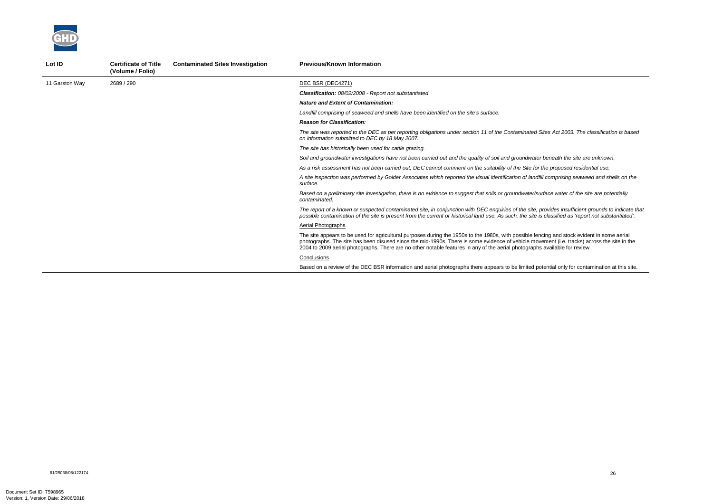*The site was reported to the DEC as per reporting obligations under section 11 of the Contaminated Sites Act 2003. The classification is based* 

*Soil and groundwater investigations have not been carried out and the quality of soil and groundwater beneath the site are unknown.* 

*As a risk assessment has not been carried out, DEC cannot comment on the suitability of the Site for the proposed residential use.* 

*A site inspection was performed by Golder Associates which reported the visual identification of landfill comprising seaweed and shells on the* 



| Lot ID         | <b>Certificate of Title</b><br>(Volume / Folio) | <b>Contaminated Sites Investigation</b> | <b>Previous/Known Information</b>                                                                                                                                                                                                                                                                                           |
|----------------|-------------------------------------------------|-----------------------------------------|-----------------------------------------------------------------------------------------------------------------------------------------------------------------------------------------------------------------------------------------------------------------------------------------------------------------------------|
| 11 Garston Way | 2689 / 290                                      |                                         | DEC BSR (DEC4271)                                                                                                                                                                                                                                                                                                           |
|                |                                                 |                                         | <b>Classification:</b> 08/02/2008 - Report not substantiated                                                                                                                                                                                                                                                                |
|                |                                                 |                                         | <b>Nature and Extent of Contamination:</b>                                                                                                                                                                                                                                                                                  |
|                |                                                 |                                         | Landfill comprising of seaweed and shells have been identified on the site's surface.                                                                                                                                                                                                                                       |
|                |                                                 |                                         | <b>Reason for Classification:</b>                                                                                                                                                                                                                                                                                           |
|                |                                                 |                                         | The site was reported to the DEC as per reporting obligations under section 11 of the Contaminated Site<br>on information submitted to DEC by 18 May 2007.                                                                                                                                                                  |
|                |                                                 |                                         | The site has historically been used for cattle grazing.                                                                                                                                                                                                                                                                     |
|                |                                                 |                                         | Soil and groundwater investigations have not been carried out and the quality of soil and groundwater be                                                                                                                                                                                                                    |
|                |                                                 |                                         | As a risk assessment has not been carried out, DEC cannot comment on the suitability of the Site for the                                                                                                                                                                                                                    |
|                |                                                 |                                         | A site inspection was performed by Golder Associates which reported the visual identification of landfill of<br>surface.                                                                                                                                                                                                    |
|                |                                                 |                                         | Based on a preliminary site investigation, there is no evidence to suggest that soils or groundwater/surfa<br>contaminated.                                                                                                                                                                                                 |
|                |                                                 |                                         | The report of a known or suspected contaminated site, in conjunction with DEC enquiries of the site, pro<br>possible contamination of the site is present from the current or historical land use. As such, the site is c                                                                                                   |
|                |                                                 |                                         | Aerial Photographs                                                                                                                                                                                                                                                                                                          |
|                |                                                 |                                         | The site appears to be used for agricultural purposes during the 1950s to the 1980s, with possible fencir<br>photographs. The site has been disused since the mid-1990s. There is some evidence of vehicle moven<br>2004 to 2009 aerial photographs. There are no other notable features in any of the aerial photographs a |
|                |                                                 |                                         | Conclusions                                                                                                                                                                                                                                                                                                                 |
|                |                                                 |                                         | Based on a review of the DEC BSR information and aerial photographs there appears to be limited pote                                                                                                                                                                                                                        |
|                |                                                 |                                         |                                                                                                                                                                                                                                                                                                                             |

*Based on a preliminary site investigation, there is no evidence to suggest that soils or groundwater/surface water of the site are potentially* 

*The report of a known or suspected contaminated site, in conjunction with DEC enquiries of the site, provides insufficient grounds to indicate that possible contamination of the site is present from the current or historical land use. As such, the site is classified as 'report not substantiated'.* 

ng and stock evident in some aerial ment (i.e. tracks) across the site in the available for review.

ential only for contamination at this site.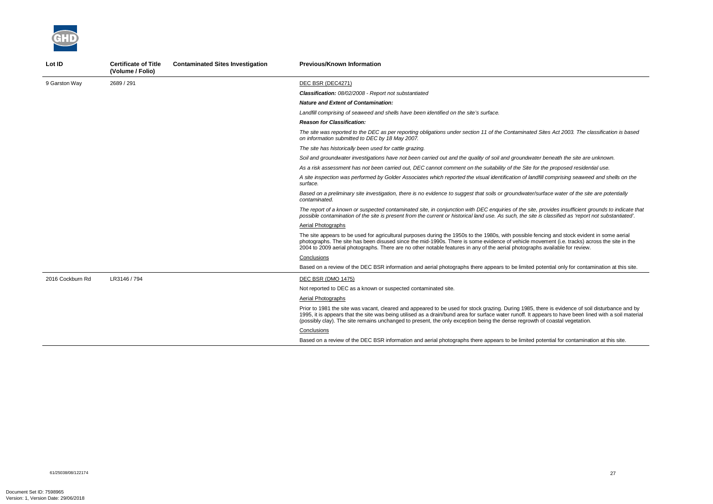*The site was reported to the DEC as per reporting obligations under section 11 of the Contaminated Sites Act 2003. The classification is based* 

beneath the site are unknown.

*As a risk assessment has not been carried out, DEC cannot comment on the suitability of the Site for the proposed residential use.* 

*A site inspection was performed by Golder Associates which reported the visual identification of landfill comprising seaweed and shells on the* 

*Based on a preliminary site investigation, there is no evidence to suggest that soils or groundwater/surface water of the site are potentially* 



| Lot ID           | <b>Certificate of Title</b><br>(Volume / Folio) | <b>Contaminated Sites Investigation</b> | <b>Previous/Known Information</b>                                                                                                                                                                                                                                                                                              |
|------------------|-------------------------------------------------|-----------------------------------------|--------------------------------------------------------------------------------------------------------------------------------------------------------------------------------------------------------------------------------------------------------------------------------------------------------------------------------|
| 9 Garston Way    | 2689 / 291                                      |                                         | DEC BSR (DEC4271)                                                                                                                                                                                                                                                                                                              |
|                  |                                                 |                                         | <b>Classification: 08/02/2008 - Report not substantiated</b>                                                                                                                                                                                                                                                                   |
|                  |                                                 |                                         | <b>Nature and Extent of Contamination:</b>                                                                                                                                                                                                                                                                                     |
|                  |                                                 |                                         | Landfill comprising of seaweed and shells have been identified on the site's surface.                                                                                                                                                                                                                                          |
|                  |                                                 |                                         | <b>Reason for Classification:</b>                                                                                                                                                                                                                                                                                              |
|                  |                                                 |                                         | The site was reported to the DEC as per reporting obligations under section 11 of the Contaminated Si<br>on information submitted to DEC by 18 May 2007.                                                                                                                                                                       |
|                  |                                                 |                                         | The site has historically been used for cattle grazing.                                                                                                                                                                                                                                                                        |
|                  |                                                 |                                         | Soil and groundwater investigations have not been carried out and the quality of soil and groundwater                                                                                                                                                                                                                          |
|                  |                                                 |                                         | As a risk assessment has not been carried out, DEC cannot comment on the suitability of the Site for ti                                                                                                                                                                                                                        |
|                  |                                                 |                                         | A site inspection was performed by Golder Associates which reported the visual identification of landfill<br>surface.                                                                                                                                                                                                          |
|                  |                                                 |                                         | Based on a preliminary site investigation, there is no evidence to suggest that soils or groundwater/sur<br>contaminated.                                                                                                                                                                                                      |
|                  |                                                 |                                         | The report of a known or suspected contaminated site, in conjunction with DEC enquiries of the site, pr<br>possible contamination of the site is present from the current or historical land use. As such, the site is                                                                                                         |
|                  |                                                 |                                         | Aerial Photographs                                                                                                                                                                                                                                                                                                             |
|                  |                                                 |                                         | The site appears to be used for agricultural purposes during the 1950s to the 1980s, with possible fend<br>photographs. The site has been disused since the mid-1990s. There is some evidence of vehicle move<br>2004 to 2009 aerial photographs. There are no other notable features in any of the aerial photographs         |
|                  |                                                 |                                         | Conclusions                                                                                                                                                                                                                                                                                                                    |
|                  |                                                 |                                         | Based on a review of the DEC BSR information and aerial photographs there appears to be limited pot                                                                                                                                                                                                                            |
| 2016 Cockburn Rd | LR3146 / 794                                    |                                         | DEC BSR (DMO 1475)                                                                                                                                                                                                                                                                                                             |
|                  |                                                 |                                         | Not reported to DEC as a known or suspected contaminated site.                                                                                                                                                                                                                                                                 |
|                  |                                                 |                                         | Aerial Photographs                                                                                                                                                                                                                                                                                                             |
|                  |                                                 |                                         | Prior to 1981 the site was vacant, cleared and appeared to be used for stock grazing. During 1985, the<br>1995, it is appears that the site was being utilised as a drain/bund area for surface water runoff. It appe<br>(possibly clay). The site remains unchanged to present, the only exception being the dense regrowth o |
|                  |                                                 |                                         | Conclusions                                                                                                                                                                                                                                                                                                                    |
|                  |                                                 |                                         | Based on a review of the DEC BSR information and aerial photographs there appears to be limited pot                                                                                                                                                                                                                            |

*The report of a known or suspected contaminated site, in conjunction with DEC enquiries of the site, provides insufficient grounds to indicate that possible contamination of the site is present from the current or historical land use. As such, the site is classified as 'report not substantiated'.* 

cing and stock evident in some aerial ement (i.e. tracks) across the site in the available for review.

tential only for contamination at this site.

ere is evidence of soil disturbance and by ears to have been lined with a soil material f coastal vegetation.

tential for contamination at this site.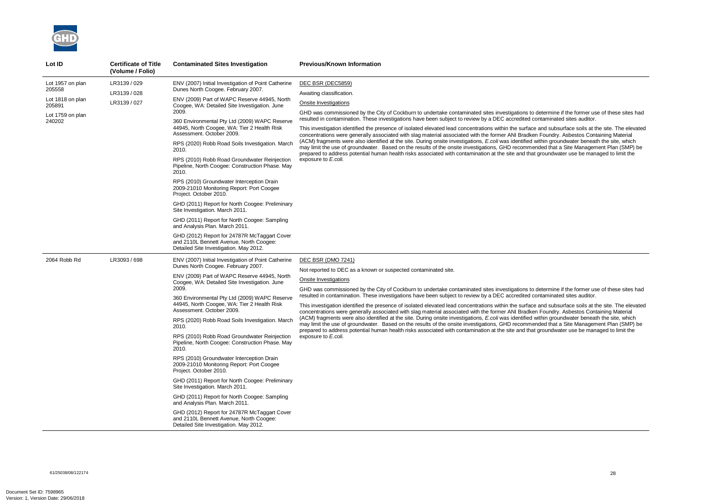

| Lot ID                                                                                 | <b>Certificate of Title</b><br>(Volume / Folio) | <b>Contaminated Sites Investigation</b>                                                                                                                                                                                                                                                                                                                                                                                                                                                                                                                                                                                                                                                                                                                                                                                                                                                                                                   | <b>Previous/Known Information</b>                                                                                                                                                                                                                                                                                                                                                                                                                                                                                                                                                                                                                                                                                                                                                                                                                                                                                                                                                                                                                                                                                                                                               |
|----------------------------------------------------------------------------------------|-------------------------------------------------|-------------------------------------------------------------------------------------------------------------------------------------------------------------------------------------------------------------------------------------------------------------------------------------------------------------------------------------------------------------------------------------------------------------------------------------------------------------------------------------------------------------------------------------------------------------------------------------------------------------------------------------------------------------------------------------------------------------------------------------------------------------------------------------------------------------------------------------------------------------------------------------------------------------------------------------------|---------------------------------------------------------------------------------------------------------------------------------------------------------------------------------------------------------------------------------------------------------------------------------------------------------------------------------------------------------------------------------------------------------------------------------------------------------------------------------------------------------------------------------------------------------------------------------------------------------------------------------------------------------------------------------------------------------------------------------------------------------------------------------------------------------------------------------------------------------------------------------------------------------------------------------------------------------------------------------------------------------------------------------------------------------------------------------------------------------------------------------------------------------------------------------|
| Lot 1957 on plan<br>205558<br>Lot 1818 on plan<br>205891<br>Lot 1759 on plan<br>240202 | LR3139 / 029<br>LR3139 / 028<br>LR3139 / 027    | ENV (2007) Initial Investigation of Point Catherine<br>Dunes North Coogee. February 2007.<br>ENV (2009) Part of WAPC Reserve 44945, North<br>Coogee, WA: Detailed Site Investigation. June<br>2009.<br>360 Environmental Pty Ltd (2009) WAPC Reserve<br>44945, North Coogee, WA: Tier 2 Health Risk<br>Assessment. October 2009.<br>RPS (2020) Robb Road Soils Investigation. March<br>2010.<br>RPS (2010) Robb Road Groundwater Reinjection<br>Pipeline, North Coogee: Construction Phase. May<br>2010.<br>RPS (2010) Groundwater Interception Drain<br>2009-21010 Monitoring Report: Port Coogee<br>Project. October 2010.<br>GHD (2011) Report for North Coogee: Preliminary<br>Site Investigation. March 2011.<br>GHD (2011) Report for North Coogee: Sampling<br>and Analysis Plan. March 2011.<br>GHD (2012) Report for 24787R McTaggart Cover<br>and 2110L Bennett Avenue, North Coogee:<br>Detailed Site Investigation. May 2012. | DEC BSR (DEC5859)<br>Awaiting classification.<br>Onsite Investigations<br>GHD was commissioned by the City of Cockburn to undertake contaminated sites investigations to determine if the former use of these sites had<br>resulted in contamination. These investigations have been subject to review by a DEC accredited contaminated sites auditor.<br>This investigation identified the presence of isolated elevated lead concentrations within the surface and subsurface soils at the site. The elevate<br>concentrations were generally associated with slag material associated with the former ANI Bradken Foundry. Asbestos Containing Material<br>(ACM) fragments were also identified at the site. During onsite investigations, E.coli was identified within groundwater beneath the site, which<br>may limit the use of groundwater. Based on the results of the onsite investigations, GHD recommended that a Site Management Plan (SMP) be<br>prepared to address potential human health risks associated with contamination at the site and that groundwater use be managed to limit the<br>exposure to E.coli.                                               |
| 2064 Robb Rd                                                                           | LR3093 / 698                                    | ENV (2007) Initial Investigation of Point Catherine<br>Dunes North Coogee. February 2007.<br>ENV (2009) Part of WAPC Reserve 44945, North<br>Coogee, WA: Detailed Site Investigation. June<br>2009.<br>360 Environmental Pty Ltd (2009) WAPC Reserve<br>44945, North Coogee, WA: Tier 2 Health Risk<br>Assessment. October 2009.<br>RPS (2020) Robb Road Soils Investigation. March<br>2010.<br>RPS (2010) Robb Road Groundwater Reinjection<br>Pipeline, North Coogee: Construction Phase. May<br>2010.<br>RPS (2010) Groundwater Interception Drain<br>2009-21010 Monitoring Report: Port Coogee<br>Project. October 2010.<br>GHD (2011) Report for North Coogee: Preliminary<br>Site Investigation. March 2011.<br>GHD (2011) Report for North Coogee: Sampling<br>and Analysis Plan. March 2011.<br>GHD (2012) Report for 24787R McTaggart Cover<br>and 2110L Bennett Avenue, North Coogee:<br>Detailed Site Investigation. May 2012. | <b>DEC BSR (DMO 7241)</b><br>Not reported to DEC as a known or suspected contaminated site.<br>Onsite Investigations<br>GHD was commissioned by the City of Cockburn to undertake contaminated sites investigations to determine if the former use of these sites hac<br>resulted in contamination. These investigations have been subject to review by a DEC accredited contaminated sites auditor.<br>This investigation identified the presence of isolated elevated lead concentrations within the surface and subsurface soils at the site. The elevate<br>concentrations were generally associated with slag material associated with the former ANI Bradken Foundry. Asbestos Containing Material<br>(ACM) fragments were also identified at the site. During onsite investigations, E.coli was identified within groundwater beneath the site, which<br>may limit the use of groundwater. Based on the results of the onsite investigations, GHD recommended that a Site Management Plan (SMP) be<br>prepared to address potential human health risks associated with contamination at the site and that groundwater use be managed to limit the<br>exposure to E.coli. |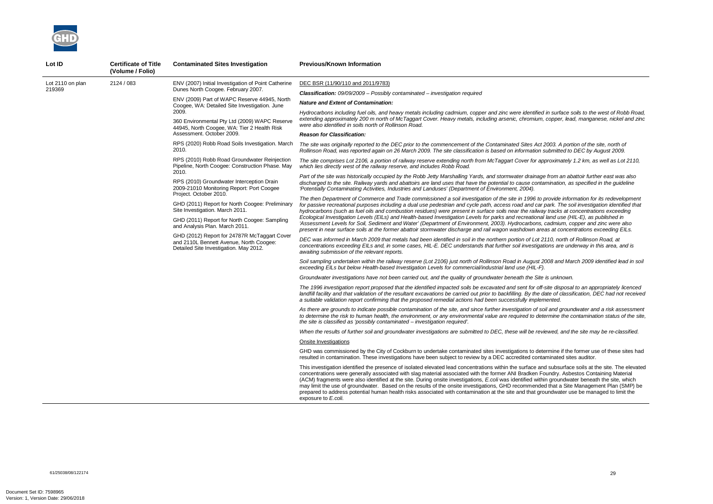*Hydrocarbons including fuel oils, and heavy metals including cadmium, copper and zinc were identified in surface soils to the west of Robb Road, extending approximately 200 m north of McTaggart Cover. Heavy metals, including arsenic, chromium, copper, lead, manganese, nickel and zinc* 

*The site was originally reported to the DEC prior to the commencement of the Contaminated Sites Act 2003. A portion of the site, north of Rollinson Road, was reported again on 26 March 2009. The site classification is based on information submitted to DEC by August 2009.* 

*The site comprises Lot 2106, a portion of railway reserve extending north from McTaggart Cover for approximately 1.2 km, as well as Lot 2110,* 

*As there are grounds to indicate possible contamination of the site, and since further investigation of soil and groundwater and a risk assessment*  determine the contamination status of the site,

*Part of the site was historically occupied by the Robb Jetty Marshalling Yards, and stormwater drainage from an abattoir further east was also discharged to the site. Railway yards and abattoirs are land uses that have the potential to cause contamination, as specified in the guideline* 

*The then Department of Commerce and Trade commissioned a soil investigation of the site in 1996 to provide information for its redevelopment for passive recreational purposes including a dual use pedestrian and cycle path, access road and car park. The soil investigation identified that hydrocarbons (such as fuel oils and combustion residues) were present in surface soils near the railway tracks at concentrations exceeding Ecological Investigation Levels (EILs) and Health-based Investigation Levels for parks and recreational land use (HIL-E), as published in 'Assessment Levels for Soil, Sediment and Water' (Department of Environment, 2003). Hydrocarbons, cadmium, copper and zinc were also present in near surface soils at the former abattoir stormwater discharge and rail wagon washdown areas at concentrations exceeding EILs.* 



| Lot ID           | <b>Certificate of Title</b><br>(Volume / Folio) | <b>Contaminated Sites Investigation</b>                                                                                           | <b>Previous/Known Information</b>                                                                                                                                                                                                                                                                                                                                                                                                                                                                                                                                                                            |                                   |
|------------------|-------------------------------------------------|-----------------------------------------------------------------------------------------------------------------------------------|--------------------------------------------------------------------------------------------------------------------------------------------------------------------------------------------------------------------------------------------------------------------------------------------------------------------------------------------------------------------------------------------------------------------------------------------------------------------------------------------------------------------------------------------------------------------------------------------------------------|-----------------------------------|
| Lot 2110 on plan | 2124 / 083                                      |                                                                                                                                   | ENV (2007) Initial Investigation of Point Catherine                                                                                                                                                                                                                                                                                                                                                                                                                                                                                                                                                          | DEC BSR (11/90/110 and 2011/9783) |
| 219369           |                                                 | Dunes North Coogee. February 2007.                                                                                                | <b>Classification:</b> $09/09/2009$ – Possibly contaminated – investigation required                                                                                                                                                                                                                                                                                                                                                                                                                                                                                                                         |                                   |
|                  |                                                 | ENV (2009) Part of WAPC Reserve 44945, North<br>Coogee, WA: Detailed Site Investigation. June                                     | <b>Nature and Extent of Contamination:</b>                                                                                                                                                                                                                                                                                                                                                                                                                                                                                                                                                                   |                                   |
|                  |                                                 | 2009.<br>360 Environmental Pty Ltd (2009) WAPC Reserve<br>44945, North Coogee, WA: Tier 2 Health Risk                             | Hydrocarbons including fuel oils, and heavy metals including cadmium, copper and zinc were identified in surfa<br>extending approximately 200 m north of McTaggart Cover. Heavy metals, including arsenic, chromium, copper<br>were also identified in soils north of Rollinson Road.                                                                                                                                                                                                                                                                                                                        |                                   |
|                  |                                                 | Assessment. October 2009.                                                                                                         | <b>Reason for Classification:</b>                                                                                                                                                                                                                                                                                                                                                                                                                                                                                                                                                                            |                                   |
|                  |                                                 | RPS (2020) Robb Road Soils Investigation. March<br>2010.                                                                          | The site was originally reported to the DEC prior to the commencement of the Contaminated Sites Act 2003. A<br>Rollinson Road, was reported again on 26 March 2009. The site classification is based on information submitte                                                                                                                                                                                                                                                                                                                                                                                 |                                   |
|                  |                                                 | RPS (2010) Robb Road Groundwater Reinjection<br>Pipeline, North Coogee: Construction Phase. May                                   | The site comprises Lot 2106, a portion of railway reserve extending north from McTaggart Cover for approxima<br>which lies directly west of the railway reserve, and includes Robb Road.                                                                                                                                                                                                                                                                                                                                                                                                                     |                                   |
|                  |                                                 | 2010.<br>RPS (2010) Groundwater Interception Drain<br>2009-21010 Monitoring Report: Port Coogee                                   | Part of the site was historically occupied by the Robb Jetty Marshalling Yards, and stormwater drainage from a<br>discharged to the site. Railway yards and abattoirs are land uses that have the potential to cause contaminatio<br>'Potentially Contaminating Activities, Industries and Landuses' (Department of Environment, 2004).                                                                                                                                                                                                                                                                      |                                   |
|                  |                                                 | Project. October 2010.<br>GHD (2011) Report for North Coogee: Preliminary<br>Site Investigation. March 2011.                      | The then Department of Commerce and Trade commissioned a soil investigation of the site in 1996 to provide<br>for passive recreational purposes including a dual use pedestrian and cycle path, access road and car park. Th<br>hydrocarbons (such as fuel oils and combustion residues) were present in surface soils near the railway tracks<br>Ecological Investigation Levels (EILs) and Health-based Investigation Levels for parks and recreational land us                                                                                                                                            |                                   |
|                  |                                                 | GHD (2011) Report for North Coogee: Sampling<br>and Analysis Plan. March 2011.                                                    | 'Assessment Levels for Soil, Sediment and Water' (Department of Environment, 2003). Hydrocarbons, cadmiu.<br>present in near surface soils at the former abattoir stormwater discharge and rail wagon washdown areas at co                                                                                                                                                                                                                                                                                                                                                                                   |                                   |
|                  |                                                 | GHD (2012) Report for 24787R McTaggart Cover<br>and 2110L Bennett Avenue, North Coogee:<br>Detailed Site Investigation. May 2012. | DEC was informed in March 2009 that metals had been identified in soil in the northern portion of Lot 2110, no<br>concentrations exceeding EILs and, in some cases, HIL-E. DEC understands that further soil investigations are<br>awaiting submission of the relevant reports.                                                                                                                                                                                                                                                                                                                              |                                   |
|                  |                                                 |                                                                                                                                   | Soil sampling undertaken within the railway reserve (Lot 2106) just north of Rollinson Road in August 2008 and<br>exceeding EILs but below Health-based Investigation Levels for commercial/industrial land use (HIL-F).                                                                                                                                                                                                                                                                                                                                                                                     |                                   |
|                  |                                                 |                                                                                                                                   | Groundwater investigations have not been carried out, and the quality of groundwater beneath the Site is unkn                                                                                                                                                                                                                                                                                                                                                                                                                                                                                                |                                   |
|                  |                                                 |                                                                                                                                   | The 1996 investigation report proposed that the identified impacted soils be excavated and sent for off-site disp<br>landfill facility and that validation of the resultant excavations be carried out prior to backfilling. By the date of c<br>a suitable validation report confirming that the proposed remedial actions had been successfully implemented.                                                                                                                                                                                                                                               |                                   |
|                  |                                                 |                                                                                                                                   | As there are grounds to indicate possible contamination of the site, and since further investigation of soil and g<br>to determine the risk to human health, the environment, or any environmental value are required to determine<br>the site is classified as 'possibly contaminated - investigation required'.                                                                                                                                                                                                                                                                                            |                                   |
|                  |                                                 |                                                                                                                                   | When the results of further soil and groundwater investigations are submitted to DEC, these will be reviewed, a                                                                                                                                                                                                                                                                                                                                                                                                                                                                                              |                                   |
|                  |                                                 |                                                                                                                                   | Onsite Investigations                                                                                                                                                                                                                                                                                                                                                                                                                                                                                                                                                                                        |                                   |
|                  |                                                 |                                                                                                                                   | GHD was commissioned by the City of Cockburn to undertake contaminated sites investigations to determine i<br>resulted in contamination. These investigations have been subject to review by a DEC accredited contaminated                                                                                                                                                                                                                                                                                                                                                                                   |                                   |
|                  |                                                 |                                                                                                                                   | This investigation identified the presence of isolated elevated lead concentrations within the surface and subsu<br>concentrations were generally associated with slag material associated with the former ANI Bradken Foundry.<br>(ACM) fragments were also identified at the site. During onsite investigations, E.coli was identified within groun<br>may limit the use of groundwater. Based on the results of the onsite investigations, GHD recommended that a<br>prepared to address potential human health risks associated with contamination at the site and that groundwat<br>exposure to E.coli. |                                   |

*DEC was informed in March 2009 that metals had been identified in soil in the northern portion of Lot 2110, north of Rollinson Road, at concentrations exceeding EILs and, in some cases, HIL-E. DEC understands that further soil investigations are underway in this area, and is* 

*Soil sampling undertaken within the railway reserve (Lot 2106) just north of Rollinson Road in August 2008 and March 2009 identified lead in soil* 

*Groundwater investigations have not been carried out, and the quality of groundwater beneath the Site is unknown.* 

*The 1996 investigation report proposed that the identified impacted soils be excavated and sent for off-site disposal to an appropriately licenced landfill facility and that validation of the resultant excavations be carried out prior to backfilling. By the date of classification, DEC had not received* 

*When the results of further soil and groundwater investigations are submitted to DEC, these will be reviewed, and the site may be re-classified.* 

letermine if the former use of these sites had ntaminated sites auditor.

and subsurface soils at the site. The elevated Foundry. Asbestos Containing Material ithin groundwater beneath the site, which ded that a Site Management Plan (SMP) be groundwater use be managed to limit the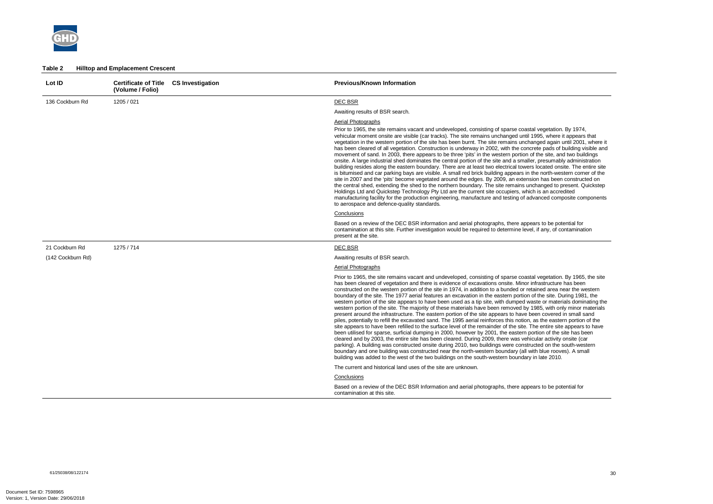

#### **Table 2 Hilltop and Emplacement Crescent**

| Lot ID            | <b>Certificate of Title</b><br>(Volume / Folio) | <b>CS Investigation</b> | <b>Previous/Known Information</b>                                                                                                                                                                                                                                                                                                                                                                                                                                                                                                                                                                                                                                                                                                                                                                                                                                                                                                                                                                                                                                                                                                                                                                                                                                                                                                                                                                                                                                                                                                                                                                                                                          |
|-------------------|-------------------------------------------------|-------------------------|------------------------------------------------------------------------------------------------------------------------------------------------------------------------------------------------------------------------------------------------------------------------------------------------------------------------------------------------------------------------------------------------------------------------------------------------------------------------------------------------------------------------------------------------------------------------------------------------------------------------------------------------------------------------------------------------------------------------------------------------------------------------------------------------------------------------------------------------------------------------------------------------------------------------------------------------------------------------------------------------------------------------------------------------------------------------------------------------------------------------------------------------------------------------------------------------------------------------------------------------------------------------------------------------------------------------------------------------------------------------------------------------------------------------------------------------------------------------------------------------------------------------------------------------------------------------------------------------------------------------------------------------------------|
| 136 Cockburn Rd   | 1205 / 021                                      |                         | <b>DEC BSR</b>                                                                                                                                                                                                                                                                                                                                                                                                                                                                                                                                                                                                                                                                                                                                                                                                                                                                                                                                                                                                                                                                                                                                                                                                                                                                                                                                                                                                                                                                                                                                                                                                                                             |
|                   |                                                 |                         | Awaiting results of BSR search.                                                                                                                                                                                                                                                                                                                                                                                                                                                                                                                                                                                                                                                                                                                                                                                                                                                                                                                                                                                                                                                                                                                                                                                                                                                                                                                                                                                                                                                                                                                                                                                                                            |
|                   |                                                 |                         | <b>Aerial Photographs</b><br>Prior to 1965, the site remains vacant and undeveloped, consisting of sparse coastal vegetation. By 1974,<br>vehicular moment onsite are visible (car tracks). The site remains unchanged until 1995, where it appears that<br>vegetation in the western portion of the site has been burnt. The site remains unchanged again until 2001, where it<br>has been cleared of all vegetation. Construction is underway in 2002, with the concrete pads of building visible and<br>movement of sand. In 2003, there appears to be three 'pits' in the western portion of the site, and two buildings<br>onsite. A large industrial shed dominates the central portion of the site and a smaller, presumably administration<br>building resides along the eastern boundary. There are at least two electrical towers located onsite. The entire site<br>is bitumised and car parking bays are visible. A small red brick building appears in the north-western corner of the<br>site in 2007 and the 'pits' become vegetated around the edges. By 2009, an extension has been constructed on<br>the central shed, extending the shed to the northern boundary. The site remains unchanged to present. Quickstep<br>Holdings Ltd and Quickstep Technology Pty Ltd are the current site occupiers, which is an accredited<br>manufacturing facility for the production engineering, manufacture and testing of advanced composite components<br>to aerospace and defence-quality standards.                                                                                                                                           |
|                   |                                                 |                         | Conclusions                                                                                                                                                                                                                                                                                                                                                                                                                                                                                                                                                                                                                                                                                                                                                                                                                                                                                                                                                                                                                                                                                                                                                                                                                                                                                                                                                                                                                                                                                                                                                                                                                                                |
|                   |                                                 |                         | Based on a review of the DEC BSR information and aerial photographs, there appears to be potential for<br>contamination at this site. Further investigation would be required to determine level, if any, of contamination<br>present at the site.                                                                                                                                                                                                                                                                                                                                                                                                                                                                                                                                                                                                                                                                                                                                                                                                                                                                                                                                                                                                                                                                                                                                                                                                                                                                                                                                                                                                         |
| 21 Cockburn Rd    | 1275 / 714                                      |                         | DEC BSR                                                                                                                                                                                                                                                                                                                                                                                                                                                                                                                                                                                                                                                                                                                                                                                                                                                                                                                                                                                                                                                                                                                                                                                                                                                                                                                                                                                                                                                                                                                                                                                                                                                    |
| (142 Cockburn Rd) |                                                 |                         | Awaiting results of BSR search.                                                                                                                                                                                                                                                                                                                                                                                                                                                                                                                                                                                                                                                                                                                                                                                                                                                                                                                                                                                                                                                                                                                                                                                                                                                                                                                                                                                                                                                                                                                                                                                                                            |
|                   |                                                 |                         | <b>Aerial Photographs</b>                                                                                                                                                                                                                                                                                                                                                                                                                                                                                                                                                                                                                                                                                                                                                                                                                                                                                                                                                                                                                                                                                                                                                                                                                                                                                                                                                                                                                                                                                                                                                                                                                                  |
|                   |                                                 |                         | Prior to 1965, the site remains vacant and undeveloped, consisting of sparse coastal vegetation. By 1965, the site<br>has been cleared of vegetation and there is evidence of excavations onsite. Minor infrastructure has been<br>constructed on the western portion of the site in 1974, in addition to a bunded or retained area near the western<br>boundary of the site. The 1977 aerial features an excavation in the eastern portion of the site. During 1981, the<br>western portion of the site appears to have been used as a tip site, with dumped waste or materials dominating the<br>western portion of the site. The majority of these materials have been removed by 1985, with only minor materials<br>present around the infrastructure. The eastern portion of the site appears to have been covered in small sand<br>piles, potentially to refill the excavated sand. The 1995 aerial reinforces this notion, as the eastern portion of the<br>site appears to have been refilled to the surface level of the remainder of the site. The entire site appears to have<br>been utilised for sparse, surficial dumping in 2000, however by 2001, the eastern portion of the site has been<br>cleared and by 2003, the entire site has been cleared. During 2009, there was vehicular activity onsite (car<br>parking). A building was constructed onsite during 2010, two buildings were constructed on the south-western<br>boundary and one building was constructed near the north-western boundary (all with blue rooves). A small<br>building was added to the west of the two buildings on the south-western boundary in late 2010. |
|                   |                                                 |                         | The current and historical land uses of the site are unknown.                                                                                                                                                                                                                                                                                                                                                                                                                                                                                                                                                                                                                                                                                                                                                                                                                                                                                                                                                                                                                                                                                                                                                                                                                                                                                                                                                                                                                                                                                                                                                                                              |
|                   |                                                 |                         | Conclusions                                                                                                                                                                                                                                                                                                                                                                                                                                                                                                                                                                                                                                                                                                                                                                                                                                                                                                                                                                                                                                                                                                                                                                                                                                                                                                                                                                                                                                                                                                                                                                                                                                                |
|                   |                                                 |                         | Based on a review of the DEC BSR Information and aerial photographs, there appears to be potential for<br>contamination at this site.                                                                                                                                                                                                                                                                                                                                                                                                                                                                                                                                                                                                                                                                                                                                                                                                                                                                                                                                                                                                                                                                                                                                                                                                                                                                                                                                                                                                                                                                                                                      |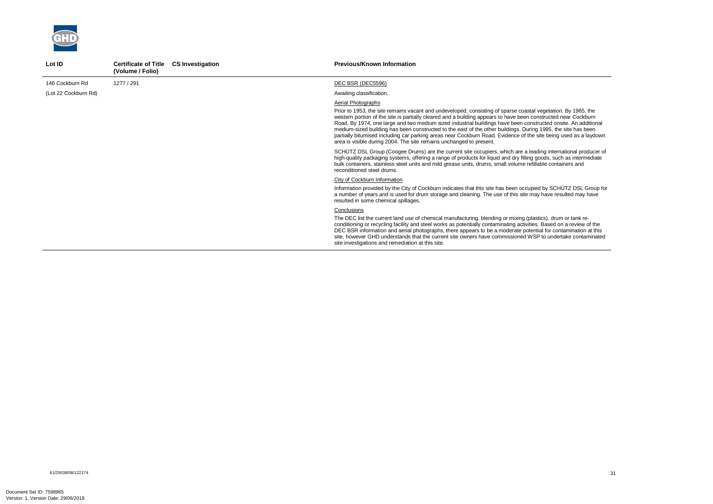

| Lot ID               | <b>Certificate of Title</b><br>(Volume / Folio) | <b>CS Investigation</b> | <b>Previous/Known Information</b>                                                                                                                                                                                                                                                                                                                                                                                                                                                                                                                                                                                                                                                   |
|----------------------|-------------------------------------------------|-------------------------|-------------------------------------------------------------------------------------------------------------------------------------------------------------------------------------------------------------------------------------------------------------------------------------------------------------------------------------------------------------------------------------------------------------------------------------------------------------------------------------------------------------------------------------------------------------------------------------------------------------------------------------------------------------------------------------|
| 146 Cockburn Rd      | 1277 / 291                                      |                         | DEC BSR (DEC5596)                                                                                                                                                                                                                                                                                                                                                                                                                                                                                                                                                                                                                                                                   |
| (Lot 22 Cockburn Rd) |                                                 |                         | Awaiting classification.                                                                                                                                                                                                                                                                                                                                                                                                                                                                                                                                                                                                                                                            |
|                      |                                                 |                         | Aerial Photographs<br>Prior to 1953, the site remains vacant and undeveloped, consisting of sparse coastal vegetation. By 1965, the<br>western portion of the site is partially cleared and a building appears to have been constructed near Cockburn<br>Road. By 1974, one large and two medium sized industrial buildings have been constructed onsite. An additional<br>medium-sized building has been constructed to the east of the other buildings. During 1995, the site has been<br>partially bitumised including car parking areas near Cockburn Road. Evidence of the site being used as a laydown<br>area is visible during 2004. The site remains unchanged to present. |
|                      |                                                 |                         | SCHÜTZ DSL Group (Coogee Drums) are the current site occupiers, which are a leading international producer of<br>high-quality packaging systems, offering a range of products for liquid and dry filling goods, such as intermediate<br>bulk containers, stainless steel units and mild grease units, drums, small volume refillable containers and<br>reconditioned steel drums.                                                                                                                                                                                                                                                                                                   |
|                      |                                                 |                         | City of Cockburn Information<br>Information provided by the City of Cockburn indicates that this site has been occupied by SCHÜTZ DSL Group for<br>a number of years and is used for drum storage and cleaning. The use of this site may have resulted may have<br>resulted in some chemical spillages.                                                                                                                                                                                                                                                                                                                                                                             |
|                      |                                                 |                         | Conclusions<br>The DEC list the current land use of chemical manufacturing, blending or mixing (plastics), drum or tank re-<br>conditioning or recycling facility and steel works as potentially contaminating activities. Based on a review of the<br>DEC BSR information and aerial photographs, there appears to be a moderate potential for contamination at this<br>site, however GHD understands that the current site owners have commissioned WSP to undertake contaminated<br>site investigations and remediation at this site.                                                                                                                                            |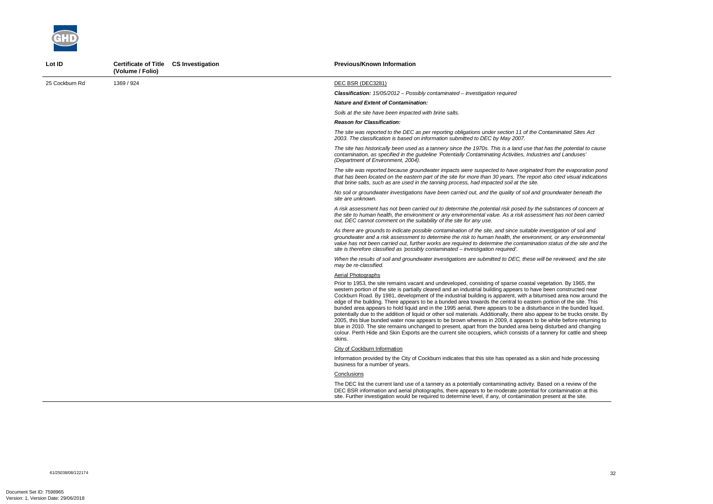

| Lot ID         | Certificate of Title CS Investigation<br>(Volume / Folio) | <b>Previous/Known Information</b>                                                                                                                                                                                                                                                                                                                                                                                                                                                                                                                                                                                                                                                                                                                                                                                                                                                                                                                                                                                                                                                                    |
|----------------|-----------------------------------------------------------|------------------------------------------------------------------------------------------------------------------------------------------------------------------------------------------------------------------------------------------------------------------------------------------------------------------------------------------------------------------------------------------------------------------------------------------------------------------------------------------------------------------------------------------------------------------------------------------------------------------------------------------------------------------------------------------------------------------------------------------------------------------------------------------------------------------------------------------------------------------------------------------------------------------------------------------------------------------------------------------------------------------------------------------------------------------------------------------------------|
| 25 Cockburn Rd | 1369 / 924                                                | DEC BSR (DEC3281)                                                                                                                                                                                                                                                                                                                                                                                                                                                                                                                                                                                                                                                                                                                                                                                                                                                                                                                                                                                                                                                                                    |
|                |                                                           | <b>Classification:</b> $15/05/2012$ - Possibly contaminated - investigation required                                                                                                                                                                                                                                                                                                                                                                                                                                                                                                                                                                                                                                                                                                                                                                                                                                                                                                                                                                                                                 |
|                |                                                           | <b>Nature and Extent of Contamination:</b>                                                                                                                                                                                                                                                                                                                                                                                                                                                                                                                                                                                                                                                                                                                                                                                                                                                                                                                                                                                                                                                           |
|                |                                                           | Soils at the site have been impacted with brine salts.                                                                                                                                                                                                                                                                                                                                                                                                                                                                                                                                                                                                                                                                                                                                                                                                                                                                                                                                                                                                                                               |
|                |                                                           | <b>Reason for Classification:</b>                                                                                                                                                                                                                                                                                                                                                                                                                                                                                                                                                                                                                                                                                                                                                                                                                                                                                                                                                                                                                                                                    |
|                |                                                           | The site was reported to the DEC as per reporting obligations under section 11 of the Contaminated Sites Act<br>2003. The classification is based on information submitted to DEC by May 2007.                                                                                                                                                                                                                                                                                                                                                                                                                                                                                                                                                                                                                                                                                                                                                                                                                                                                                                       |
|                |                                                           | The site has historically been used as a tannery since the 1970s. This is a land use that has the potential to cause<br>contamination, as specified in the guideline 'Potentially Contaminating Activities, Industries and Landuses'<br>(Department of Environment, 2004).                                                                                                                                                                                                                                                                                                                                                                                                                                                                                                                                                                                                                                                                                                                                                                                                                           |
|                |                                                           | The site was reported because groundwater impacts were suspected to have originated from the evaporation pond<br>that has been located on the eastern part of the site for more than 30 years. The report also cited visual indications<br>that brine salts, such as are used in the tanning process, had impacted soil at the site.                                                                                                                                                                                                                                                                                                                                                                                                                                                                                                                                                                                                                                                                                                                                                                 |
|                |                                                           | No soil or groundwater investigations have been carried out, and the quality of soil and groundwater beneath the<br>site are unknown.                                                                                                                                                                                                                                                                                                                                                                                                                                                                                                                                                                                                                                                                                                                                                                                                                                                                                                                                                                |
|                |                                                           | A risk assessment has not been carried out to determine the potential risk posed by the substances of concern at<br>the site to human health, the environment or any environmental value. As a risk assessment has not been carried<br>out, DEC cannot comment on the suitability of the site for any use.                                                                                                                                                                                                                                                                                                                                                                                                                                                                                                                                                                                                                                                                                                                                                                                           |
|                |                                                           | As there are grounds to indicate possible contamination of the site, and since suitable investigation of soil and<br>groundwater and a risk assessment to determine the risk to human health, the environment, or any environmental<br>value has not been carried out, further works are required to determine the contamination status of the site and the<br>site is therefore classified as 'possibly contaminated – investigation required'.                                                                                                                                                                                                                                                                                                                                                                                                                                                                                                                                                                                                                                                     |
|                |                                                           | When the results of soil and groundwater investigations are submitted to DEC, these will be reviewed, and the site<br>may be re-classified.                                                                                                                                                                                                                                                                                                                                                                                                                                                                                                                                                                                                                                                                                                                                                                                                                                                                                                                                                          |
|                |                                                           | Aerial Photographs                                                                                                                                                                                                                                                                                                                                                                                                                                                                                                                                                                                                                                                                                                                                                                                                                                                                                                                                                                                                                                                                                   |
|                |                                                           | Prior to 1953, the site remains vacant and undeveloped, consisting of sparse coastal vegetation. By 1965, the<br>western portion of the site is partially cleared and an industrial building appears to have been constructed near<br>Cockburn Road. By 1981, development of the industrial building is apparent, with a bitumised area now around the<br>edge of the building. There appears to be a bunded area towards the central to eastern portion of the site. This<br>bunded area appears to hold liquid and in the 1995 aerial, there appears to be a disturbance in the bunded liquid,<br>potentially due to the addition of liquid or other soil materials. Additionally, there also appear to be trucks onsite. By<br>2005, this blue bunded water now appears to be brown whereas in 2009, it appears to be white before returning to<br>blue in 2010. The site remains unchanged to present, apart from the bunded area being disturbed and changing<br>colour. Perth Hide and Skin Exports are the current site occupiers, which consists of a tannery for cattle and sheep<br>skins. |
|                |                                                           | <b>City of Cockburn Information</b>                                                                                                                                                                                                                                                                                                                                                                                                                                                                                                                                                                                                                                                                                                                                                                                                                                                                                                                                                                                                                                                                  |
|                |                                                           | Information provided by the City of Cockburn indicates that this site has operated as a skin and hide processing<br>business for a number of years.                                                                                                                                                                                                                                                                                                                                                                                                                                                                                                                                                                                                                                                                                                                                                                                                                                                                                                                                                  |
|                |                                                           | Conclusions                                                                                                                                                                                                                                                                                                                                                                                                                                                                                                                                                                                                                                                                                                                                                                                                                                                                                                                                                                                                                                                                                          |
|                |                                                           | The DEC list the current land use of a tannery as a potentially contaminating activity. Based on a review of the<br>DEC BSR information and aerial photographs, there appears to be moderate potential for contamination at this<br>site. Further investigation would be required to determine level, if any, of contamination present at the site.                                                                                                                                                                                                                                                                                                                                                                                                                                                                                                                                                                                                                                                                                                                                                  |

61/25038/08/122174<br>61/25038/08/122174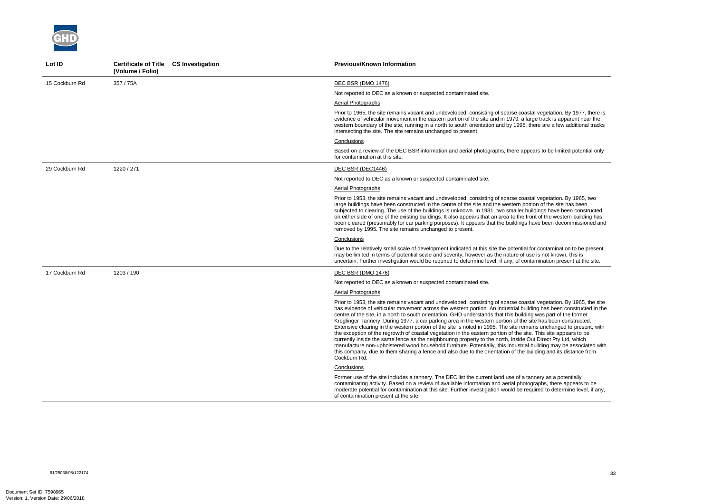

| Lot ID         | Certificate of Title CS Investigation<br>(Volume / Folio) | <b>Previous/Known Information</b>                                                                                                                                                                                                                                                                                                                                                                                                                                                                                                                                                                                                                                                                                                                                                                                                                                                                                                                                                                                                                                                           |
|----------------|-----------------------------------------------------------|---------------------------------------------------------------------------------------------------------------------------------------------------------------------------------------------------------------------------------------------------------------------------------------------------------------------------------------------------------------------------------------------------------------------------------------------------------------------------------------------------------------------------------------------------------------------------------------------------------------------------------------------------------------------------------------------------------------------------------------------------------------------------------------------------------------------------------------------------------------------------------------------------------------------------------------------------------------------------------------------------------------------------------------------------------------------------------------------|
| 15 Cockburn Rd | 357 / 75A                                                 | <b>DEC BSR (DMO 1476)</b>                                                                                                                                                                                                                                                                                                                                                                                                                                                                                                                                                                                                                                                                                                                                                                                                                                                                                                                                                                                                                                                                   |
|                |                                                           | Not reported to DEC as a known or suspected contaminated site.                                                                                                                                                                                                                                                                                                                                                                                                                                                                                                                                                                                                                                                                                                                                                                                                                                                                                                                                                                                                                              |
|                |                                                           | Aerial Photographs                                                                                                                                                                                                                                                                                                                                                                                                                                                                                                                                                                                                                                                                                                                                                                                                                                                                                                                                                                                                                                                                          |
|                |                                                           | Prior to 1965, the site remains vacant and undeveloped, consisting of sparse coastal vegetation. By 1977, there is<br>evidence of vehicular movement in the eastern portion of the site and in 1979, a large track is apparent near the<br>western boundary of the site, running in a north to south orientation and by 1995, there are a few additional tracks<br>intersecting the site. The site remains unchanged to present.                                                                                                                                                                                                                                                                                                                                                                                                                                                                                                                                                                                                                                                            |
|                |                                                           | Conclusions                                                                                                                                                                                                                                                                                                                                                                                                                                                                                                                                                                                                                                                                                                                                                                                                                                                                                                                                                                                                                                                                                 |
|                |                                                           | Based on a review of the DEC BSR information and aerial photographs, there appears to be limited potential only<br>for contamination at this site.                                                                                                                                                                                                                                                                                                                                                                                                                                                                                                                                                                                                                                                                                                                                                                                                                                                                                                                                          |
| 29 Cockburn Rd | 1220 / 271                                                | DEC BSR (DEC1446)                                                                                                                                                                                                                                                                                                                                                                                                                                                                                                                                                                                                                                                                                                                                                                                                                                                                                                                                                                                                                                                                           |
|                |                                                           | Not reported to DEC as a known or suspected contaminated site.                                                                                                                                                                                                                                                                                                                                                                                                                                                                                                                                                                                                                                                                                                                                                                                                                                                                                                                                                                                                                              |
|                |                                                           | Aerial Photographs                                                                                                                                                                                                                                                                                                                                                                                                                                                                                                                                                                                                                                                                                                                                                                                                                                                                                                                                                                                                                                                                          |
|                |                                                           | Prior to 1953, the site remains vacant and undeveloped, consisting of sparse coastal vegetation. By 1965, two<br>large buildings have been constructed in the centre of the site and the western portion of the site has been<br>subjected to clearing. The use of the buildings is unknown. In 1981, two smaller buildings have been constructed<br>on either side of one of the existing buildings. It also appears that an area to the front of the western building has<br>been cleared (presumably for car parking purposes). It appears that the buildings have been decommissioned and<br>removed by 1995. The site remains unchanged to present.                                                                                                                                                                                                                                                                                                                                                                                                                                    |
|                |                                                           | Conclusions                                                                                                                                                                                                                                                                                                                                                                                                                                                                                                                                                                                                                                                                                                                                                                                                                                                                                                                                                                                                                                                                                 |
|                |                                                           | Due to the relatively small scale of development indicated at this site the potential for contamination to be present<br>may be limited in terms of potential scale and severity, however as the nature of use is not known, this is<br>uncertain. Further investigation would be required to determine level, if any, of contamination present at the site.                                                                                                                                                                                                                                                                                                                                                                                                                                                                                                                                                                                                                                                                                                                                |
| 17 Cockburn Rd | 1203 / 190                                                | DEC BSR (DMO 1476)                                                                                                                                                                                                                                                                                                                                                                                                                                                                                                                                                                                                                                                                                                                                                                                                                                                                                                                                                                                                                                                                          |
|                |                                                           | Not reported to DEC as a known or suspected contaminated site.                                                                                                                                                                                                                                                                                                                                                                                                                                                                                                                                                                                                                                                                                                                                                                                                                                                                                                                                                                                                                              |
|                |                                                           | Aerial Photographs                                                                                                                                                                                                                                                                                                                                                                                                                                                                                                                                                                                                                                                                                                                                                                                                                                                                                                                                                                                                                                                                          |
|                |                                                           | Prior to 1953, the site remains vacant and undeveloped, consisting of sparse coastal vegetation. By 1965, the site<br>has evidence of vehicular movement across the western portion. An industrial building has been constructed in the<br>centre of the site, in a north to south orientation. GHD understands that this building was part of the former<br>Kreglinger Tannery. During 1977, a car parking area in the western portion of the site has been constructed.<br>Extensive clearing in the western portion of the site is noted in 1995. The site remains unchanged to present, with<br>the exception of the regrowth of coastal vegetation in the eastern portion of the site. This site appears to be<br>currently inside the same fence as the neighbouring property to the north, Inside Out Direct Pty Ltd, which<br>manufacture non-upholstered wood household furniture. Potentially, this industrial building may be associated with<br>this company, due to them sharing a fence and also due to the orientation of the building and its distance from<br>Cockburn Rd. |
|                |                                                           | Conclusions                                                                                                                                                                                                                                                                                                                                                                                                                                                                                                                                                                                                                                                                                                                                                                                                                                                                                                                                                                                                                                                                                 |
|                |                                                           | Former use of the site includes a tannery. The DEC list the current land use of a tannery as a potentially<br>contaminating activity. Based on a review of available information and aerial photographs, there appears to be<br>moderate potential for contamination at this site. Further investigation would be required to determine level, if any,<br>of contamination present at the site.                                                                                                                                                                                                                                                                                                                                                                                                                                                                                                                                                                                                                                                                                             |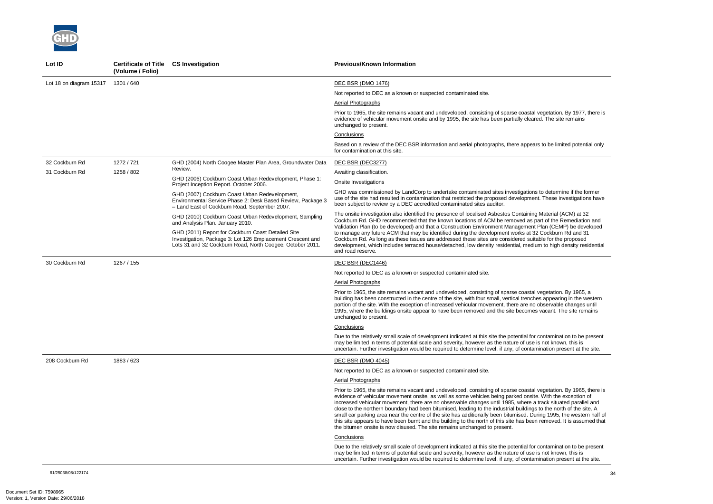

| Lot ID                             | <b>Certificate of Title</b><br>(Volume / Folio) | <b>CS Investigation</b>                                                                                                                                                       | <b>Previous/Known Information</b>                                                                                                                                                                                                                                                                                                                                                                                                                                                                                                                                                                                                                                                                                                                                                                    |
|------------------------------------|-------------------------------------------------|-------------------------------------------------------------------------------------------------------------------------------------------------------------------------------|------------------------------------------------------------------------------------------------------------------------------------------------------------------------------------------------------------------------------------------------------------------------------------------------------------------------------------------------------------------------------------------------------------------------------------------------------------------------------------------------------------------------------------------------------------------------------------------------------------------------------------------------------------------------------------------------------------------------------------------------------------------------------------------------------|
| Lot 18 on diagram 15317 1301 / 640 |                                                 |                                                                                                                                                                               | <b>DEC BSR (DMO 1476)</b>                                                                                                                                                                                                                                                                                                                                                                                                                                                                                                                                                                                                                                                                                                                                                                            |
|                                    |                                                 |                                                                                                                                                                               | Not reported to DEC as a known or suspected contaminated site.                                                                                                                                                                                                                                                                                                                                                                                                                                                                                                                                                                                                                                                                                                                                       |
|                                    |                                                 |                                                                                                                                                                               | Aerial Photographs                                                                                                                                                                                                                                                                                                                                                                                                                                                                                                                                                                                                                                                                                                                                                                                   |
|                                    |                                                 |                                                                                                                                                                               | Prior to 1965, the site remains vacant and undeveloped, consisting of sparse coastal vegetation. By 1977, there is<br>evidence of vehicular movement onsite and by 1995, the site has been partially cleared. The site remains<br>unchanged to present.                                                                                                                                                                                                                                                                                                                                                                                                                                                                                                                                              |
|                                    |                                                 |                                                                                                                                                                               | Conclusions                                                                                                                                                                                                                                                                                                                                                                                                                                                                                                                                                                                                                                                                                                                                                                                          |
|                                    |                                                 |                                                                                                                                                                               | Based on a review of the DEC BSR information and aerial photographs, there appears to be limited potential only<br>for contamination at this site.                                                                                                                                                                                                                                                                                                                                                                                                                                                                                                                                                                                                                                                   |
| 32 Cockburn Rd                     | 1272 / 721                                      | GHD (2004) North Coogee Master Plan Area, Groundwater Data                                                                                                                    | DEC BSR (DEC3277)                                                                                                                                                                                                                                                                                                                                                                                                                                                                                                                                                                                                                                                                                                                                                                                    |
| 31 Cockburn Rd                     | 1258 / 802                                      | Review.                                                                                                                                                                       | Awaiting classification.                                                                                                                                                                                                                                                                                                                                                                                                                                                                                                                                                                                                                                                                                                                                                                             |
|                                    |                                                 | GHD (2006) Cockburn Coast Urban Redevelopment, Phase 1:<br>Project Inception Report. October 2006.                                                                            | <b>Onsite Investigations</b>                                                                                                                                                                                                                                                                                                                                                                                                                                                                                                                                                                                                                                                                                                                                                                         |
|                                    |                                                 | GHD (2007) Cockburn Coast Urban Redevelopment,<br>Environmental Service Phase 2: Desk Based Review, Package 3<br>- Land East of Cockburn Road. September 2007.                | GHD was commissioned by LandCorp to undertake contaminated sites investigations to determine if the former<br>use of the site had resulted in contamination that restricted the proposed development. These investigations have<br>been subject to review by a DEC accredited contaminated sites auditor.                                                                                                                                                                                                                                                                                                                                                                                                                                                                                            |
|                                    |                                                 | GHD (2010) Cockburn Coast Urban Redevelopment, Sampling<br>and Analysis Plan. January 2010.                                                                                   | The onsite investigation also identified the presence of localised Asbestos Containing Material (ACM) at 32<br>Cockburn Rd. GHD recommended that the known locations of ACM be removed as part of the Remediation and<br>Validation Plan (to be developed) and that a Construction Environment Management Plan (CEMP) be developed                                                                                                                                                                                                                                                                                                                                                                                                                                                                   |
|                                    |                                                 | GHD (2011) Report for Cockburn Coast Detailed Site<br>Investigation, Package 3: Lot 126 Emplacement Crescent and<br>Lots 31 and 32 Cockburn Road, North Coogee. October 2011. | to manage any future ACM that may be identified during the development works at 32 Cockburn Rd and 31<br>Cockburn Rd. As long as these issues are addressed these sites are considered suitable for the proposed<br>development, which includes terraced house/detached, low density residential, medium to high density residential<br>and road reserve.                                                                                                                                                                                                                                                                                                                                                                                                                                            |
| 30 Cockburn Rd                     | 1267 / 155                                      |                                                                                                                                                                               | DEC BSR (DEC1446)                                                                                                                                                                                                                                                                                                                                                                                                                                                                                                                                                                                                                                                                                                                                                                                    |
|                                    |                                                 |                                                                                                                                                                               | Not reported to DEC as a known or suspected contaminated site.                                                                                                                                                                                                                                                                                                                                                                                                                                                                                                                                                                                                                                                                                                                                       |
|                                    |                                                 |                                                                                                                                                                               | Aerial Photographs                                                                                                                                                                                                                                                                                                                                                                                                                                                                                                                                                                                                                                                                                                                                                                                   |
|                                    |                                                 |                                                                                                                                                                               | Prior to 1965, the site remains vacant and undeveloped, consisting of sparse coastal vegetation. By 1965, a<br>building has been constructed in the centre of the site, with four small, vertical trenches appearing in the western<br>portion of the site. With the exception of increased vehicular movement, there are no observable changes until<br>1995, where the buildings onsite appear to have been removed and the site becomes vacant. The site remains<br>unchanged to present.                                                                                                                                                                                                                                                                                                         |
|                                    |                                                 |                                                                                                                                                                               | Conclusions                                                                                                                                                                                                                                                                                                                                                                                                                                                                                                                                                                                                                                                                                                                                                                                          |
|                                    |                                                 |                                                                                                                                                                               | Due to the relatively small scale of development indicated at this site the potential for contamination to be present<br>may be limited in terms of potential scale and severity, however as the nature of use is not known, this is<br>uncertain. Further investigation would be required to determine level, if any, of contamination present at the site.                                                                                                                                                                                                                                                                                                                                                                                                                                         |
| 208 Cockburn Rd                    | 1883 / 623                                      |                                                                                                                                                                               | <b>DEC BSR (DMO 4045)</b>                                                                                                                                                                                                                                                                                                                                                                                                                                                                                                                                                                                                                                                                                                                                                                            |
|                                    |                                                 |                                                                                                                                                                               | Not reported to DEC as a known or suspected contaminated site.                                                                                                                                                                                                                                                                                                                                                                                                                                                                                                                                                                                                                                                                                                                                       |
|                                    |                                                 |                                                                                                                                                                               | <b>Aerial Photographs</b>                                                                                                                                                                                                                                                                                                                                                                                                                                                                                                                                                                                                                                                                                                                                                                            |
|                                    |                                                 |                                                                                                                                                                               | Prior to 1965, the site remains vacant and undeveloped, consisting of sparse coastal vegetation. By 1965, there is<br>evidence of vehicular movement onsite, as well as some vehicles being parked onsite. With the exception of<br>increased vehicular movement, there are no observable changes until 1985, where a track situated parallel and<br>close to the northern boundary had been bitumised, leading to the industrial buildings to the north of the site. A<br>small car parking area near the centre of the site has additionally been bitumised. During 1995, the western half of<br>this site appears to have been burnt and the building to the north of this site has been removed. It is assumed that<br>the bitumen onsite is now disused. The site remains unchanged to present. |
|                                    |                                                 |                                                                                                                                                                               | Conclusions                                                                                                                                                                                                                                                                                                                                                                                                                                                                                                                                                                                                                                                                                                                                                                                          |
|                                    |                                                 |                                                                                                                                                                               | Due to the relatively small scale of development indicated at this site the potential for contamination to be present<br>may be limited in terms of potential scale and severity, however as the nature of use is not known, this is<br>uncertain. Further investigation would be required to determine level, if any, of contamination present at the site.                                                                                                                                                                                                                                                                                                                                                                                                                                         |

61/25038/08/122174<br>61/25038/08/122174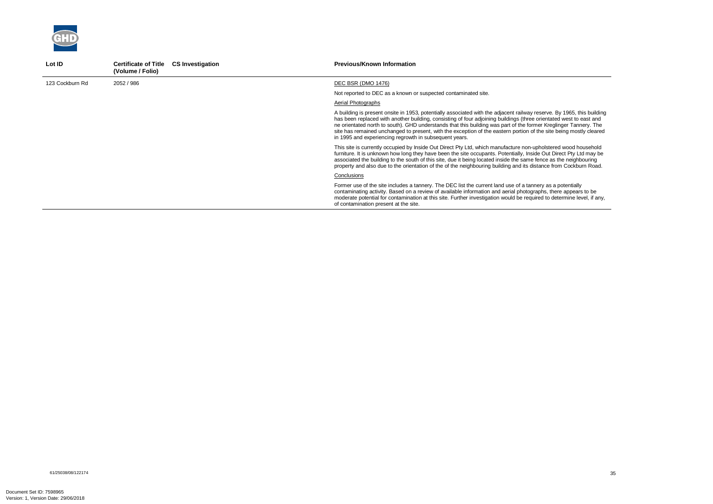

| Lot ID          | <b>Certificate of Title</b><br><b>CS Investigation</b><br>(Volume / Folio) | <b>Previous/Known Information</b>                                                                                                                                                                                                                                                                                                                                                                                                                                                                                                                |
|-----------------|----------------------------------------------------------------------------|--------------------------------------------------------------------------------------------------------------------------------------------------------------------------------------------------------------------------------------------------------------------------------------------------------------------------------------------------------------------------------------------------------------------------------------------------------------------------------------------------------------------------------------------------|
| 123 Cockburn Rd | 2052 / 986                                                                 | DEC BSR (DMO 1476)                                                                                                                                                                                                                                                                                                                                                                                                                                                                                                                               |
|                 |                                                                            | Not reported to DEC as a known or suspected contaminated site.                                                                                                                                                                                                                                                                                                                                                                                                                                                                                   |
|                 |                                                                            | Aerial Photographs                                                                                                                                                                                                                                                                                                                                                                                                                                                                                                                               |
|                 |                                                                            | A building is present onsite in 1953, potentially associated with the adjacent railway reserve. By 1965, this building<br>has been replaced with another building, consisting of four adjoining buildings (three orientated west to east and<br>ne orientated north to south). GHD understands that this building was part of the former Kreglinger Tannery. The<br>site has remained unchanged to present, with the exception of the eastern portion of the site being mostly cleared<br>in 1995 and experiencing regrowth in subsequent years. |
|                 |                                                                            | This site is currently occupied by Inside Out Direct Pty Ltd, which manufacture non-upholstered wood household<br>furniture. It is unknown how long they have been the site occupants. Potentially, Inside Out Direct Pty Ltd may be<br>associated the building to the south of this site, due it being located inside the same fence as the neighbouring<br>property and also due to the orientation of the of the neighbouring building and its distance from Cockburn Road.                                                                   |
|                 |                                                                            | Conclusions                                                                                                                                                                                                                                                                                                                                                                                                                                                                                                                                      |
|                 |                                                                            | Former use of the site includes a tannery. The DEC list the current land use of a tannery as a potentially<br>contaminating activity. Based on a review of available information and aerial photographs, there appears to be<br>moderate potential for contamination at this site. Further investigation would be required to determine level, if any,<br>of contamination present at the site.                                                                                                                                                  |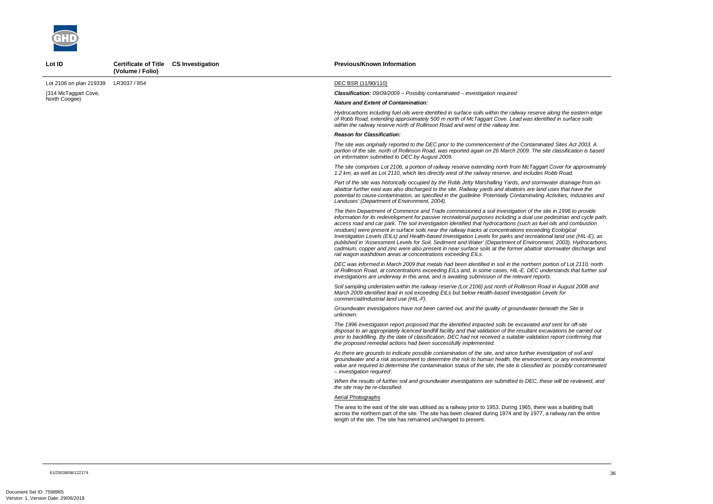

Lot ID **Certificate of Title CS Investigation** 

*The then Department of Commerce and Trade commissioned a soil investigation of the site in 1996 to provide information for its redevelopment for passive recreational purposes including a dual use pedestrian and cycle path, access road and car park. The soil investigation identified that hydrocarbons (such as fuel oils and combustion published in 'Assessment Levels for Soil, Sediment and Water' (Department of Environment, 2003). Hydrocarbons, cadmium, communater discharge and* 

*The site comprises Lot 2106, a portion of railway reserve extending north from McTaggart Cover for approximately 1.2 km, as well as Lot 2110, which lies directly west of the railway reserve, and includes Robb Road.* 

|                         | (Volume / Folio) |                                                                                                                                                                                                                                                                                                                                                                                                                                                                                                                                                                                                                                                                                                                                                                                                                                                                                     |
|-------------------------|------------------|-------------------------------------------------------------------------------------------------------------------------------------------------------------------------------------------------------------------------------------------------------------------------------------------------------------------------------------------------------------------------------------------------------------------------------------------------------------------------------------------------------------------------------------------------------------------------------------------------------------------------------------------------------------------------------------------------------------------------------------------------------------------------------------------------------------------------------------------------------------------------------------|
| Lot 2106 on plan 219339 | LR3037 / 854     | DEC BSR (11/90/110)                                                                                                                                                                                                                                                                                                                                                                                                                                                                                                                                                                                                                                                                                                                                                                                                                                                                 |
| (314 McTaggart Cove,    |                  | <b>Classification:</b> 09/09/2009 - Possibly contaminated - investigation required                                                                                                                                                                                                                                                                                                                                                                                                                                                                                                                                                                                                                                                                                                                                                                                                  |
| North Coogee)           |                  | <b>Nature and Extent of Contamination:</b>                                                                                                                                                                                                                                                                                                                                                                                                                                                                                                                                                                                                                                                                                                                                                                                                                                          |
|                         |                  | Hydrocarbons including fuel oils were identified in surface soils within the railway reserve along the eastern edge<br>of Robb Road, extending approximately 500 m north of McTaggart Cove. Lead was identified in surface soils<br>within the railway reserve north of Rollinson Road and west of the railway line.                                                                                                                                                                                                                                                                                                                                                                                                                                                                                                                                                                |
|                         |                  | <b>Reason for Classification:</b>                                                                                                                                                                                                                                                                                                                                                                                                                                                                                                                                                                                                                                                                                                                                                                                                                                                   |
|                         |                  | The site was originally reported to the DEC prior to the commencement of the Contaminated Sites Act 2003. A<br>portion of the site, north of Rollinson Road, was reported again on 26 March 2009. The site classification is based<br>on information submitted to DEC by August 2009.                                                                                                                                                                                                                                                                                                                                                                                                                                                                                                                                                                                               |
|                         |                  | The site comprises Lot 2106, a portion of railway reserve extending north from McTaggart Cover for approximate<br>1.2 km, as well as Lot 2110, which lies directly west of the railway reserve, and includes Robb Road.                                                                                                                                                                                                                                                                                                                                                                                                                                                                                                                                                                                                                                                             |
|                         |                  | Part of the site was historically occupied by the Robb Jetty Marshalling Yards, and stormwater drainage from an<br>abattoir further east was also discharged to the site. Railway yards and abattoirs are land uses that have the<br>potential to cause contamination, as specified in the guideline 'Potentially Contaminating Activities, Industries and<br>Landuses' (Department of Environment, 2004).                                                                                                                                                                                                                                                                                                                                                                                                                                                                          |
|                         |                  | The then Department of Commerce and Trade commissioned a soil investigation of the site in 1996 to provide<br>information for its redevelopment for passive recreational purposes including a dual use pedestrian and cycle pat<br>access road and car park. The soil investigation identified that hydrocarbons (such as fuel oils and combustion<br>residues) were present in surface soils near the railway tracks at concentrations exceeding Ecological<br>Investigation Levels (EILs) and Health-based Investigation Levels for parks and recreational land use (HIL-E), as<br>published in 'Assessment Levels for Soil, Sediment and Water' (Department of Environment, 2003). Hydrocarbon<br>cadmium, copper and zinc were also present in near surface soils at the former abattoir stormwater discharge an<br>rail wagon washdown areas at concentrations exceeding EILs. |
|                         |                  | DEC was informed in March 2009 that metals had been identified in soil in the northern portion of Lot 2110, north<br>of Rollinson Road, at concentrations exceeding EILs and, in some cases, HIL-E. DEC understands that further so<br>investigations are underway in this area, and is awaiting submission of the relevant reports.                                                                                                                                                                                                                                                                                                                                                                                                                                                                                                                                                |
|                         |                  | Soil sampling undertaken within the railway reserve (Lot 2106) just north of Rollinson Road in August 2008 and<br>March 2009 identified lead in soil exceeding EILs but below Health-based Investigation Levels for<br>commercial/industrial land use (HIL-F).                                                                                                                                                                                                                                                                                                                                                                                                                                                                                                                                                                                                                      |
|                         |                  | Groundwater investigations have not been carried out, and the quality of groundwater beneath the Site is<br>unknown.                                                                                                                                                                                                                                                                                                                                                                                                                                                                                                                                                                                                                                                                                                                                                                |
|                         |                  | The 1996 investigation report proposed that the identified impacted soils be excavated and sent for off-site<br>disposal to an appropriately licenced landfill facility and that validation of the resultant excavations be carried out<br>prior to backfilling. By the date of classification, DEC had not received a suitable validation report confirming that<br>the proposed remedial actions had been successfully implemented.                                                                                                                                                                                                                                                                                                                                                                                                                                               |
|                         |                  | As there are grounds to indicate possible contamination of the site, and since further investigation of soil and<br>groundwater and a risk assessment to determine the risk to human health, the environment, or any environmenta<br>value are required to determine the contamination status of the site, the site is classified as 'possibly contaminate<br>- investigation required'.                                                                                                                                                                                                                                                                                                                                                                                                                                                                                            |
|                         |                  | When the results of further soil and groundwater investigations are submitted to DEC, these will be reviewed, and<br>the site may be re-classified.                                                                                                                                                                                                                                                                                                                                                                                                                                                                                                                                                                                                                                                                                                                                 |
|                         |                  | Aerial Photographs                                                                                                                                                                                                                                                                                                                                                                                                                                                                                                                                                                                                                                                                                                                                                                                                                                                                  |
|                         |                  | The area to the east of the site was utilised as a railway prior to 1953. During 1965, there was a building built<br>across the northern part of the site. The site has been cleared during 1974 and by 1977, a railway ran the entire<br>length of the site. The site has remained unchanged to present.                                                                                                                                                                                                                                                                                                                                                                                                                                                                                                                                                                           |

**Previous/Known Information** 

*DEC was informed in March 2009 that metals had been identified in soil in the northern portion of Lot 2110, north of Rollinson Road, at concentrations exceeding EILs and, in some cases, HIL-E. DEC understands that further soil* 

*As there are grounds to indicate possible contamination of the site, and since further investigation of soil and groundwater and a risk assessment to determine the risk to human health, the environment, or any environmental value are required to determine the contamination status of the site, the site is classified as 'possibly contaminated*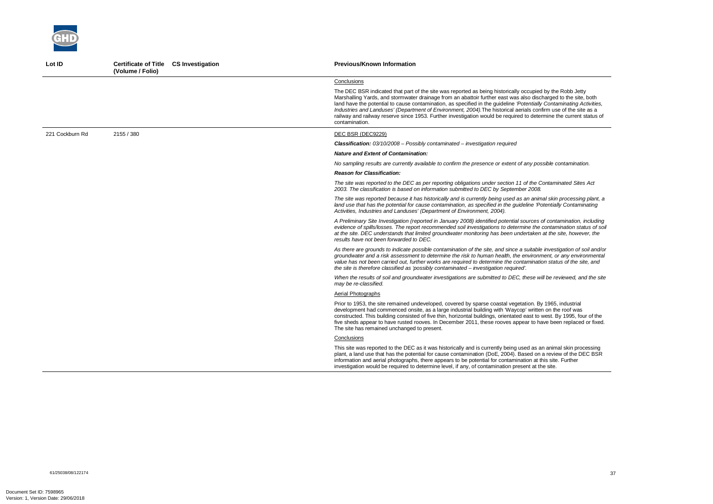*A Preliminary Site Investigation (reported in January 2008) identified potential sources of contamination, including evidence of spills/losses. The report recommended soil investigations to determine the contamination status of soil at the site. DEC understands that limited groundwater monitoring has been undertaken at the site, however, the* 



| Lot ID          | Certificate of Title CS Investigation<br>(Volume / Folio) | <b>Previous/Known Information</b>                                                                                                                                                                                                                                                                                                                                                                                                                                                                                                                                                                              |
|-----------------|-----------------------------------------------------------|----------------------------------------------------------------------------------------------------------------------------------------------------------------------------------------------------------------------------------------------------------------------------------------------------------------------------------------------------------------------------------------------------------------------------------------------------------------------------------------------------------------------------------------------------------------------------------------------------------------|
|                 |                                                           | Conclusions                                                                                                                                                                                                                                                                                                                                                                                                                                                                                                                                                                                                    |
|                 |                                                           | The DEC BSR indicated that part of the site was reported as being historically occupied by the Robb Jetty<br>Marshalling Yards, and stormwater drainage from an abattoir further east was also discharged to the site, both<br>land have the potential to cause contamination, as specified in the guideline 'Potentially Contaminating Activities,<br>Industries and Landuses' (Department of Environment, 2004). The historical aerials confirm use of the site as a<br>railway and railway reserve since 1953. Further investigation would be required to determine the current status of<br>contamination. |
| 221 Cockburn Rd | 2155 / 380                                                | DEC BSR (DEC9229)                                                                                                                                                                                                                                                                                                                                                                                                                                                                                                                                                                                              |
|                 |                                                           | <b>Classification:</b> $03/10/2008$ – Possibly contaminated – investigation required                                                                                                                                                                                                                                                                                                                                                                                                                                                                                                                           |
|                 |                                                           | <b>Nature and Extent of Contamination:</b>                                                                                                                                                                                                                                                                                                                                                                                                                                                                                                                                                                     |
|                 |                                                           | No sampling results are currently available to confirm the presence or extent of any possible contamination.                                                                                                                                                                                                                                                                                                                                                                                                                                                                                                   |
|                 |                                                           | <b>Reason for Classification:</b>                                                                                                                                                                                                                                                                                                                                                                                                                                                                                                                                                                              |
|                 |                                                           | The site was reported to the DEC as per reporting obligations under section 11 of the Contaminated Sites Act<br>2003. The classification is based on information submitted to DEC by September 2008.                                                                                                                                                                                                                                                                                                                                                                                                           |
|                 |                                                           | The site was reported because it has historically and is currently being used as an animal skin processing plant, a<br>land use that has the potential for cause contamination, as specified in the guideline 'Potentially Contaminating<br>Activities, Industries and Landuses' (Department of Environment, 2004).                                                                                                                                                                                                                                                                                            |
|                 |                                                           | A Preliminary Site Investigation (reported in January 2008) identified potential sources of contamination, including<br>evidence of spills/losses. The report recommended soil investigations to determine the contamination status of so<br>at the site. DEC understands that limited groundwater monitoring has been undertaken at the site, however, the<br>results have not been forwarded to DEC.                                                                                                                                                                                                         |
|                 |                                                           | As there are grounds to indicate possible contamination of the site, and since a suitable investigation of soil and/o<br>groundwater and a risk assessment to determine the risk to human health, the environment, or any environmenta<br>value has not been carried out, further works are required to determine the contamination status of the site, and<br>the site is therefore classified as 'possibly contaminated – investigation required'.                                                                                                                                                           |
|                 |                                                           | When the results of soil and groundwater investigations are submitted to DEC, these will be reviewed, and the sit<br>may be re-classified.                                                                                                                                                                                                                                                                                                                                                                                                                                                                     |
|                 |                                                           | Aerial Photographs                                                                                                                                                                                                                                                                                                                                                                                                                                                                                                                                                                                             |
|                 |                                                           | Prior to 1953, the site remained undeveloped, covered by sparse coastal vegetation. By 1965, industrial<br>development had commenced onsite, as a large industrial building with 'Waycop' written on the roof was<br>constructed. This building consisted of five thin, horizontal buildings, orientated east to west. By 1995, four of the<br>five sheds appear to have rusted rooves. In December 2011, these rooves appear to have been replaced or fixed<br>The site has remained unchanged to present.                                                                                                    |
|                 |                                                           | Conclusions                                                                                                                                                                                                                                                                                                                                                                                                                                                                                                                                                                                                    |
|                 |                                                           | This site was reported to the DEC as it was historically and is currently being used as an animal skin processing<br>plant, a land use that has the potential for cause contamination (DoE, 2004). Based on a review of the DEC BSR<br>information and aerial photographs, there appears to be potential for contamination at this site. Further<br>investigation would be required to determine level, if any, of contamination present at the site.                                                                                                                                                          |

*As there are grounds to indicate possible contamination of the site, and since a suitable investigation of soil and/or groundwater and a risk assessment to determine the risk to human health, the environment, or any environmental value has not been carried out, further works are required to determine the contamination status of the site, and*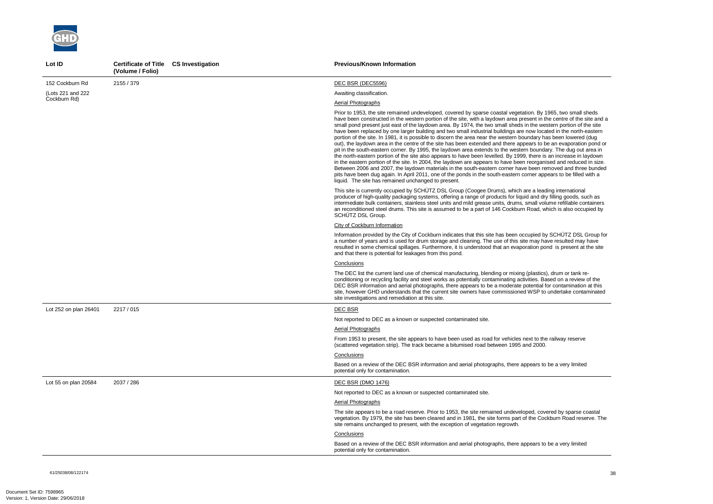

| Lot ID                | Certificate of Title CS Investigation<br>(Volume / Folio) |  | <b>Previous/Known Information</b>                                                                                                                                                                                                                                                                                                                                                                                                                                                                                                                                                                                                                                                                                                                                                                                                                                                                                                                                                                                                                                                                                                                                                                                                                                                                                                                                                  |
|-----------------------|-----------------------------------------------------------|--|------------------------------------------------------------------------------------------------------------------------------------------------------------------------------------------------------------------------------------------------------------------------------------------------------------------------------------------------------------------------------------------------------------------------------------------------------------------------------------------------------------------------------------------------------------------------------------------------------------------------------------------------------------------------------------------------------------------------------------------------------------------------------------------------------------------------------------------------------------------------------------------------------------------------------------------------------------------------------------------------------------------------------------------------------------------------------------------------------------------------------------------------------------------------------------------------------------------------------------------------------------------------------------------------------------------------------------------------------------------------------------|
| 152 Cockburn Rd       | 2155 / 379                                                |  | DEC BSR (DEC5596)                                                                                                                                                                                                                                                                                                                                                                                                                                                                                                                                                                                                                                                                                                                                                                                                                                                                                                                                                                                                                                                                                                                                                                                                                                                                                                                                                                  |
| (Lots 221 and 222     |                                                           |  | Awaiting classification.                                                                                                                                                                                                                                                                                                                                                                                                                                                                                                                                                                                                                                                                                                                                                                                                                                                                                                                                                                                                                                                                                                                                                                                                                                                                                                                                                           |
| Cockburn Rd)          |                                                           |  | Aerial Photographs                                                                                                                                                                                                                                                                                                                                                                                                                                                                                                                                                                                                                                                                                                                                                                                                                                                                                                                                                                                                                                                                                                                                                                                                                                                                                                                                                                 |
|                       |                                                           |  | Prior to 1953, the site remained undeveloped, covered by sparse coastal vegetation. By 1965, two small sheds<br>have been constructed in the western portion of the site, with a laydown area present in the centre of the site and a<br>small pond present just east of the laydown area. By 1974, the two small sheds in the western portion of the site<br>have been replaced by one larger building and two small industrial buildings are now located in the north-eastern<br>portion of the site. In 1981, it is possible to discern the area near the western boundary has been lowered (dug<br>out), the laydown area in the centre of the site has been extended and there appears to be an evaporation pond or<br>pit in the south-eastern corner. By 1995, the laydown area extends to the western boundary. The dug out area in<br>the north-eastern portion of the site also appears to have been levelled. By 1999, there is an increase in laydown<br>in the eastern portion of the site. In 2004, the laydown are appears to have been reorganised and reduced in size.<br>Between 2006 and 2007, the laydown materials in the south-eastern corner have been removed and three bunded<br>pits have been dug again. In April 2011, one of the ponds in the south-eastern corner appears to be filled with a<br>liquid. The site has remained unchanged to present. |
|                       |                                                           |  | This site is currently occupied by SCHÜTZ DSL Group (Coogee Drums), which are a leading international<br>producer of high-quality packaging systems, offering a range of products for liquid and dry filling goods, such as<br>intermediate bulk containers, stainless steel units and mild grease units, drums, small volume refillable containers<br>an reconditioned steel drums. This site is assumed to be a part of 146 Cockburn Road, which is also occupied by<br>SCHÜTZ DSL Group.                                                                                                                                                                                                                                                                                                                                                                                                                                                                                                                                                                                                                                                                                                                                                                                                                                                                                        |
|                       |                                                           |  | City of Cockburn Information                                                                                                                                                                                                                                                                                                                                                                                                                                                                                                                                                                                                                                                                                                                                                                                                                                                                                                                                                                                                                                                                                                                                                                                                                                                                                                                                                       |
|                       |                                                           |  | Information provided by the City of Cockburn indicates that this site has been occupied by SCHÜTZ DSL Group for<br>a number of years and is used for drum storage and cleaning. The use of this site may have resulted may have<br>resulted in some chemical spillages. Furthermore, it is understood that an evaporation pond is present at the site<br>and that there is potential for leakages from this pond.                                                                                                                                                                                                                                                                                                                                                                                                                                                                                                                                                                                                                                                                                                                                                                                                                                                                                                                                                                  |
|                       |                                                           |  | Conclusions                                                                                                                                                                                                                                                                                                                                                                                                                                                                                                                                                                                                                                                                                                                                                                                                                                                                                                                                                                                                                                                                                                                                                                                                                                                                                                                                                                        |
|                       |                                                           |  | The DEC list the current land use of chemical manufacturing, blending or mixing (plastics), drum or tank re-<br>conditioning or recycling facility and steel works as potentially contaminating activities. Based on a review of the<br>DEC BSR information and aerial photographs, there appears to be a moderate potential for contamination at this<br>site, however GHD understands that the current site owners have commissioned WSP to undertake contaminated<br>site investigations and remediation at this site.                                                                                                                                                                                                                                                                                                                                                                                                                                                                                                                                                                                                                                                                                                                                                                                                                                                          |
| Lot 252 on plan 26401 | 2217 / 015                                                |  | <b>DEC BSR</b>                                                                                                                                                                                                                                                                                                                                                                                                                                                                                                                                                                                                                                                                                                                                                                                                                                                                                                                                                                                                                                                                                                                                                                                                                                                                                                                                                                     |
|                       |                                                           |  | Not reported to DEC as a known or suspected contaminated site.                                                                                                                                                                                                                                                                                                                                                                                                                                                                                                                                                                                                                                                                                                                                                                                                                                                                                                                                                                                                                                                                                                                                                                                                                                                                                                                     |
|                       |                                                           |  | <b>Aerial Photographs</b>                                                                                                                                                                                                                                                                                                                                                                                                                                                                                                                                                                                                                                                                                                                                                                                                                                                                                                                                                                                                                                                                                                                                                                                                                                                                                                                                                          |
|                       |                                                           |  | From 1953 to present, the site appears to have been used as road for vehicles next to the railway reserve<br>(scattered vegetation strip). The track became a bitumised road between 1995 and 2000.                                                                                                                                                                                                                                                                                                                                                                                                                                                                                                                                                                                                                                                                                                                                                                                                                                                                                                                                                                                                                                                                                                                                                                                |
|                       |                                                           |  | Conclusions                                                                                                                                                                                                                                                                                                                                                                                                                                                                                                                                                                                                                                                                                                                                                                                                                                                                                                                                                                                                                                                                                                                                                                                                                                                                                                                                                                        |
|                       |                                                           |  | Based on a review of the DEC BSR information and aerial photographs, there appears to be a very limited<br>potential only for contamination.                                                                                                                                                                                                                                                                                                                                                                                                                                                                                                                                                                                                                                                                                                                                                                                                                                                                                                                                                                                                                                                                                                                                                                                                                                       |
| Lot 55 on plan 20584  | 2037 / 286                                                |  | <b>DEC BSR (DMO 1476)</b>                                                                                                                                                                                                                                                                                                                                                                                                                                                                                                                                                                                                                                                                                                                                                                                                                                                                                                                                                                                                                                                                                                                                                                                                                                                                                                                                                          |
|                       |                                                           |  | Not reported to DEC as a known or suspected contaminated site.                                                                                                                                                                                                                                                                                                                                                                                                                                                                                                                                                                                                                                                                                                                                                                                                                                                                                                                                                                                                                                                                                                                                                                                                                                                                                                                     |
|                       |                                                           |  | Aerial Photographs                                                                                                                                                                                                                                                                                                                                                                                                                                                                                                                                                                                                                                                                                                                                                                                                                                                                                                                                                                                                                                                                                                                                                                                                                                                                                                                                                                 |
|                       |                                                           |  | The site appears to be a road reserve. Prior to 1953, the site remained undeveloped, covered by sparse coastal<br>vegetation. By 1979, the site has been cleared and in 1981, the site forms part of the Cockburn Road reserve. The<br>site remains unchanged to present, with the exception of vegetation regrowth.                                                                                                                                                                                                                                                                                                                                                                                                                                                                                                                                                                                                                                                                                                                                                                                                                                                                                                                                                                                                                                                               |
|                       |                                                           |  | Conclusions                                                                                                                                                                                                                                                                                                                                                                                                                                                                                                                                                                                                                                                                                                                                                                                                                                                                                                                                                                                                                                                                                                                                                                                                                                                                                                                                                                        |
|                       |                                                           |  | Based on a review of the DEC BSR information and aerial photographs, there appears to be a very limited<br>potential only for contamination.                                                                                                                                                                                                                                                                                                                                                                                                                                                                                                                                                                                                                                                                                                                                                                                                                                                                                                                                                                                                                                                                                                                                                                                                                                       |

61/25038/08/122174<br>61/25038/08/122174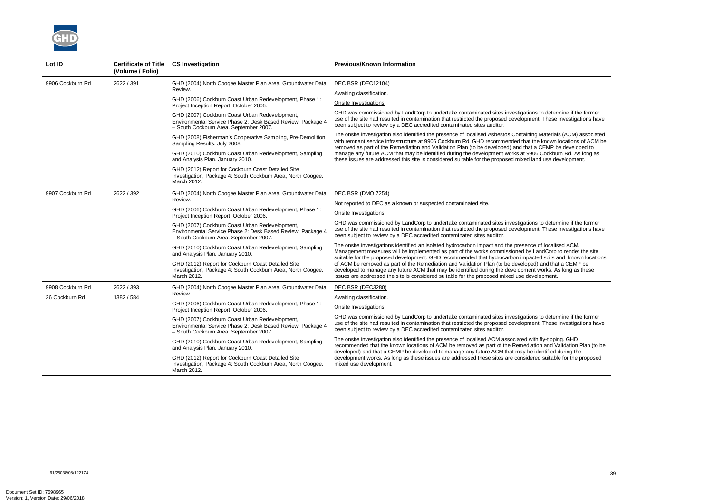

| Lot ID           | <b>Certificate of Title</b><br>(Volume / Folio) | <b>CS Investigation</b>                                                                                                                                 | <b>Previous/Known Information</b>                                                                                                                                                                                                                                                                                                            |
|------------------|-------------------------------------------------|---------------------------------------------------------------------------------------------------------------------------------------------------------|----------------------------------------------------------------------------------------------------------------------------------------------------------------------------------------------------------------------------------------------------------------------------------------------------------------------------------------------|
| 9906 Cockburn Rd | 2622 / 391                                      | GHD (2004) North Coogee Master Plan Area, Groundwater Data<br>Review.                                                                                   | <b>DEC BSR (DEC12104)</b>                                                                                                                                                                                                                                                                                                                    |
|                  |                                                 |                                                                                                                                                         | Awaiting classification.                                                                                                                                                                                                                                                                                                                     |
|                  |                                                 | GHD (2006) Cockburn Coast Urban Redevelopment, Phase 1:<br>Project Inception Report. October 2006.                                                      | Onsite Investigations                                                                                                                                                                                                                                                                                                                        |
|                  |                                                 | GHD (2007) Cockburn Coast Urban Redevelopment,<br>Environmental Service Phase 2: Desk Based Review, Package 4<br>- South Cockburn Area. September 2007. | GHD was commissioned by LandCorp to undertake contaminated sites investigations to determine if the former<br>use of the site had resulted in contamination that restricted the proposed development. These investigations have<br>been subject to review by a DEC accredited contaminated sites auditor.                                    |
|                  |                                                 | GHD (2008) Fisherman's Cooperative Sampling, Pre-Demolition<br>Sampling Results. July 2008.                                                             | The onsite investigation also identified the presence of localised Asbestos Containing Materials (ACM) associated<br>with remnant service infrastructure at 9906 Cockburn Rd. GHD recommended that the known locations of ACM be<br>removed as part of the Remediation and Validation Plan (to be developed) and that a CEMP be developed to |
|                  |                                                 | GHD (2010) Cockburn Coast Urban Redevelopment, Sampling<br>and Analysis Plan. January 2010.                                                             | manage any future ACM that may be identified during the development works at 9906 Cockburn Rd. As long as<br>these issues are addressed this site is considered suitable for the proposed mixed land use development.                                                                                                                        |
|                  |                                                 | GHD (2012) Report for Cockburn Coast Detailed Site<br>Investigation, Package 4: South Cockburn Area, North Coogee.<br>March 2012.                       |                                                                                                                                                                                                                                                                                                                                              |
| 9907 Cockburn Rd | 2622 / 392                                      | GHD (2004) North Coogee Master Plan Area, Groundwater Data<br>Review.                                                                                   | DEC BSR (DMO 7254)                                                                                                                                                                                                                                                                                                                           |
|                  |                                                 |                                                                                                                                                         | Not reported to DEC as a known or suspected contaminated site.                                                                                                                                                                                                                                                                               |
|                  |                                                 | GHD (2006) Cockburn Coast Urban Redevelopment, Phase 1:<br>Project Inception Report. October 2006.                                                      | Onsite Investigations                                                                                                                                                                                                                                                                                                                        |
|                  |                                                 | GHD (2007) Cockburn Coast Urban Redevelopment,<br>Environmental Service Phase 2: Desk Based Review, Package 4<br>- South Cockburn Area. September 2007. | GHD was commissioned by LandCorp to undertake contaminated sites investigations to determine if the former<br>use of the site had resulted in contamination that restricted the proposed development. These investigations have<br>been subject to review by a DEC accredited contaminated sites auditor.                                    |
|                  |                                                 | GHD (2010) Cockburn Coast Urban Redevelopment, Sampling<br>and Analysis Plan. January 2010.                                                             | The onsite investigations identified an isolated hydrocarbon impact and the presence of localised ACM.<br>Management measures will be implemented as part of the works commissioned by LandCorp to render the site<br>suitable for the proposed development. GHD recommended that hydrocarbon impacted soils and known locations             |
|                  |                                                 | GHD (2012) Report for Cockburn Coast Detailed Site<br>Investigation, Package 4: South Cockburn Area, North Coogee.<br>March 2012.                       | of ACM be removed as part of the Remediation and Validation Plan (to be developed) and that a CEMP be<br>developed to manage any future ACM that may be identified during the development works. As long as these<br>issues are addressed the site is considered suitable for the proposed mixed use development.                            |
| 9908 Cockburn Rd | 2622 / 393                                      | GHD (2004) North Coogee Master Plan Area, Groundwater Data                                                                                              | DEC BSR (DEC3280)                                                                                                                                                                                                                                                                                                                            |
| 26 Cockburn Rd   | 1382 / 584                                      | Review.                                                                                                                                                 | Awaiting classification.                                                                                                                                                                                                                                                                                                                     |
|                  |                                                 | GHD (2006) Cockburn Coast Urban Redevelopment, Phase 1:<br>Project Inception Report. October 2006.                                                      | Onsite Investigations                                                                                                                                                                                                                                                                                                                        |
|                  |                                                 | GHD (2007) Cockburn Coast Urban Redevelopment,<br>Environmental Service Phase 2: Desk Based Review, Package 4<br>- South Cockburn Area. September 2007. | GHD was commissioned by LandCorp to undertake contaminated sites investigations to determine if the former<br>use of the site had resulted in contamination that restricted the proposed development. These investigations have<br>been subject to review by a DEC accredited contaminated sites auditor.                                    |
|                  |                                                 | GHD (2010) Cockburn Coast Urban Redevelopment, Sampling<br>and Analysis Plan. January 2010.                                                             | The onsite investigation also identified the presence of localised ACM associated with fly-tipping. GHD<br>recommended that the known locations of ACM be removed as part of the Remediation and Validation Plan (to be<br>developed) and that a CEMP be developed to manage any future ACM that may be identified during the                |
|                  |                                                 | GHD (2012) Report for Cockburn Coast Detailed Site<br>Investigation, Package 4: South Cockburn Area, North Coogee.<br>March 2012.                       | development works. As long as these issues are addressed these sites are considered suitable for the proposed<br>mixed use development.                                                                                                                                                                                                      |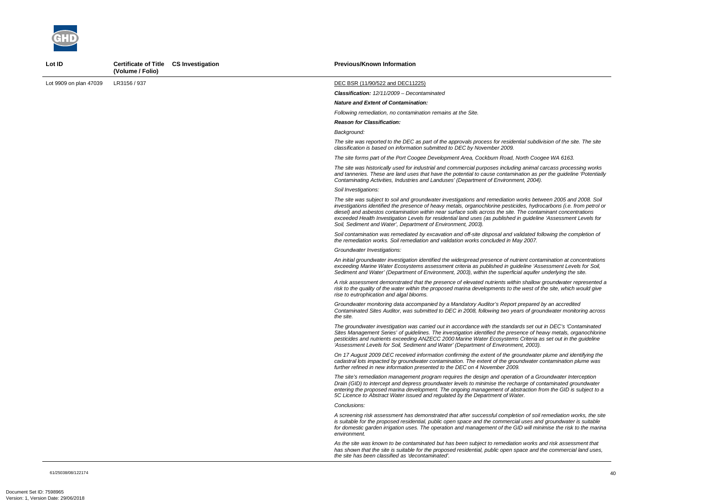

Lot ID **Certificate of Title CS Investigation** 

61/25038/08/122174 40

|                        | (Volume / Folio) |                                                                                                                                                                                                                                                                                                                                                                                                                                                                                                                                           |
|------------------------|------------------|-------------------------------------------------------------------------------------------------------------------------------------------------------------------------------------------------------------------------------------------------------------------------------------------------------------------------------------------------------------------------------------------------------------------------------------------------------------------------------------------------------------------------------------------|
| Lot 9909 on plan 47039 | LR3156 / 937     | DEC BSR (11/90/522 and DEC11225)                                                                                                                                                                                                                                                                                                                                                                                                                                                                                                          |
|                        |                  | Classification: 12/11/2009 - Decontaminated                                                                                                                                                                                                                                                                                                                                                                                                                                                                                               |
|                        |                  | <b>Nature and Extent of Contamination:</b>                                                                                                                                                                                                                                                                                                                                                                                                                                                                                                |
|                        |                  | Following remediation, no contamination remains at the Site.                                                                                                                                                                                                                                                                                                                                                                                                                                                                              |
|                        |                  | <b>Reason for Classification:</b>                                                                                                                                                                                                                                                                                                                                                                                                                                                                                                         |
|                        |                  | Background:                                                                                                                                                                                                                                                                                                                                                                                                                                                                                                                               |
|                        |                  | The site was reported to the DEC as part of the approvals process for residential subdivision of the site. The site<br>classification is based on information submitted to DEC by November 2009.                                                                                                                                                                                                                                                                                                                                          |
|                        |                  | The site forms part of the Port Coogee Development Area, Cockburn Road, North Coogee WA 6163.                                                                                                                                                                                                                                                                                                                                                                                                                                             |
|                        |                  | The site was historically used for industrial and commercial purposes including animal carcass processing works<br>and tanneries. These are land uses that have the potential to cause contamination as per the guideline 'Potentially<br>Contaminating Activities, Industries and Landuses' (Department of Environment, 2004).                                                                                                                                                                                                           |
|                        |                  | Soil Investigations:                                                                                                                                                                                                                                                                                                                                                                                                                                                                                                                      |
|                        |                  | The site was subject to soil and groundwater investigations and remediation works between 2005 and 2008. Soil<br>investigations identified the presence of heavy metals, organochlorine pesticides, hydrocarbons (i.e. from petrol or<br>diesel) and asbestos contamination within near surface soils across the site. The contaminant concentrations<br>exceeded Health Investigation Levels for residential land uses (as published in guideline 'Assessment Levels for<br>Soil, Sediment and Water', Department of Environment, 2003). |
|                        |                  | Soil contamination was remediated by excavation and off-site disposal and validated following the completion of<br>the remediation works. Soil remediation and validation works concluded in May 2007.                                                                                                                                                                                                                                                                                                                                    |
|                        |                  | Groundwater Investigations:                                                                                                                                                                                                                                                                                                                                                                                                                                                                                                               |
|                        |                  | An initial groundwater investigation identified the widespread presence of nutrient contamination at concentrations<br>exceeding Marine Water Ecosystems assessment criteria as published in guideline 'Assessment Levels for Soil,<br>Sediment and Water' (Department of Environment, 2003), within the superficial aquifer underlying the site.                                                                                                                                                                                         |
|                        |                  | A risk assessment demonstrated that the presence of elevated nutrients within shallow groundwater represented a<br>risk to the quality of the water within the proposed marina developments to the west of the site, which would give<br>rise to eutrophication and algal blooms.                                                                                                                                                                                                                                                         |
|                        |                  | Groundwater monitoring data accompanied by a Mandatory Auditor's Report prepared by an accredited<br>Contaminated Sites Auditor, was submitted to DEC in 2008, following two years of groundwater monitoring across<br>the site.                                                                                                                                                                                                                                                                                                          |
|                        |                  | The groundwater investigation was carried out in accordance with the standards set out in DEC's 'Contaminated<br>Sites Management Series' of guidelines. The investigation identified the presence of heavy metals, organochlorine<br>pesticides and nutrients exceeding ANZECC 2000 Marine Water Ecosystems Criteria as set out in the guideline<br>'Assessment Levels for Soil, Sediment and Water' (Department of Environment, 2003).                                                                                                  |
|                        |                  | On 17 August 2009 DEC received information confirming the extent of the groundwater plume and identifying the<br>cadastral lots impacted by groundwater contamination. The extent of the groundwater contamination plume was<br>further refined in new information presented to the DEC on 4 November 2009.                                                                                                                                                                                                                               |
|                        |                  | The site's remediation management program requires the design and operation of a Groundwater Interception<br>Drain (GID) to intercept and depress groundwater levels to minimise the recharge of contaminated groundwater<br>entering the proposed marina development. The ongoing management of abstraction from the GID is subject to a<br>5C Licence to Abstract Water issued and regulated by the Department of Water.                                                                                                                |
|                        |                  | Conclusions:                                                                                                                                                                                                                                                                                                                                                                                                                                                                                                                              |
|                        |                  | A screening risk assessment has demonstrated that after successful completion of soil remediation works, the site<br>is suitable for the proposed residential, public open space and the commercial uses and groundwater is suitable<br>for domestic garden irrigation uses. The operation and management of the GID will minimise the risk to the marina<br>environment.                                                                                                                                                                 |
|                        |                  | As the site was known to be contaminated but has been subject to remediation works and risk assessment that<br>has shown that the site is suitable for the proposed residential, public open space and the commercial land uses,<br>the site has been classified as 'decontaminated'.                                                                                                                                                                                                                                                     |

**Previous/Known Information**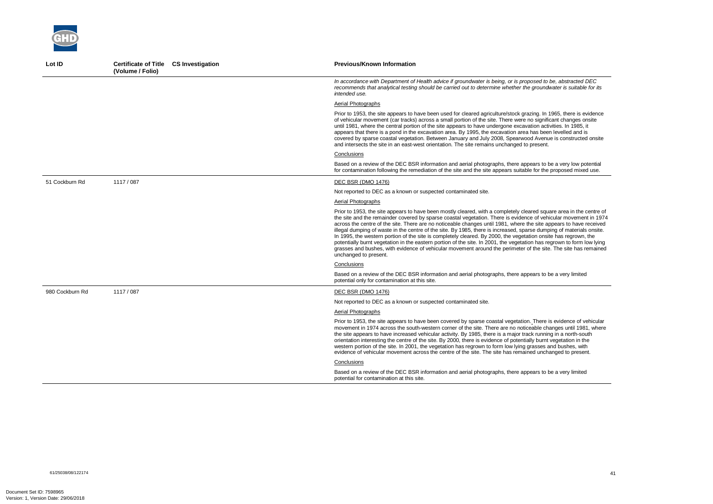| Lot ID          | Certificate of Title CS Investigation<br>(Volume / Folio) | <b>Previous/Known Information</b>                                                                                                                                                                                                                                                                                                                                                                                                                                                                                                                                                                                                                                                                                                                                                                                                                                              |
|-----------------|-----------------------------------------------------------|--------------------------------------------------------------------------------------------------------------------------------------------------------------------------------------------------------------------------------------------------------------------------------------------------------------------------------------------------------------------------------------------------------------------------------------------------------------------------------------------------------------------------------------------------------------------------------------------------------------------------------------------------------------------------------------------------------------------------------------------------------------------------------------------------------------------------------------------------------------------------------|
|                 |                                                           | In accordance with Department of Health advice if groundwater is being, or is proposed to be, abstracted DEC<br>recommends that analytical testing should be carried out to determine whether the groundwater is suitable for its<br>intended use.                                                                                                                                                                                                                                                                                                                                                                                                                                                                                                                                                                                                                             |
|                 |                                                           | Aerial Photographs                                                                                                                                                                                                                                                                                                                                                                                                                                                                                                                                                                                                                                                                                                                                                                                                                                                             |
|                 |                                                           | Prior to 1953, the site appears to have been used for cleared agriculture/stock grazing. In 1965, there is evidence<br>of vehicular movement (car tracks) across a small portion of the site. There were no significant changes onsite<br>until 1981, where the central portion of the site appears to have undergone excavation activities. In 1985, it<br>appears that there is a pond in the excavation area. By 1995, the excavation area has been levelled and is<br>covered by sparse coastal vegetation. Between January and July 2008, Spearwood Avenue is constructed onsite<br>and intersects the site in an east-west orientation. The site remains unchanged to present.                                                                                                                                                                                           |
|                 |                                                           | Conclusions                                                                                                                                                                                                                                                                                                                                                                                                                                                                                                                                                                                                                                                                                                                                                                                                                                                                    |
|                 |                                                           | Based on a review of the DEC BSR information and aerial photographs, there appears to be a very low potential<br>for contamination following the remediation of the site and the site appears suitable for the proposed mixed use.                                                                                                                                                                                                                                                                                                                                                                                                                                                                                                                                                                                                                                             |
| 51 Cockburn Rd  | 1117 / 087                                                | <b>DEC BSR (DMO 1476)</b>                                                                                                                                                                                                                                                                                                                                                                                                                                                                                                                                                                                                                                                                                                                                                                                                                                                      |
|                 |                                                           | Not reported to DEC as a known or suspected contaminated site.                                                                                                                                                                                                                                                                                                                                                                                                                                                                                                                                                                                                                                                                                                                                                                                                                 |
|                 |                                                           | Aerial Photographs                                                                                                                                                                                                                                                                                                                                                                                                                                                                                                                                                                                                                                                                                                                                                                                                                                                             |
|                 |                                                           | Prior to 1953, the site appears to have been mostly cleared, with a completely cleared square area in the centre of<br>the site and the remainder covered by sparse coastal vegetation. There is evidence of vehicular movement in 1974<br>across the centre of the site. There are no noticeable changes until 1981, where the site appears to have received<br>illegal dumping of waste in the centre of the site. By 1985, there is increased, sparse dumping of materials onsite.<br>In 1995, the western portion of the site is completely cleared. By 2000, the vegetation onsite has regrown, the<br>potentially burnt vegetation in the eastern portion of the site. In 2001, the vegetation has regrown to form low lying<br>grasses and bushes, with evidence of vehicular movement around the perimeter of the site. The site has remained<br>unchanged to present. |
|                 |                                                           | Conclusions                                                                                                                                                                                                                                                                                                                                                                                                                                                                                                                                                                                                                                                                                                                                                                                                                                                                    |
|                 |                                                           | Based on a review of the DEC BSR information and aerial photographs, there appears to be a very limited<br>potential only for contamination at this site.                                                                                                                                                                                                                                                                                                                                                                                                                                                                                                                                                                                                                                                                                                                      |
| 980 Cockburn Rd | 1117 / 087                                                | DEC BSR (DMO 1476)                                                                                                                                                                                                                                                                                                                                                                                                                                                                                                                                                                                                                                                                                                                                                                                                                                                             |
|                 |                                                           | Not reported to DEC as a known or suspected contaminated site.                                                                                                                                                                                                                                                                                                                                                                                                                                                                                                                                                                                                                                                                                                                                                                                                                 |
|                 |                                                           | Aerial Photographs                                                                                                                                                                                                                                                                                                                                                                                                                                                                                                                                                                                                                                                                                                                                                                                                                                                             |
|                 |                                                           | Prior to 1953, the site appears to have been covered by sparse coastal vegetation. There is evidence of vehicular<br>movement in 1974 across the south-western corner of the site. There are no noticeable changes until 1981, where<br>the site appears to have increased vehicular activity. By 1985, there is a major track running in a north-south<br>orientation interesting the centre of the site. By 2000, there is evidence of potentially burnt vegetation in the<br>western portion of the site. In 2001, the vegetation has regrown to form low lying grasses and bushes, with<br>evidence of vehicular movement across the centre of the site. The site has remained unchanged to present.                                                                                                                                                                       |
|                 |                                                           | Conclusions                                                                                                                                                                                                                                                                                                                                                                                                                                                                                                                                                                                                                                                                                                                                                                                                                                                                    |
|                 |                                                           | Based on a review of the DEC BSR information and aerial photographs, there appears to be a very limited<br>potential for contamination at this site.                                                                                                                                                                                                                                                                                                                                                                                                                                                                                                                                                                                                                                                                                                                           |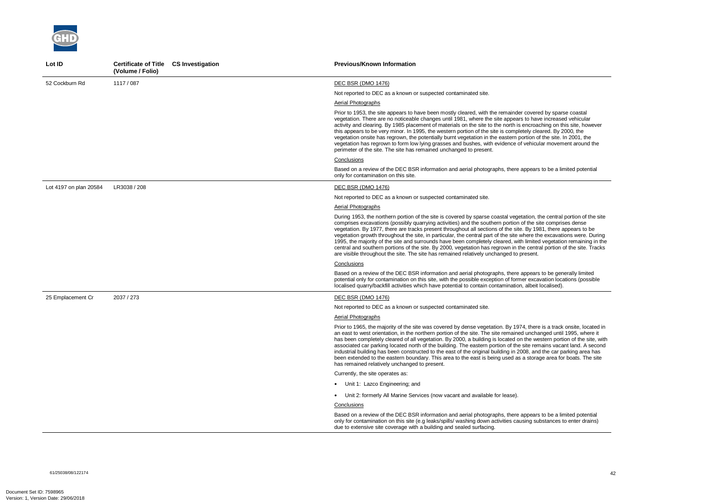61/25038/08/122174 42



| Lot ID                 | Certificate of Title CS Investigation<br>(Volume / Folio) | <b>Previous/Known Information</b>                                                                                                                                                                                                                                                                                                                                                                                                                                                                                                                                                                                                                                                                                                                                                                                           |
|------------------------|-----------------------------------------------------------|-----------------------------------------------------------------------------------------------------------------------------------------------------------------------------------------------------------------------------------------------------------------------------------------------------------------------------------------------------------------------------------------------------------------------------------------------------------------------------------------------------------------------------------------------------------------------------------------------------------------------------------------------------------------------------------------------------------------------------------------------------------------------------------------------------------------------------|
| 52 Cockburn Rd         | 1117 / 087                                                | DEC BSR (DMO 1476)                                                                                                                                                                                                                                                                                                                                                                                                                                                                                                                                                                                                                                                                                                                                                                                                          |
|                        |                                                           | Not reported to DEC as a known or suspected contaminated site.                                                                                                                                                                                                                                                                                                                                                                                                                                                                                                                                                                                                                                                                                                                                                              |
|                        |                                                           | <b>Aerial Photographs</b>                                                                                                                                                                                                                                                                                                                                                                                                                                                                                                                                                                                                                                                                                                                                                                                                   |
|                        |                                                           | Prior to 1953, the site appears to have been mostly cleared, with the remainder covered by sparse coastal<br>vegetation. There are no noticeable changes until 1981, where the site appears to have increased vehicular<br>activity and clearing. By 1985 placement of materials on the site to the north is encroaching on this site, however<br>this appears to be very minor. In 1995, the western portion of the site is completely cleared. By 2000, the<br>vegetation onsite has regrown, the potentially burnt vegetation in the eastern portion of the site. In 2001, the<br>vegetation has regrown to form low lying grasses and bushes, with evidence of vehicular movement around the<br>perimeter of the site. The site has remained unchanged to present.                                                      |
|                        |                                                           | Conclusions                                                                                                                                                                                                                                                                                                                                                                                                                                                                                                                                                                                                                                                                                                                                                                                                                 |
|                        |                                                           | Based on a review of the DEC BSR information and aerial photographs, there appears to be a limited potential<br>only for contamination on this site.                                                                                                                                                                                                                                                                                                                                                                                                                                                                                                                                                                                                                                                                        |
| Lot 4197 on plan 20584 | LR3038 / 208                                              | DEC BSR (DMO 1476)                                                                                                                                                                                                                                                                                                                                                                                                                                                                                                                                                                                                                                                                                                                                                                                                          |
|                        |                                                           | Not reported to DEC as a known or suspected contaminated site.                                                                                                                                                                                                                                                                                                                                                                                                                                                                                                                                                                                                                                                                                                                                                              |
|                        |                                                           | <b>Aerial Photographs</b>                                                                                                                                                                                                                                                                                                                                                                                                                                                                                                                                                                                                                                                                                                                                                                                                   |
|                        |                                                           | During 1953, the northern portion of the site is covered by sparse coastal vegetation, the central portion of the site<br>comprises excavations (possibly quarrying activities) and the southern portion of the site comprises dense<br>vegetation. By 1977, there are tracks present throughout all sections of the site. By 1981, there appears to be<br>vegetation growth throughout the site, in particular, the central part of the site where the excavations were. During<br>1995, the majority of the site and surrounds have been completely cleared, with limited vegetation remaining in the<br>central and southern portions of the site. By 2000, vegetation has regrown in the central portion of the site. Tracks<br>are visible throughout the site. The site has remained relatively unchanged to present. |
|                        |                                                           | Conclusions                                                                                                                                                                                                                                                                                                                                                                                                                                                                                                                                                                                                                                                                                                                                                                                                                 |
|                        |                                                           | Based on a review of the DEC BSR information and aerial photographs, there appears to be generally limited<br>potential only for contamination on this site, with the possible exception of former excavation locations (possible<br>localised quarry/backfill activities which have potential to contain contamination, albeit localised).                                                                                                                                                                                                                                                                                                                                                                                                                                                                                 |
| 25 Emplacement Cr      | 2037 / 273                                                | DEC BSR (DMO 1476)                                                                                                                                                                                                                                                                                                                                                                                                                                                                                                                                                                                                                                                                                                                                                                                                          |
|                        |                                                           | Not reported to DEC as a known or suspected contaminated site.                                                                                                                                                                                                                                                                                                                                                                                                                                                                                                                                                                                                                                                                                                                                                              |
|                        |                                                           | Aerial Photographs                                                                                                                                                                                                                                                                                                                                                                                                                                                                                                                                                                                                                                                                                                                                                                                                          |
|                        |                                                           | Prior to 1965, the majority of the site was covered by dense vegetation. By 1974, there is a track onsite, located in<br>an east to west orientation, in the northern portion of the site. The site remained unchanged until 1995, where it<br>has been completely cleared of all vegetation. By 2000, a building is located on the western portion of the site, with<br>associated car parking located north of the building. The eastern portion of the site remains vacant land. A second<br>industrial building has been constructed to the east of the original building in 2008, and the car parking area has<br>been extended to the eastern boundary. This area to the east is being used as a storage area for boats. The site<br>has remained relatively unchanged to present.                                    |
|                        |                                                           | Currently, the site operates as:                                                                                                                                                                                                                                                                                                                                                                                                                                                                                                                                                                                                                                                                                                                                                                                            |
|                        |                                                           | • Unit 1: Lazco Engineering; and                                                                                                                                                                                                                                                                                                                                                                                                                                                                                                                                                                                                                                                                                                                                                                                            |
|                        |                                                           | • Unit 2: formerly All Marine Services (now vacant and available for lease).                                                                                                                                                                                                                                                                                                                                                                                                                                                                                                                                                                                                                                                                                                                                                |
|                        |                                                           | Conclusions                                                                                                                                                                                                                                                                                                                                                                                                                                                                                                                                                                                                                                                                                                                                                                                                                 |
|                        |                                                           | Based on a review of the DEC BSR information and aerial photographs, there appears to be a limited potential<br>only for contamination on this site (e.g leaks/spills/ washing down activities causing substances to enter drains)<br>due to extensive site coverage with a building and sealed surfacing.                                                                                                                                                                                                                                                                                                                                                                                                                                                                                                                  |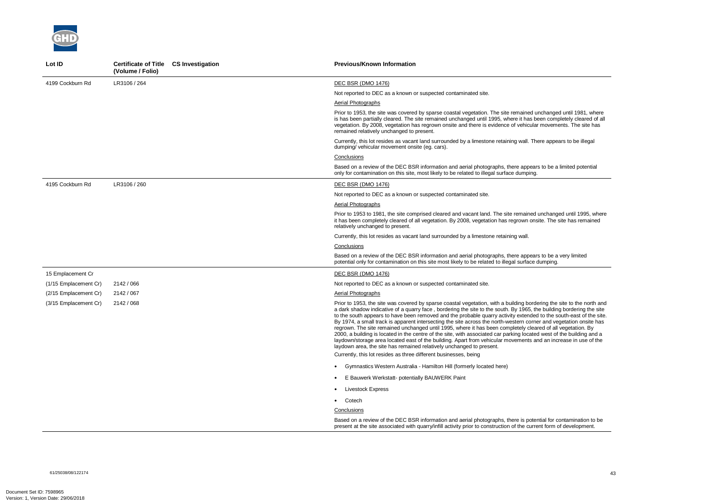61/25038/08/122174 43



| Lot ID                | Certificate of Title CS Investigation<br>(Volume / Folio) | <b>Previous/Known Information</b>                                                                                                                                                                                                                                                                                                                                                                                                                                                                                                                                                                                                                                                                                                                                                                                                                                                                                            |
|-----------------------|-----------------------------------------------------------|------------------------------------------------------------------------------------------------------------------------------------------------------------------------------------------------------------------------------------------------------------------------------------------------------------------------------------------------------------------------------------------------------------------------------------------------------------------------------------------------------------------------------------------------------------------------------------------------------------------------------------------------------------------------------------------------------------------------------------------------------------------------------------------------------------------------------------------------------------------------------------------------------------------------------|
| 4199 Cockburn Rd      | LR3106 / 264                                              | <b>DEC BSR (DMO 1476)</b>                                                                                                                                                                                                                                                                                                                                                                                                                                                                                                                                                                                                                                                                                                                                                                                                                                                                                                    |
|                       |                                                           | Not reported to DEC as a known or suspected contaminated site.                                                                                                                                                                                                                                                                                                                                                                                                                                                                                                                                                                                                                                                                                                                                                                                                                                                               |
|                       |                                                           | <b>Aerial Photographs</b>                                                                                                                                                                                                                                                                                                                                                                                                                                                                                                                                                                                                                                                                                                                                                                                                                                                                                                    |
|                       |                                                           | Prior to 1953, the site was covered by sparse coastal vegetation. The site remained unchanged until 1981, where<br>is has been partially cleared. The site remained unchanged until 1995, where it has been completely cleared of all<br>vegetation. By 2008, vegetation has regrown onsite and there is evidence of vehicular movements. The site has<br>remained relatively unchanged to present.                                                                                                                                                                                                                                                                                                                                                                                                                                                                                                                          |
|                       |                                                           | Currently, this lot resides as vacant land surrounded by a limestone retaining wall. There appears to be illegal<br>dumping/vehicular movement onsite (eg. cars).                                                                                                                                                                                                                                                                                                                                                                                                                                                                                                                                                                                                                                                                                                                                                            |
|                       |                                                           | Conclusions                                                                                                                                                                                                                                                                                                                                                                                                                                                                                                                                                                                                                                                                                                                                                                                                                                                                                                                  |
|                       |                                                           | Based on a review of the DEC BSR information and aerial photographs, there appears to be a limited potential<br>only for contamination on this site, most likely to be related to illegal surface dumping.                                                                                                                                                                                                                                                                                                                                                                                                                                                                                                                                                                                                                                                                                                                   |
| 4195 Cockburn Rd      | LR3106 / 260                                              | <b>DEC BSR (DMO 1476)</b>                                                                                                                                                                                                                                                                                                                                                                                                                                                                                                                                                                                                                                                                                                                                                                                                                                                                                                    |
|                       |                                                           | Not reported to DEC as a known or suspected contaminated site.                                                                                                                                                                                                                                                                                                                                                                                                                                                                                                                                                                                                                                                                                                                                                                                                                                                               |
|                       |                                                           | Aerial Photographs                                                                                                                                                                                                                                                                                                                                                                                                                                                                                                                                                                                                                                                                                                                                                                                                                                                                                                           |
|                       |                                                           | Prior to 1953 to 1981, the site comprised cleared and vacant land. The site remained unchanged until 1995, where<br>it has been completely cleared of all vegetation. By 2008, vegetation has regrown onsite. The site has remained<br>relatively unchanged to present.                                                                                                                                                                                                                                                                                                                                                                                                                                                                                                                                                                                                                                                      |
|                       |                                                           | Currently, this lot resides as vacant land surrounded by a limestone retaining wall.                                                                                                                                                                                                                                                                                                                                                                                                                                                                                                                                                                                                                                                                                                                                                                                                                                         |
|                       |                                                           | Conclusions                                                                                                                                                                                                                                                                                                                                                                                                                                                                                                                                                                                                                                                                                                                                                                                                                                                                                                                  |
|                       |                                                           | Based on a review of the DEC BSR information and aerial photographs, there appears to be a very limited<br>potential only for contamination on this site most likely to be related to illegal surface dumping.                                                                                                                                                                                                                                                                                                                                                                                                                                                                                                                                                                                                                                                                                                               |
| 15 Emplacement Cr     |                                                           | <b>DEC BSR (DMO 1476)</b>                                                                                                                                                                                                                                                                                                                                                                                                                                                                                                                                                                                                                                                                                                                                                                                                                                                                                                    |
| (1/15 Emplacement Cr) | 2142 / 066                                                | Not reported to DEC as a known or suspected contaminated site.                                                                                                                                                                                                                                                                                                                                                                                                                                                                                                                                                                                                                                                                                                                                                                                                                                                               |
| (2/15 Emplacement Cr) | 2142 / 067                                                | Aerial Photographs                                                                                                                                                                                                                                                                                                                                                                                                                                                                                                                                                                                                                                                                                                                                                                                                                                                                                                           |
| (3/15 Emplacement Cr) | 2142 / 068                                                | Prior to 1953, the site was covered by sparse coastal vegetation, with a building bordering the site to the north and<br>a dark shadow indicative of a quarry face, bordering the site to the south. By 1965, the building bordering the site<br>to the south appears to have been removed and the probable quarry activity extended to the south-east of the site.<br>By 1974, a small track is apparent intersecting the site across the north-western corner and vegetation onsite has<br>regrown. The site remained unchanged until 1995, where it has been completely cleared of all vegetation. By<br>2000, a building is located in the centre of the site, with associated car parking located west of the building and a<br>laydown/storage area located east of the building. Apart from vehicular movements and an increase in use of the<br>laydown area, the site has remained relatively unchanged to present. |
|                       |                                                           | Currently, this lot resides as three different businesses, being                                                                                                                                                                                                                                                                                                                                                                                                                                                                                                                                                                                                                                                                                                                                                                                                                                                             |
|                       |                                                           | • Gymnastics Western Australia - Hamilton Hill (formerly located here)                                                                                                                                                                                                                                                                                                                                                                                                                                                                                                                                                                                                                                                                                                                                                                                                                                                       |
|                       |                                                           | E Bauwerk Werkstatt- potentially BAUWERK Paint                                                                                                                                                                                                                                                                                                                                                                                                                                                                                                                                                                                                                                                                                                                                                                                                                                                                               |
|                       |                                                           | Livestock Express                                                                                                                                                                                                                                                                                                                                                                                                                                                                                                                                                                                                                                                                                                                                                                                                                                                                                                            |
|                       |                                                           | • Cotech                                                                                                                                                                                                                                                                                                                                                                                                                                                                                                                                                                                                                                                                                                                                                                                                                                                                                                                     |
|                       |                                                           | Conclusions                                                                                                                                                                                                                                                                                                                                                                                                                                                                                                                                                                                                                                                                                                                                                                                                                                                                                                                  |
|                       |                                                           | Based on a review of the DEC BSR information and aerial photographs, there is potential for contamination to be<br>present at the site associated with quarry/infill activity prior to construction of the current form of development.                                                                                                                                                                                                                                                                                                                                                                                                                                                                                                                                                                                                                                                                                      |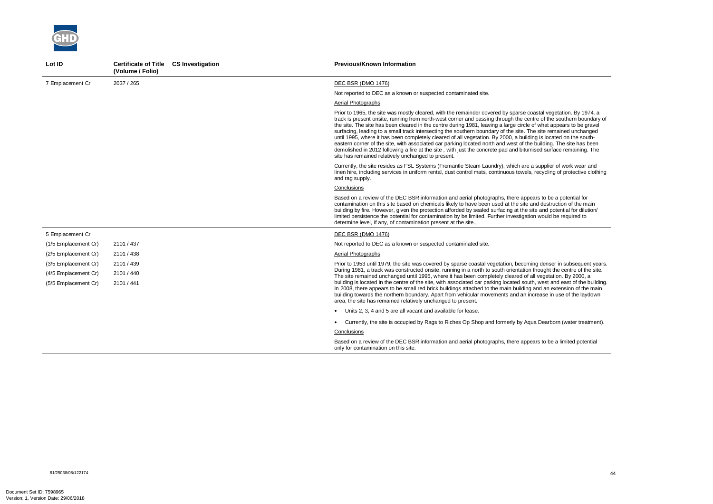

| Lot ID               | Certificate of Title CS Investigation<br>(Volume / Folio) |  | <b>Previous/Known Information</b>                                                                                                                                                                                                                                                                                                                                                                                                                                                                                                                                                                                                                                                                                                                                                                                                                                                                 |
|----------------------|-----------------------------------------------------------|--|---------------------------------------------------------------------------------------------------------------------------------------------------------------------------------------------------------------------------------------------------------------------------------------------------------------------------------------------------------------------------------------------------------------------------------------------------------------------------------------------------------------------------------------------------------------------------------------------------------------------------------------------------------------------------------------------------------------------------------------------------------------------------------------------------------------------------------------------------------------------------------------------------|
| 7 Emplacement Cr     | 2037 / 265                                                |  | DEC BSR (DMO 1476)                                                                                                                                                                                                                                                                                                                                                                                                                                                                                                                                                                                                                                                                                                                                                                                                                                                                                |
|                      |                                                           |  | Not reported to DEC as a known or suspected contaminated site.                                                                                                                                                                                                                                                                                                                                                                                                                                                                                                                                                                                                                                                                                                                                                                                                                                    |
|                      |                                                           |  | Aerial Photographs                                                                                                                                                                                                                                                                                                                                                                                                                                                                                                                                                                                                                                                                                                                                                                                                                                                                                |
|                      |                                                           |  | Prior to 1965, the site was mostly cleared, with the remainder covered by sparse coastal vegetation. By 1974, a<br>track is present onsite, running from north-west corner and passing through the centre of the southern boundary of<br>the site. The site has been cleared in the centre during 1981, leaving a large circle of what appears to be gravel<br>surfacing, leading to a small track intersecting the southern boundary of the site. The site remained unchanged<br>until 1995, where it has been completely cleared of all vegetation. By 2000, a building is located on the south-<br>eastern corner of the site, with associated car parking located north and west of the building. The site has been<br>demolished in 2012 following a fire at the site, with just the concrete pad and bitumised surface remaining. The<br>site has remained relatively unchanged to present. |
|                      |                                                           |  | Currently, the site resides as FSL Systems (Fremantle Steam Laundry), which are a supplier of work wear and<br>linen hire, including services in uniform rental, dust control mats, continuous towels, recycling of protective clothing<br>and rag supply.                                                                                                                                                                                                                                                                                                                                                                                                                                                                                                                                                                                                                                        |
|                      |                                                           |  | Conclusions                                                                                                                                                                                                                                                                                                                                                                                                                                                                                                                                                                                                                                                                                                                                                                                                                                                                                       |
|                      |                                                           |  | Based on a review of the DEC BSR information and aerial photographs, there appears to be a potential for<br>contamination on this site based on chemicals likely to have been used at the site and destruction of the main<br>building by fire. However, given the protection afforded by sealed surfacing at the site and potential for dilution/<br>limited persistence the potential for contamination by be limited. Further investigation would be required to<br>determine level, if any, of contamination present at the site.,                                                                                                                                                                                                                                                                                                                                                            |
| 5 Emplacement Cr     |                                                           |  | DEC BSR (DMO 1476)                                                                                                                                                                                                                                                                                                                                                                                                                                                                                                                                                                                                                                                                                                                                                                                                                                                                                |
| (1/5 Emplacement Cr) | 2101 / 437                                                |  | Not reported to DEC as a known or suspected contaminated site.                                                                                                                                                                                                                                                                                                                                                                                                                                                                                                                                                                                                                                                                                                                                                                                                                                    |
| (2/5 Emplacement Cr) | 2101 / 438                                                |  | Aerial Photographs                                                                                                                                                                                                                                                                                                                                                                                                                                                                                                                                                                                                                                                                                                                                                                                                                                                                                |
| (3/5 Emplacement Cr) | 2101 / 439                                                |  | Prior to 1953 until 1979, the site was covered by sparse coastal vegetation, becoming denser in subsequent years.<br>During 1981, a track was constructed onsite, running in a north to south orientation thought the centre of the site.<br>The site remained unchanged until 1995, where it has been completely cleared of all vegetation. By 2000, a                                                                                                                                                                                                                                                                                                                                                                                                                                                                                                                                           |
| (4/5 Emplacement Cr) | 2101 / 440                                                |  |                                                                                                                                                                                                                                                                                                                                                                                                                                                                                                                                                                                                                                                                                                                                                                                                                                                                                                   |
| (5/5 Emplacement Cr) | 2101 / 441                                                |  | building is located in the centre of the site, with associated car parking located south, west and east of the building.<br>In 2008, there appears to be small red brick buildings attached to the main building and an extension of the main<br>building towards the northern boundary. Apart from vehicular movements and an increase in use of the laydown<br>area, the site has remained relatively unchanged to present.                                                                                                                                                                                                                                                                                                                                                                                                                                                                     |
|                      |                                                           |  | • Units 2, 3, 4 and 5 are all vacant and available for lease.                                                                                                                                                                                                                                                                                                                                                                                                                                                                                                                                                                                                                                                                                                                                                                                                                                     |
|                      |                                                           |  | Currently, the site is occupied by Rags to Riches Op Shop and formerly by Aqua Dearborn (water treatment).                                                                                                                                                                                                                                                                                                                                                                                                                                                                                                                                                                                                                                                                                                                                                                                        |
|                      |                                                           |  | Conclusions                                                                                                                                                                                                                                                                                                                                                                                                                                                                                                                                                                                                                                                                                                                                                                                                                                                                                       |
|                      |                                                           |  | Based on a review of the DEC BSR information and aerial photographs, there appears to be a limited potential<br>only for contamination on this site.                                                                                                                                                                                                                                                                                                                                                                                                                                                                                                                                                                                                                                                                                                                                              |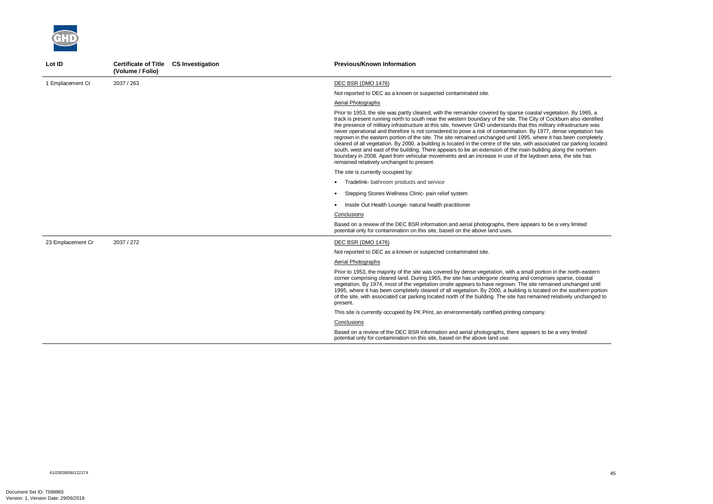

| Lot ID            | Certificate of Title CS Investigation<br>(Volume / Folio) | <b>Previous/Known Information</b>                                                                                                                                                                                                                                                                                                                                                                                                                                                                                                                                                                                                                                                                                                                                                                                                                                                                                                                                                                             |
|-------------------|-----------------------------------------------------------|---------------------------------------------------------------------------------------------------------------------------------------------------------------------------------------------------------------------------------------------------------------------------------------------------------------------------------------------------------------------------------------------------------------------------------------------------------------------------------------------------------------------------------------------------------------------------------------------------------------------------------------------------------------------------------------------------------------------------------------------------------------------------------------------------------------------------------------------------------------------------------------------------------------------------------------------------------------------------------------------------------------|
| 1 Emplacement Cr  | 2037 / 263                                                | <b>DEC BSR (DMO 1476)</b>                                                                                                                                                                                                                                                                                                                                                                                                                                                                                                                                                                                                                                                                                                                                                                                                                                                                                                                                                                                     |
|                   |                                                           | Not reported to DEC as a known or suspected contaminated site.                                                                                                                                                                                                                                                                                                                                                                                                                                                                                                                                                                                                                                                                                                                                                                                                                                                                                                                                                |
|                   |                                                           | Aerial Photographs                                                                                                                                                                                                                                                                                                                                                                                                                                                                                                                                                                                                                                                                                                                                                                                                                                                                                                                                                                                            |
|                   |                                                           | Prior to 1953, the site was partly cleared, with the remainder covered by sparse coastal vegetation. By 1965, a<br>track is present running north to south near the western boundary of the site. The City of Cockburn also identified<br>the presence of military infrastructure at this site, however GHD understands that this military infrastructure was<br>never operational and therefore is not considered to pose a risk of contamination. By 1977, dense vegetation has<br>regrown in the eastern portion of the site. The site remained unchanged until 1995, where it has been completely<br>cleared of all vegetation. By 2000, a building is located in the centre of the site, with associated car parking located<br>south, west and east of the building. There appears to be an extension of the main building along the northern<br>boundary in 2008. Apart from vehicular movements and an increase in use of the laydown area, the site has<br>remained relatively unchanged to present. |
|                   |                                                           | The site is currently occupied by:                                                                                                                                                                                                                                                                                                                                                                                                                                                                                                                                                                                                                                                                                                                                                                                                                                                                                                                                                                            |
|                   |                                                           | Tradelink- bathroom products and service                                                                                                                                                                                                                                                                                                                                                                                                                                                                                                                                                                                                                                                                                                                                                                                                                                                                                                                                                                      |
|                   |                                                           | Stepping Stones Wellness Clinic- pain relief system                                                                                                                                                                                                                                                                                                                                                                                                                                                                                                                                                                                                                                                                                                                                                                                                                                                                                                                                                           |
|                   |                                                           | Inside Out Health Lounge- natural health practitioner                                                                                                                                                                                                                                                                                                                                                                                                                                                                                                                                                                                                                                                                                                                                                                                                                                                                                                                                                         |
|                   |                                                           | Conclusions                                                                                                                                                                                                                                                                                                                                                                                                                                                                                                                                                                                                                                                                                                                                                                                                                                                                                                                                                                                                   |
|                   |                                                           | Based on a review of the DEC BSR information and aerial photographs, there appears to be a very limited<br>potential only for contamination on this site, based on the above land uses.                                                                                                                                                                                                                                                                                                                                                                                                                                                                                                                                                                                                                                                                                                                                                                                                                       |
| 23 Emplacement Cr | 2037 / 272                                                | DEC BSR (DMO 1476)                                                                                                                                                                                                                                                                                                                                                                                                                                                                                                                                                                                                                                                                                                                                                                                                                                                                                                                                                                                            |
|                   |                                                           | Not reported to DEC as a known or suspected contaminated site.                                                                                                                                                                                                                                                                                                                                                                                                                                                                                                                                                                                                                                                                                                                                                                                                                                                                                                                                                |
|                   |                                                           | <b>Aerial Photographs</b>                                                                                                                                                                                                                                                                                                                                                                                                                                                                                                                                                                                                                                                                                                                                                                                                                                                                                                                                                                                     |
|                   |                                                           | Prior to 1953, the majority of the site was covered by dense vegetation, with a small portion in the north-eastern<br>corner comprising cleared land. During 1965, the site has undergone clearing and comprises sparse, coastal<br>vegetation. By 1974, most of the vegetation onsite appears to have regrown. The site remained unchanged until<br>1995, where it has been completely cleared of all vegetation. By 2000, a building is located on the southern portion<br>of the site, with associated car parking located north of the building. The site has remained relatively unchanged to<br>present.                                                                                                                                                                                                                                                                                                                                                                                                |
|                   |                                                           | This site is currently occupied by PK Print, an environmentally certified printing company.                                                                                                                                                                                                                                                                                                                                                                                                                                                                                                                                                                                                                                                                                                                                                                                                                                                                                                                   |
|                   |                                                           | Conclusions                                                                                                                                                                                                                                                                                                                                                                                                                                                                                                                                                                                                                                                                                                                                                                                                                                                                                                                                                                                                   |
|                   |                                                           | Based on a review of the DEC BSR information and aerial photographs, there appears to be a very limited<br>potential only for contamination on this site, based on the above land use.                                                                                                                                                                                                                                                                                                                                                                                                                                                                                                                                                                                                                                                                                                                                                                                                                        |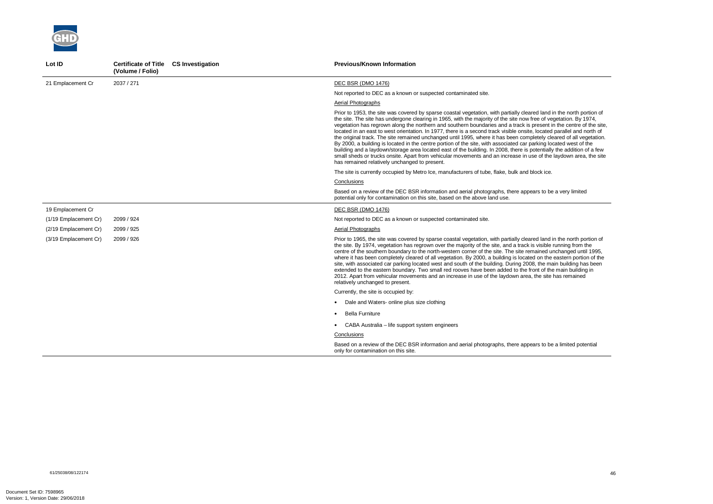

| Lot ID                | Certificate of Title CS Investigation<br>(Volume / Folio) | <b>Previous/Known Information</b>                                                                                                                                                                                                                                                                                                                                                                                                                                                                                                                                                                                                                                                                                                                                                                                                                                                                                                                                                                                                      |
|-----------------------|-----------------------------------------------------------|----------------------------------------------------------------------------------------------------------------------------------------------------------------------------------------------------------------------------------------------------------------------------------------------------------------------------------------------------------------------------------------------------------------------------------------------------------------------------------------------------------------------------------------------------------------------------------------------------------------------------------------------------------------------------------------------------------------------------------------------------------------------------------------------------------------------------------------------------------------------------------------------------------------------------------------------------------------------------------------------------------------------------------------|
| 21 Emplacement Cr     | 2037 / 271                                                | <b>DEC BSR (DMO 1476)</b>                                                                                                                                                                                                                                                                                                                                                                                                                                                                                                                                                                                                                                                                                                                                                                                                                                                                                                                                                                                                              |
|                       |                                                           | Not reported to DEC as a known or suspected contaminated site.                                                                                                                                                                                                                                                                                                                                                                                                                                                                                                                                                                                                                                                                                                                                                                                                                                                                                                                                                                         |
|                       |                                                           | Aerial Photographs                                                                                                                                                                                                                                                                                                                                                                                                                                                                                                                                                                                                                                                                                                                                                                                                                                                                                                                                                                                                                     |
|                       |                                                           | Prior to 1953, the site was covered by sparse coastal vegetation, with partially cleared land in the north portion of<br>the site. The site has undergone clearing in 1965, with the majority of the site now free of vegetation. By 1974,<br>vegetation has regrown along the northern and southern boundaries and a track is present in the centre of the site,<br>located in an east to west orientation. In 1977, there is a second track visible onsite, located parallel and north of<br>the original track. The site remained unchanged until 1995, where it has been completely cleared of all vegetation.<br>By 2000, a building is located in the centre portion of the site, with associated car parking located west of the<br>building and a laydown/storage area located east of the building. In 2008, there is potentially the addition of a few<br>small sheds or trucks onsite. Apart from vehicular movements and an increase in use of the laydown area, the site<br>has remained relatively unchanged to present. |
|                       |                                                           | The site is currently occupied by Metro Ice, manufacturers of tube, flake, bulk and block ice.                                                                                                                                                                                                                                                                                                                                                                                                                                                                                                                                                                                                                                                                                                                                                                                                                                                                                                                                         |
|                       |                                                           | Conclusions                                                                                                                                                                                                                                                                                                                                                                                                                                                                                                                                                                                                                                                                                                                                                                                                                                                                                                                                                                                                                            |
|                       |                                                           | Based on a review of the DEC BSR information and aerial photographs, there appears to be a very limited<br>potential only for contamination on this site, based on the above land use.                                                                                                                                                                                                                                                                                                                                                                                                                                                                                                                                                                                                                                                                                                                                                                                                                                                 |
| 19 Emplacement Cr     |                                                           | DEC BSR (DMO 1476)                                                                                                                                                                                                                                                                                                                                                                                                                                                                                                                                                                                                                                                                                                                                                                                                                                                                                                                                                                                                                     |
| (1/19 Emplacement Cr) | 2099 / 924                                                | Not reported to DEC as a known or suspected contaminated site.                                                                                                                                                                                                                                                                                                                                                                                                                                                                                                                                                                                                                                                                                                                                                                                                                                                                                                                                                                         |
| (2/19 Emplacement Cr) | 2099 / 925                                                | Aerial Photographs                                                                                                                                                                                                                                                                                                                                                                                                                                                                                                                                                                                                                                                                                                                                                                                                                                                                                                                                                                                                                     |
| (3/19 Emplacement Cr) | 2099 / 926                                                | Prior to 1965, the site was covered by sparse coastal vegetation, with partially cleared land in the north portion of<br>the site. By 1974, vegetation has regrown over the majority of the site, and a track is visible running from the<br>centre of the southern boundary to the north-western corner of the site. The site remained unchanged until 1995,<br>where it has been completely cleared of all vegetation. By 2000, a building is located on the eastern portion of the<br>site, with associated car parking located west and south of the building. During 2008, the main building has been<br>extended to the eastern boundary. Two small red rooves have been added to the front of the main building in<br>2012. Apart from vehicular movements and an increase in use of the laydown area, the site has remained<br>relatively unchanged to present.                                                                                                                                                                |
|                       |                                                           | Currently, the site is occupied by:                                                                                                                                                                                                                                                                                                                                                                                                                                                                                                                                                                                                                                                                                                                                                                                                                                                                                                                                                                                                    |
|                       |                                                           | Dale and Waters- online plus size clothing                                                                                                                                                                                                                                                                                                                                                                                                                                                                                                                                                                                                                                                                                                                                                                                                                                                                                                                                                                                             |
|                       |                                                           | <b>Bella Furniture</b>                                                                                                                                                                                                                                                                                                                                                                                                                                                                                                                                                                                                                                                                                                                                                                                                                                                                                                                                                                                                                 |
|                       |                                                           | • CABA Australia – life support system engineers                                                                                                                                                                                                                                                                                                                                                                                                                                                                                                                                                                                                                                                                                                                                                                                                                                                                                                                                                                                       |
|                       |                                                           | Conclusions                                                                                                                                                                                                                                                                                                                                                                                                                                                                                                                                                                                                                                                                                                                                                                                                                                                                                                                                                                                                                            |
|                       |                                                           | Based on a review of the DEC BSR information and aerial photographs, there appears to be a limited potential<br>only for contamination on this site.                                                                                                                                                                                                                                                                                                                                                                                                                                                                                                                                                                                                                                                                                                                                                                                                                                                                                   |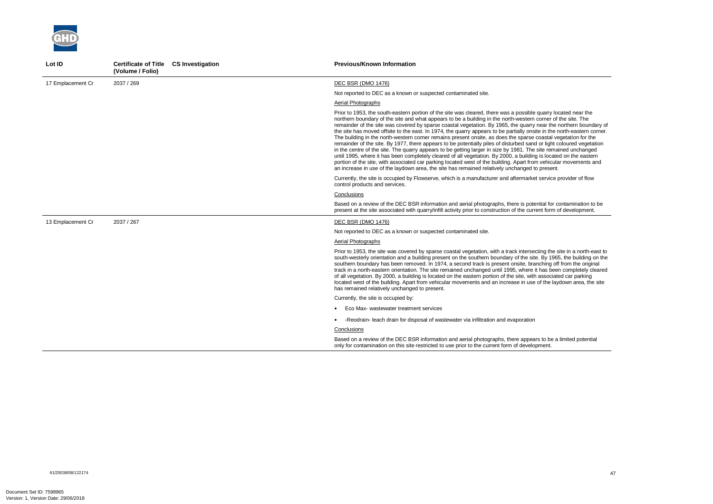

| Lot ID            | Certificate of Title CS Investigation<br>(Volume / Folio) | <b>Previous/Known Information</b>                                                                                                                                                                                                                                                                                                                                                                                                                                                                                                                                                                                                                                                                                                                                                                                                                                                                                                                                                                                                                                                                                                                                                       |
|-------------------|-----------------------------------------------------------|-----------------------------------------------------------------------------------------------------------------------------------------------------------------------------------------------------------------------------------------------------------------------------------------------------------------------------------------------------------------------------------------------------------------------------------------------------------------------------------------------------------------------------------------------------------------------------------------------------------------------------------------------------------------------------------------------------------------------------------------------------------------------------------------------------------------------------------------------------------------------------------------------------------------------------------------------------------------------------------------------------------------------------------------------------------------------------------------------------------------------------------------------------------------------------------------|
| 17 Emplacement Cr | 2037 / 269                                                | <b>DEC BSR (DMO 1476)</b>                                                                                                                                                                                                                                                                                                                                                                                                                                                                                                                                                                                                                                                                                                                                                                                                                                                                                                                                                                                                                                                                                                                                                               |
|                   |                                                           | Not reported to DEC as a known or suspected contaminated site.                                                                                                                                                                                                                                                                                                                                                                                                                                                                                                                                                                                                                                                                                                                                                                                                                                                                                                                                                                                                                                                                                                                          |
|                   |                                                           | Aerial Photographs                                                                                                                                                                                                                                                                                                                                                                                                                                                                                                                                                                                                                                                                                                                                                                                                                                                                                                                                                                                                                                                                                                                                                                      |
|                   |                                                           | Prior to 1953, the south-eastern portion of the site was cleared, there was a possible quarry located near the<br>northern boundary of the site and what appears to be a building in the north-western corner of the site. The<br>remainder of the site was covered by sparse coastal vegetation. By 1965, the quarry near the northern boundary of<br>the site has moved offsite to the east. In 1974, the quarry appears to be partially onsite in the north-eastern corner.<br>The building in the north-western corner remains present onsite, as does the sparse coastal vegetation for the<br>remainder of the site. By 1977, there appears to be potentially piles of disturbed sand or light coloured vegetation<br>in the centre of the site. The quarry appears to be getting larger in size by 1981. The site remained unchanged<br>until 1995, where it has been completely cleared of all vegetation. By 2000, a building is located on the eastern<br>portion of the site, with associated car parking located west of the building. Apart from vehicular movements and<br>an increase in use of the laydown area, the site has remained relatively unchanged to present. |
|                   |                                                           | Currently, the site is occupied by Flowserve, which is a manufacturer and aftermarket service provider of flow<br>control products and services.                                                                                                                                                                                                                                                                                                                                                                                                                                                                                                                                                                                                                                                                                                                                                                                                                                                                                                                                                                                                                                        |
|                   |                                                           | Conclusions                                                                                                                                                                                                                                                                                                                                                                                                                                                                                                                                                                                                                                                                                                                                                                                                                                                                                                                                                                                                                                                                                                                                                                             |
|                   |                                                           | Based on a review of the DEC BSR information and aerial photographs, there is potential for contamination to be<br>present at the site associated with quarry/infill activity prior to construction of the current form of development.                                                                                                                                                                                                                                                                                                                                                                                                                                                                                                                                                                                                                                                                                                                                                                                                                                                                                                                                                 |
| 13 Emplacement Cr | 2037 / 267                                                | DEC BSR (DMO 1476)                                                                                                                                                                                                                                                                                                                                                                                                                                                                                                                                                                                                                                                                                                                                                                                                                                                                                                                                                                                                                                                                                                                                                                      |
|                   |                                                           | Not reported to DEC as a known or suspected contaminated site.                                                                                                                                                                                                                                                                                                                                                                                                                                                                                                                                                                                                                                                                                                                                                                                                                                                                                                                                                                                                                                                                                                                          |
|                   |                                                           | Aerial Photographs                                                                                                                                                                                                                                                                                                                                                                                                                                                                                                                                                                                                                                                                                                                                                                                                                                                                                                                                                                                                                                                                                                                                                                      |
|                   |                                                           | Prior to 1953, the site was covered by sparse coastal vegetation, with a track intersecting the site in a north-east to<br>south-westerly orientation and a building present on the southern boundary of the site. By 1965, the building on the<br>southern boundary has been removed. In 1974, a second track is present onsite, branching off from the original<br>track in a north-eastern orientation. The site remained unchanged until 1995, where it has been completely cleared<br>of all vegetation. By 2000, a building is located on the eastern portion of the site, with associated car parking<br>located west of the building. Apart from vehicular movements and an increase in use of the laydown area, the site<br>has remained relatively unchanged to present.                                                                                                                                                                                                                                                                                                                                                                                                      |
|                   |                                                           | Currently, the site is occupied by:                                                                                                                                                                                                                                                                                                                                                                                                                                                                                                                                                                                                                                                                                                                                                                                                                                                                                                                                                                                                                                                                                                                                                     |
|                   |                                                           | Eco Max- wastewater treatment services                                                                                                                                                                                                                                                                                                                                                                                                                                                                                                                                                                                                                                                                                                                                                                                                                                                                                                                                                                                                                                                                                                                                                  |
|                   |                                                           | -Reodrain- leach drain for disposal of wastewater via infiltration and evaporation                                                                                                                                                                                                                                                                                                                                                                                                                                                                                                                                                                                                                                                                                                                                                                                                                                                                                                                                                                                                                                                                                                      |
|                   |                                                           | Conclusions                                                                                                                                                                                                                                                                                                                                                                                                                                                                                                                                                                                                                                                                                                                                                                                                                                                                                                                                                                                                                                                                                                                                                                             |
|                   |                                                           | Based on a review of the DEC BSR information and aerial photographs, there appears to be a limited potential<br>only for contamination on this site restricted to use prior to the current form of development.                                                                                                                                                                                                                                                                                                                                                                                                                                                                                                                                                                                                                                                                                                                                                                                                                                                                                                                                                                         |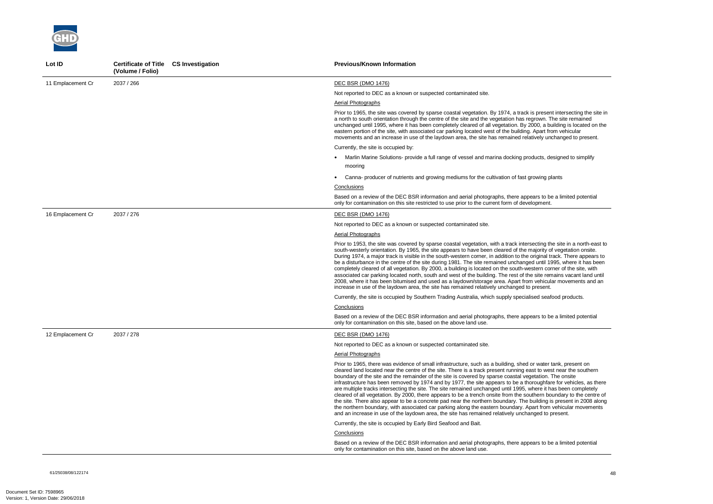61/25038/08/122174 48



| Lot ID            | Certificate of Title CS Investigation<br>(Volume / Folio) | <b>Previous/Known Information</b>                                                                                                                                                                                                                                                                                                                                                                                                                                                                                                                                                                                                                                                                                                                                                                                                                                                                                                                                                                                                                        |
|-------------------|-----------------------------------------------------------|----------------------------------------------------------------------------------------------------------------------------------------------------------------------------------------------------------------------------------------------------------------------------------------------------------------------------------------------------------------------------------------------------------------------------------------------------------------------------------------------------------------------------------------------------------------------------------------------------------------------------------------------------------------------------------------------------------------------------------------------------------------------------------------------------------------------------------------------------------------------------------------------------------------------------------------------------------------------------------------------------------------------------------------------------------|
| 11 Emplacement Cr | 2037 / 266                                                | <b>DEC BSR (DMO 1476)</b>                                                                                                                                                                                                                                                                                                                                                                                                                                                                                                                                                                                                                                                                                                                                                                                                                                                                                                                                                                                                                                |
|                   |                                                           | Not reported to DEC as a known or suspected contaminated site.                                                                                                                                                                                                                                                                                                                                                                                                                                                                                                                                                                                                                                                                                                                                                                                                                                                                                                                                                                                           |
|                   |                                                           | Aerial Photographs                                                                                                                                                                                                                                                                                                                                                                                                                                                                                                                                                                                                                                                                                                                                                                                                                                                                                                                                                                                                                                       |
|                   |                                                           | Prior to 1965, the site was covered by sparse coastal vegetation. By 1974, a track is present intersecting the site in<br>a north to south orientation through the centre of the site and the vegetation has regrown. The site remained<br>unchanged until 1995, where it has been completely cleared of all vegetation. By 2000, a building is located on the<br>eastern portion of the site, with associated car parking located west of the building. Apart from vehicular<br>movements and an increase in use of the laydown area, the site has remained relatively unchanged to present.                                                                                                                                                                                                                                                                                                                                                                                                                                                            |
|                   |                                                           | Currently, the site is occupied by:                                                                                                                                                                                                                                                                                                                                                                                                                                                                                                                                                                                                                                                                                                                                                                                                                                                                                                                                                                                                                      |
|                   |                                                           | • Marlin Marine Solutions- provide a full range of vessel and marina docking products, designed to simplify                                                                                                                                                                                                                                                                                                                                                                                                                                                                                                                                                                                                                                                                                                                                                                                                                                                                                                                                              |
|                   |                                                           | mooring                                                                                                                                                                                                                                                                                                                                                                                                                                                                                                                                                                                                                                                                                                                                                                                                                                                                                                                                                                                                                                                  |
|                   |                                                           | Canna- producer of nutrients and growing mediums for the cultivation of fast growing plants                                                                                                                                                                                                                                                                                                                                                                                                                                                                                                                                                                                                                                                                                                                                                                                                                                                                                                                                                              |
|                   |                                                           | Conclusions                                                                                                                                                                                                                                                                                                                                                                                                                                                                                                                                                                                                                                                                                                                                                                                                                                                                                                                                                                                                                                              |
|                   |                                                           | Based on a review of the DEC BSR information and aerial photographs, there appears to be a limited potential<br>only for contamination on this site restricted to use prior to the current form of development.                                                                                                                                                                                                                                                                                                                                                                                                                                                                                                                                                                                                                                                                                                                                                                                                                                          |
| 16 Emplacement Cr | 2037 / 276                                                | DEC BSR (DMO 1476)                                                                                                                                                                                                                                                                                                                                                                                                                                                                                                                                                                                                                                                                                                                                                                                                                                                                                                                                                                                                                                       |
|                   |                                                           | Not reported to DEC as a known or suspected contaminated site.                                                                                                                                                                                                                                                                                                                                                                                                                                                                                                                                                                                                                                                                                                                                                                                                                                                                                                                                                                                           |
|                   |                                                           | <b>Aerial Photographs</b>                                                                                                                                                                                                                                                                                                                                                                                                                                                                                                                                                                                                                                                                                                                                                                                                                                                                                                                                                                                                                                |
|                   |                                                           | Prior to 1953, the site was covered by sparse coastal vegetation, with a track intersecting the site in a north-east to<br>south-westerly orientation. By 1965, the site appears to have been cleared of the majority of vegetation onsite.<br>During 1974, a major track is visible in the south-western corner, in addition to the original track. There appears to<br>be a disturbance in the centre of the site during 1981. The site remained unchanged until 1995, where it has been<br>completely cleared of all vegetation. By 2000, a building is located on the south-western corner of the site, with<br>associated car parking located north, south and west of the building. The rest of the site remains vacant land until<br>2008, where it has been bitumised and used as a laydown/storage area. Apart from vehicular movements and an<br>increase in use of the laydown area, the site has remained relatively unchanged to present.                                                                                                   |
|                   |                                                           | Currently, the site is occupied by Southern Trading Australia, which supply specialised seafood products.                                                                                                                                                                                                                                                                                                                                                                                                                                                                                                                                                                                                                                                                                                                                                                                                                                                                                                                                                |
|                   |                                                           | Conclusions                                                                                                                                                                                                                                                                                                                                                                                                                                                                                                                                                                                                                                                                                                                                                                                                                                                                                                                                                                                                                                              |
|                   |                                                           | Based on a review of the DEC BSR information and aerial photographs, there appears to be a limited potential<br>only for contamination on this site, based on the above land use.                                                                                                                                                                                                                                                                                                                                                                                                                                                                                                                                                                                                                                                                                                                                                                                                                                                                        |
| 12 Emplacement Cr | 2037 / 278                                                | DEC BSR (DMO 1476)                                                                                                                                                                                                                                                                                                                                                                                                                                                                                                                                                                                                                                                                                                                                                                                                                                                                                                                                                                                                                                       |
|                   |                                                           | Not reported to DEC as a known or suspected contaminated site.                                                                                                                                                                                                                                                                                                                                                                                                                                                                                                                                                                                                                                                                                                                                                                                                                                                                                                                                                                                           |
|                   |                                                           | <b>Aerial Photographs</b>                                                                                                                                                                                                                                                                                                                                                                                                                                                                                                                                                                                                                                                                                                                                                                                                                                                                                                                                                                                                                                |
|                   |                                                           | Prior to 1965, there was evidence of small infrastructure, such as a building, shed or water tank, present on<br>cleared land located near the centre of the site. There is a track present running east to west near the southern<br>boundary of the site and the remainder of the site is covered by sparse coastal vegetation. The onsite<br>infrastructure has been removed by 1974 and by 1977, the site appears to be a thoroughfare for vehicles, as there<br>are multiple tracks intersecting the site. The site remained unchanged until 1995, where it has been completely<br>cleared of all vegetation. By 2000, there appears to be a trench onsite from the southern boundary to the centre of<br>the site. There also appear to be a concrete pad near the northern boundary. The building is present in 2008 along<br>the northern boundary, with associated car parking along the eastern boundary. Apart from vehicular movements<br>and an increase in use of the laydown area, the site has remained relatively unchanged to present. |
|                   |                                                           | Currently, the site is occupied by Early Bird Seafood and Bait.                                                                                                                                                                                                                                                                                                                                                                                                                                                                                                                                                                                                                                                                                                                                                                                                                                                                                                                                                                                          |
|                   |                                                           | Conclusions                                                                                                                                                                                                                                                                                                                                                                                                                                                                                                                                                                                                                                                                                                                                                                                                                                                                                                                                                                                                                                              |
|                   |                                                           | Based on a review of the DEC BSR information and aerial photographs, there appears to be a limited potential<br>only for contamination on this site, based on the above land use.                                                                                                                                                                                                                                                                                                                                                                                                                                                                                                                                                                                                                                                                                                                                                                                                                                                                        |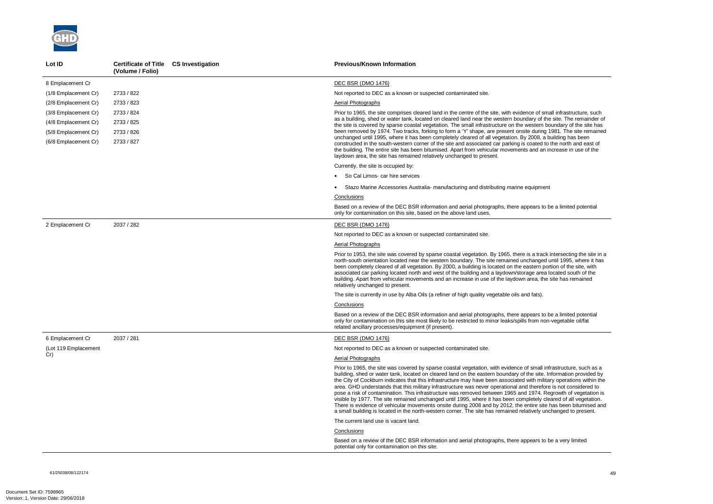

| Lot ID               | <b>Certificate of Title CS Investigation</b><br>(Volume / Folio) | <b>Previous/Known Information</b>                                                                                                                                                                                                                                                                                                                                                                                                                                                                                                                                                                                                                                                                                                                                                                                                                                                                                                                                |
|----------------------|------------------------------------------------------------------|------------------------------------------------------------------------------------------------------------------------------------------------------------------------------------------------------------------------------------------------------------------------------------------------------------------------------------------------------------------------------------------------------------------------------------------------------------------------------------------------------------------------------------------------------------------------------------------------------------------------------------------------------------------------------------------------------------------------------------------------------------------------------------------------------------------------------------------------------------------------------------------------------------------------------------------------------------------|
| 8 Emplacement Cr     |                                                                  | <b>DEC BSR (DMO 1476)</b>                                                                                                                                                                                                                                                                                                                                                                                                                                                                                                                                                                                                                                                                                                                                                                                                                                                                                                                                        |
| (1/8 Emplacement Cr) | 2733 / 822                                                       | Not reported to DEC as a known or suspected contaminated site.                                                                                                                                                                                                                                                                                                                                                                                                                                                                                                                                                                                                                                                                                                                                                                                                                                                                                                   |
| (2/8 Emplacement Cr) | 2733 / 823                                                       | Aerial Photographs                                                                                                                                                                                                                                                                                                                                                                                                                                                                                                                                                                                                                                                                                                                                                                                                                                                                                                                                               |
| (3/8 Emplacement Cr) | 2733 / 824                                                       | Prior to 1965, the site comprises cleared land in the centre of the site, with evidence of small infrastructure, such                                                                                                                                                                                                                                                                                                                                                                                                                                                                                                                                                                                                                                                                                                                                                                                                                                            |
| (4/8 Emplacement Cr) | 2733 / 825                                                       | as a building, shed or water tank, located on cleared land near the western boundary of the site. The remainder of<br>the site is covered by sparse coastal vegetation. The small infrastructure on the western boundary of the site has                                                                                                                                                                                                                                                                                                                                                                                                                                                                                                                                                                                                                                                                                                                         |
| (5/8 Emplacement Cr) | 2733 / 826                                                       | been removed by 1974. Two tracks, forking to form a 'Y' shape, are present onsite during 1981. The site remained                                                                                                                                                                                                                                                                                                                                                                                                                                                                                                                                                                                                                                                                                                                                                                                                                                                 |
| (6/8 Emplacement Cr) | 2733 / 827                                                       | unchanged until 1995, where it has been completely cleared of all vegetation. By 2008, a building has been<br>constructed in the south-western corner of the site and associated car parking is coated to the north and east of<br>the building. The entire site has been bitumised. Apart from vehicular movements and an increase in use of the<br>laydown area, the site has remained relatively unchanged to present.                                                                                                                                                                                                                                                                                                                                                                                                                                                                                                                                        |
|                      |                                                                  | Currently, the site is occupied by:                                                                                                                                                                                                                                                                                                                                                                                                                                                                                                                                                                                                                                                                                                                                                                                                                                                                                                                              |
|                      |                                                                  | • So Cal Limos- car hire services                                                                                                                                                                                                                                                                                                                                                                                                                                                                                                                                                                                                                                                                                                                                                                                                                                                                                                                                |
|                      |                                                                  | Stazo Marine Accessories Australia- manufacturing and distributing marine equipment                                                                                                                                                                                                                                                                                                                                                                                                                                                                                                                                                                                                                                                                                                                                                                                                                                                                              |
|                      |                                                                  | Conclusions                                                                                                                                                                                                                                                                                                                                                                                                                                                                                                                                                                                                                                                                                                                                                                                                                                                                                                                                                      |
|                      |                                                                  | Based on a review of the DEC BSR information and aerial photographs, there appears to be a limited potential<br>only for contamination on this site, based on the above land uses.                                                                                                                                                                                                                                                                                                                                                                                                                                                                                                                                                                                                                                                                                                                                                                               |
| 2 Emplacement Cr     | 2037 / 282                                                       | <b>DEC BSR (DMO 1476)</b>                                                                                                                                                                                                                                                                                                                                                                                                                                                                                                                                                                                                                                                                                                                                                                                                                                                                                                                                        |
|                      |                                                                  | Not reported to DEC as a known or suspected contaminated site.                                                                                                                                                                                                                                                                                                                                                                                                                                                                                                                                                                                                                                                                                                                                                                                                                                                                                                   |
|                      |                                                                  | Aerial Photographs                                                                                                                                                                                                                                                                                                                                                                                                                                                                                                                                                                                                                                                                                                                                                                                                                                                                                                                                               |
|                      |                                                                  | Prior to 1953, the site was covered by sparse coastal vegetation. By 1965, there is a track intersecting the site in a<br>north-south orientation located near the western boundary. The site remained unchanged until 1995, where it has<br>been completely cleared of all vegetation. By 2000, a building is located on the eastern portion of the site, with<br>associated car parking located north and west of the building and a laydown/storage area located south of the<br>building. Apart from vehicular movements and an increase in use of the laydown area, the site has remained<br>relatively unchanged to present.                                                                                                                                                                                                                                                                                                                               |
|                      |                                                                  | The site is currently in use by Alba Oils (a refiner of high quality vegetable oils and fats).                                                                                                                                                                                                                                                                                                                                                                                                                                                                                                                                                                                                                                                                                                                                                                                                                                                                   |
|                      |                                                                  | Conclusions                                                                                                                                                                                                                                                                                                                                                                                                                                                                                                                                                                                                                                                                                                                                                                                                                                                                                                                                                      |
|                      |                                                                  | Based on a review of the DEC BSR information and aerial photographs, there appears to be a limited potential<br>only for contamination on this site most likely to be restricted to minor leaks/spills from non-vegetable oil/fat<br>related ancillary processes/equipment (if present).                                                                                                                                                                                                                                                                                                                                                                                                                                                                                                                                                                                                                                                                         |
| 6 Emplacement Cr     | 2037 / 281                                                       | <b>DEC BSR (DMO 1476)</b>                                                                                                                                                                                                                                                                                                                                                                                                                                                                                                                                                                                                                                                                                                                                                                                                                                                                                                                                        |
| (Lot 119 Emplacement |                                                                  | Not reported to DEC as a known or suspected contaminated site.                                                                                                                                                                                                                                                                                                                                                                                                                                                                                                                                                                                                                                                                                                                                                                                                                                                                                                   |
| Cr)                  |                                                                  | <b>Aerial Photographs</b>                                                                                                                                                                                                                                                                                                                                                                                                                                                                                                                                                                                                                                                                                                                                                                                                                                                                                                                                        |
|                      |                                                                  | Prior to 1965, the site was covered by sparse coastal vegetation, with evidence of small infrastructure, such as a<br>building, shed or water tank, located on cleared land on the eastern boundary of the site. Information provided by<br>the City of Cockburn indicates that this infrastructure may have been associated with military operations within the<br>area. GHD understands that this military infrastructure was never operational and therefore is not considered to<br>pose a risk of contamination. This infrastructure was removed between 1965 and 1974. Regrowth of vegetation is<br>visible by 1977. The site remained unchanged until 1995, where it has been completely cleared of all vegetation.<br>There is evidence of vehicular movements onsite during 2008 and by 2012, the entire site has been bitumised and<br>a small building is located in the north-western corner. The site has remained relatively unchanged to present. |
|                      |                                                                  | The current land use is vacant land.                                                                                                                                                                                                                                                                                                                                                                                                                                                                                                                                                                                                                                                                                                                                                                                                                                                                                                                             |
|                      |                                                                  | Conclusions                                                                                                                                                                                                                                                                                                                                                                                                                                                                                                                                                                                                                                                                                                                                                                                                                                                                                                                                                      |
|                      |                                                                  | Based on a review of the DEC BSR information and aerial photographs, there appears to be a very limited<br>potential only for contamination on this site.                                                                                                                                                                                                                                                                                                                                                                                                                                                                                                                                                                                                                                                                                                                                                                                                        |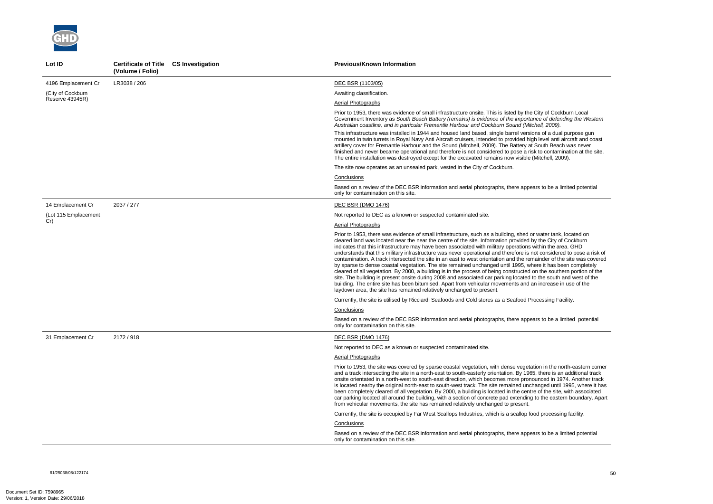ity of Cockburn Local Government Inventory as *South Beach Battery (remains) is evidence of the importance of defending the Western Australian coastline, and in particular Fremantle Harbour and Cockburn Sound (Mitchell, 2009).* 

s of a dual purpose gun level anti aircraft and coast outh Beach was never to contamination at the site. itchell, 2009).

to be a limited potential

vater tank, located on the City of Cockburn thin the area. GHD considered to pose a risk of inder of the site was covered by space to dense completely. the southern portion of the the south and west of the increase in use of the

cessing Facility.

to be a limited potential

on in the north-eastern corner there is an additional track nced in 1974. Another track nged until 1995, where it has of the site. with associated o the eastern boundary. Apart

d processing facility.

to be a limited potential



| Lot ID               | Certificate of Title CS Investigation<br>(Volume / Folio) | <b>Previous/Known Information</b>                                                                                                                                                                                                                                                                                                                                                                                                                                                                                                                                                                                                                                                                                                                                                                                                                                                                                               |
|----------------------|-----------------------------------------------------------|---------------------------------------------------------------------------------------------------------------------------------------------------------------------------------------------------------------------------------------------------------------------------------------------------------------------------------------------------------------------------------------------------------------------------------------------------------------------------------------------------------------------------------------------------------------------------------------------------------------------------------------------------------------------------------------------------------------------------------------------------------------------------------------------------------------------------------------------------------------------------------------------------------------------------------|
| 4196 Emplacement Cr  | LR3038 / 206                                              | DEC BSR (1103/05)                                                                                                                                                                                                                                                                                                                                                                                                                                                                                                                                                                                                                                                                                                                                                                                                                                                                                                               |
| (City of Cockburn    |                                                           | Awaiting classification.                                                                                                                                                                                                                                                                                                                                                                                                                                                                                                                                                                                                                                                                                                                                                                                                                                                                                                        |
| Reserve 43945R)      |                                                           | Aerial Photographs                                                                                                                                                                                                                                                                                                                                                                                                                                                                                                                                                                                                                                                                                                                                                                                                                                                                                                              |
|                      |                                                           | Prior to 1953, there was evidence of small infrastructure onsite. This is listed by the Cit<br>Government Inventory as South Beach Battery (remains) is evidence of the importance<br>Australian coastline, and in particular Fremantle Harbour and Cockburn Sound (Mitche                                                                                                                                                                                                                                                                                                                                                                                                                                                                                                                                                                                                                                                      |
|                      |                                                           | This infrastructure was installed in 1944 and housed land based, single barrel versions<br>mounted in twin turrets in Royal Navy Anti Aircraft cruisers, intended to provided high Id<br>artillery cover for Fremantle Harbour and the Sound (Mitchell, 2009). The Battery at So<br>finished and never became operational and therefore is not considered to pose a risk to<br>The entire installation was destroyed except for the excavated remains now visible (Mit                                                                                                                                                                                                                                                                                                                                                                                                                                                          |
|                      |                                                           | The site now operates as an unsealed park, vested in the City of Cockburn.                                                                                                                                                                                                                                                                                                                                                                                                                                                                                                                                                                                                                                                                                                                                                                                                                                                      |
|                      |                                                           | Conclusions                                                                                                                                                                                                                                                                                                                                                                                                                                                                                                                                                                                                                                                                                                                                                                                                                                                                                                                     |
|                      |                                                           | Based on a review of the DEC BSR information and aerial photographs, there appears<br>only for contamination on this site.                                                                                                                                                                                                                                                                                                                                                                                                                                                                                                                                                                                                                                                                                                                                                                                                      |
| 14 Emplacement Cr    | 2037 / 277                                                | <b>DEC BSR (DMO 1476)</b>                                                                                                                                                                                                                                                                                                                                                                                                                                                                                                                                                                                                                                                                                                                                                                                                                                                                                                       |
| (Lot 115 Emplacement |                                                           | Not reported to DEC as a known or suspected contaminated site.                                                                                                                                                                                                                                                                                                                                                                                                                                                                                                                                                                                                                                                                                                                                                                                                                                                                  |
| Cr)                  |                                                           | Aerial Photographs                                                                                                                                                                                                                                                                                                                                                                                                                                                                                                                                                                                                                                                                                                                                                                                                                                                                                                              |
|                      |                                                           | Prior to 1953, there was evidence of small infrastructure, such as a building, shed or w<br>cleared land was located near the near the centre of the site. Information provided by t<br>indicates that this infrastructure may have been associated with military operations with<br>understands that this military infrastructure was never operational and therefore is not<br>contamination. A track intersected the site in an east to west orientation and the remair<br>by sparse to dense coastal vegetation. The site remained unchanged until 1995, where<br>cleared of all vegetation. By 2000, a building is in the process of being constructed on t<br>site. The building is present onsite during 2008 and associated car parking located to th<br>building. The entire site has been bitumised. Apart from vehicular movements and an in<br>laydown area, the site has remained relatively unchanged to present. |
|                      |                                                           | Currently, the site is utilised by Ricciardi Seafoods and Cold stores as a Seafood Proce                                                                                                                                                                                                                                                                                                                                                                                                                                                                                                                                                                                                                                                                                                                                                                                                                                        |
|                      |                                                           | Conclusions                                                                                                                                                                                                                                                                                                                                                                                                                                                                                                                                                                                                                                                                                                                                                                                                                                                                                                                     |
|                      |                                                           | Based on a review of the DEC BSR information and aerial photographs, there appears<br>only for contamination on this site.                                                                                                                                                                                                                                                                                                                                                                                                                                                                                                                                                                                                                                                                                                                                                                                                      |
| 31 Emplacement Cr    | 2172 / 918                                                | <b>DEC BSR (DMO 1476)</b>                                                                                                                                                                                                                                                                                                                                                                                                                                                                                                                                                                                                                                                                                                                                                                                                                                                                                                       |
|                      |                                                           | Not reported to DEC as a known or suspected contaminated site.                                                                                                                                                                                                                                                                                                                                                                                                                                                                                                                                                                                                                                                                                                                                                                                                                                                                  |
|                      |                                                           | Aerial Photographs                                                                                                                                                                                                                                                                                                                                                                                                                                                                                                                                                                                                                                                                                                                                                                                                                                                                                                              |
|                      |                                                           | Prior to 1953, the site was covered by sparse coastal vegetation, with dense vegetation<br>and a track intersecting the site in a north-east to south-easterly orientation. By 1965, t<br>onsite orientated in a north-west to south-east direction, which becomes more pronoun<br>is located nearby the original north-east to south-west track. The site remained unchan<br>been completely cleared of all vegetation. By 2000, a building is located in the centre o<br>car parking located all around the building, with a section of concrete pad extending to<br>from vehicular movements, the site has remained relatively unchanged to present.                                                                                                                                                                                                                                                                         |
|                      |                                                           | Currently, the site is occupied by Far West Scallops Industries, which is a scallop food                                                                                                                                                                                                                                                                                                                                                                                                                                                                                                                                                                                                                                                                                                                                                                                                                                        |
|                      |                                                           | Conclusions                                                                                                                                                                                                                                                                                                                                                                                                                                                                                                                                                                                                                                                                                                                                                                                                                                                                                                                     |
|                      |                                                           | Based on a review of the DEC BSR information and aerial photographs, there appears<br>only for contamination on this site.                                                                                                                                                                                                                                                                                                                                                                                                                                                                                                                                                                                                                                                                                                                                                                                                      |

61/25038/08/122174<br>61/25038/08/122174